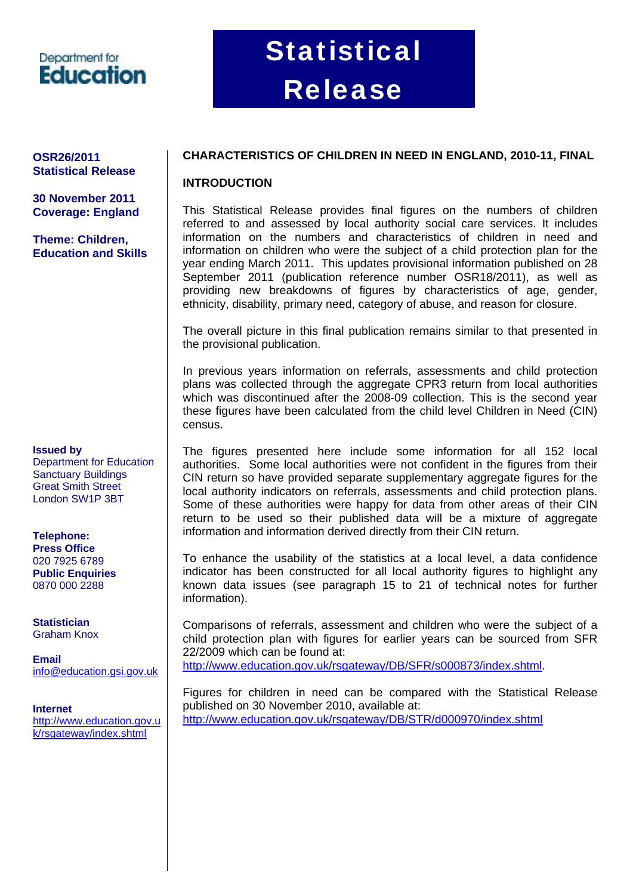### Department for **Education**

# **Statistical** Release

# **Statistical Release**

**30 November 2011 Coverage: England** 

**Theme: Children, Education and Skills**

#### **Issued by**

Department for Education Sanctuary Buildings Great Smith Street London SW1P 3BT

#### **Telephone: Press Office**

020 7925 6789 **Public Enquiries** 0870 000 2288

**Statistician** Graham Knox

**Email** [info@education.gsi.gov.uk](mailto:info@education.gsi.gov.uk)

### **Internet**

[http://www.education.gov.u](http://www.education.gov.uk/rsgateway/index.shtml) [k/rsgateway/index.shtml](http://www.education.gov.uk/rsgateway/index.shtml)

#### **OSR26/2011 CHARACTERISTICS OF CHILDREN IN NEED IN ENGLAND, 2010-11, FINAL**

#### **INTRODUCTION**

This Statistical Release provides final figures on the numbers of children referred to and assessed by local authority social care services. It includes information on the numbers and characteristics of children in need and information on children who were the subject of a child protection plan for the year ending March 2011. This updates provisional information published on 28 September 2011 (publication reference number OSR18/2011), as well as providing new breakdowns of figures by characteristics of age, gender, ethnicity, disability, primary need, category of abuse, and reason for closure.

The overall picture in this final publication remains similar to that presented in the provisional publication.

In previous years information on referrals, assessments and child protection plans was collected through the aggregate CPR3 return from local authorities which was discontinued after the 2008-09 collection. This is the second year these figures have been calculated from the child level Children in Need (CIN) census.

The figures presented here include some information for all 152 local authorities. Some local authorities were not confident in the figures from their CIN return so have provided separate supplementary aggregate figures for the local authority indicators on referrals, assessments and child protection plans. Some of these authorities were happy for data from other areas of their CIN return to be used so their published data will be a mixture of aggregate information and information derived directly from their CIN return.

To enhance the usability of the statistics at a local level, a data confidence indicator has been constructed for all local authority figures to highlight any known data issues (see paragraph 15 to 21 of technical notes for further information).

Comparisons of referrals, assessment and children who were the subject of a child protection plan with figures for earlier years can be sourced from SFR 22/2009 which can be found at:

<http://www.education.gov.uk/rsgateway/DB/SFR/s000873/index.shtml>.

Figures for children in need can be compared with the Statistical Release published on 30 November 2010, available at: <http://www.education.gov.uk/rsgateway/DB/STR/d000970/index.shtml>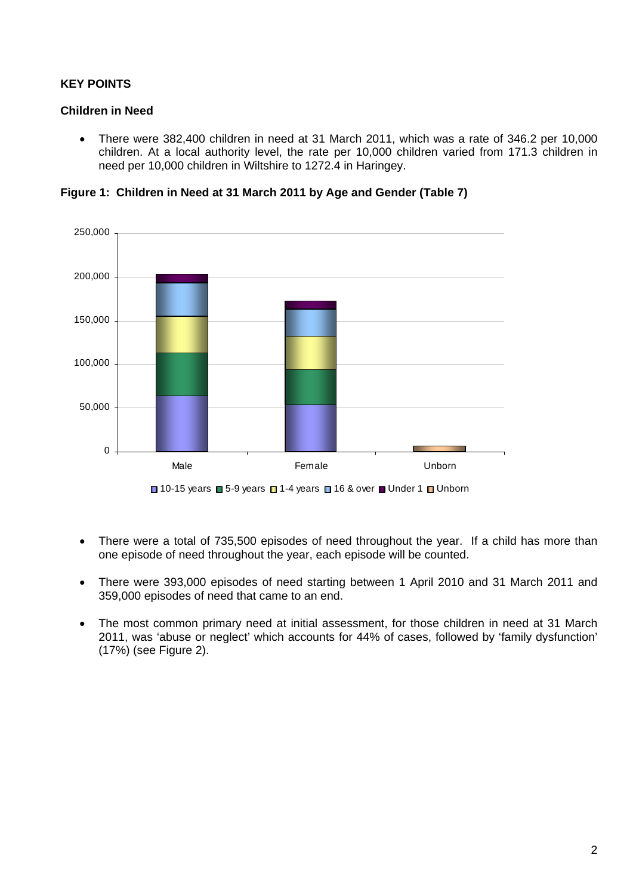#### **KEY POINTS**

#### **Children in Need**

• There were 382,400 children in need at 31 March 2011, which was a rate of 346.2 per 10,000 children. At a local authority level, the rate per 10,000 children varied from 171.3 children in need per 10,000 children in Wiltshire to 1272.4 in Haringey.

**Figure 1: Children in Need at 31 March 2011 by Age and Gender (Table 7)** 



- 
- There were a total of 735,500 episodes of need throughout the year. If a child has more than one episode of need throughout the year, each episode will be counted.
- There were 393,000 episodes of need starting between 1 April 2010 and 31 March 2011 and 359,000 episodes of need that came to an end.
- The most common primary need at initial assessment, for those children in need at 31 March 2011, was 'abuse or neglect' which accounts for 44% of cases, followed by 'family dysfunction' (17%) (see Figure 2).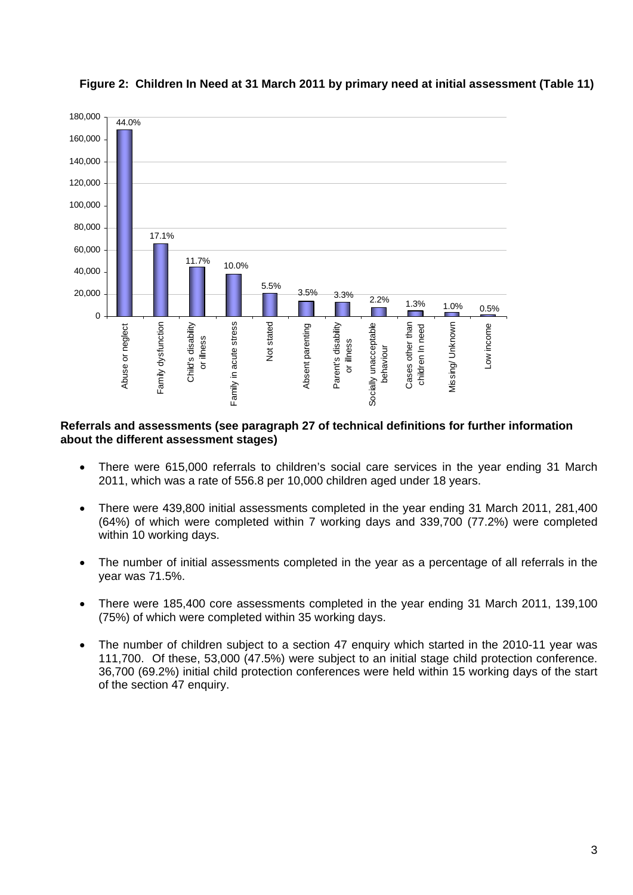

**Figure 2: Children In Need at 31 March 2011 by primary need at initial assessment (Table 11)** 

#### **Referrals and assessments (see paragraph 27 of technical definitions for further information about the different assessment stages)**

- There were 615,000 referrals to children's social care services in the year ending 31 March 2011, which was a rate of 556.8 per 10,000 children aged under 18 years.
- There were 439,800 initial assessments completed in the year ending 31 March 2011, 281,400 (64%) of which were completed within 7 working days and 339,700 (77.2%) were completed within 10 working days.
- The number of initial assessments completed in the year as a percentage of all referrals in the year was 71.5%.
- There were 185,400 core assessments completed in the year ending 31 March 2011, 139,100 (75%) of which were completed within 35 working days.
- The number of children subject to a section 47 enquiry which started in the 2010-11 year was 111,700. Of these, 53,000 (47.5%) were subject to an initial stage child protection conference. 36,700 (69.2%) initial child protection conferences were held within 15 working days of the start of the section 47 enquiry.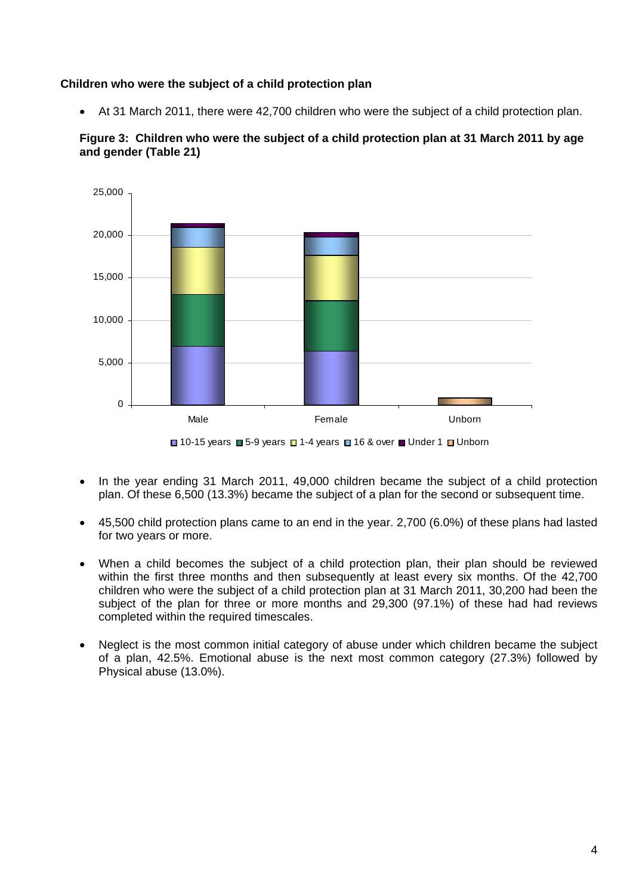#### **Children who were the subject of a child protection plan**

• At 31 March 2011, there were 42,700 children who were the subject of a child protection plan.



**Figure 3: Children who were the subject of a child protection plan at 31 March 2011 by age and gender (Table 21)** 



- In the year ending 31 March 2011, 49,000 children became the subject of a child protection plan. Of these 6,500 (13.3%) became the subject of a plan for the second or subsequent time.
- 45,500 child protection plans came to an end in the year. 2,700 (6.0%) of these plans had lasted for two years or more.
- When a child becomes the subject of a child protection plan, their plan should be reviewed within the first three months and then subsequently at least every six months. Of the 42,700 children who were the subject of a child protection plan at 31 March 2011, 30,200 had been the subject of the plan for three or more months and 29,300 (97.1%) of these had had reviews completed within the required timescales.
- Neglect is the most common initial category of abuse under which children became the subject of a plan, 42.5%. Emotional abuse is the next most common category (27.3%) followed by Physical abuse (13.0%).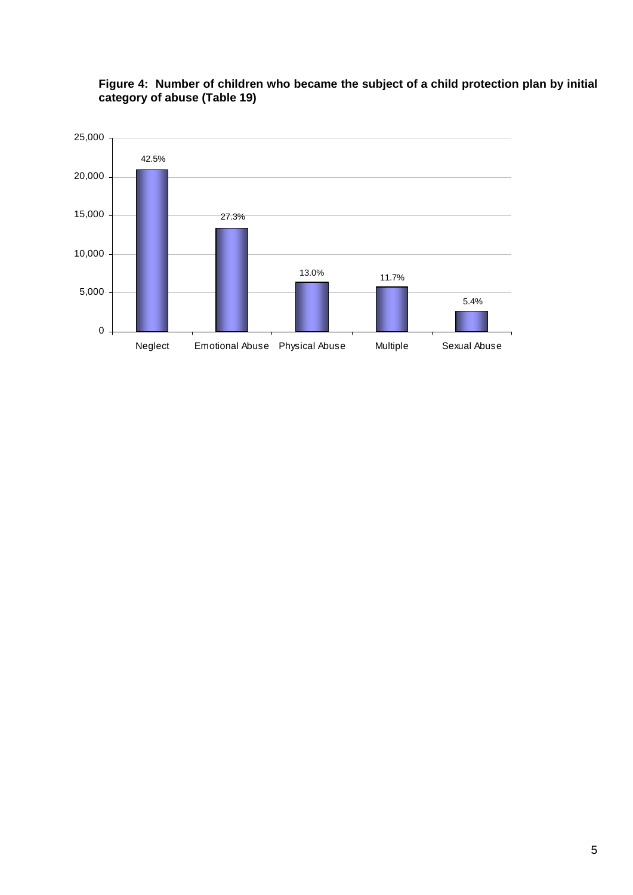

#### **Figure 4: Number of children who became the subject of a child protection plan by initial category of abuse (Table 19)**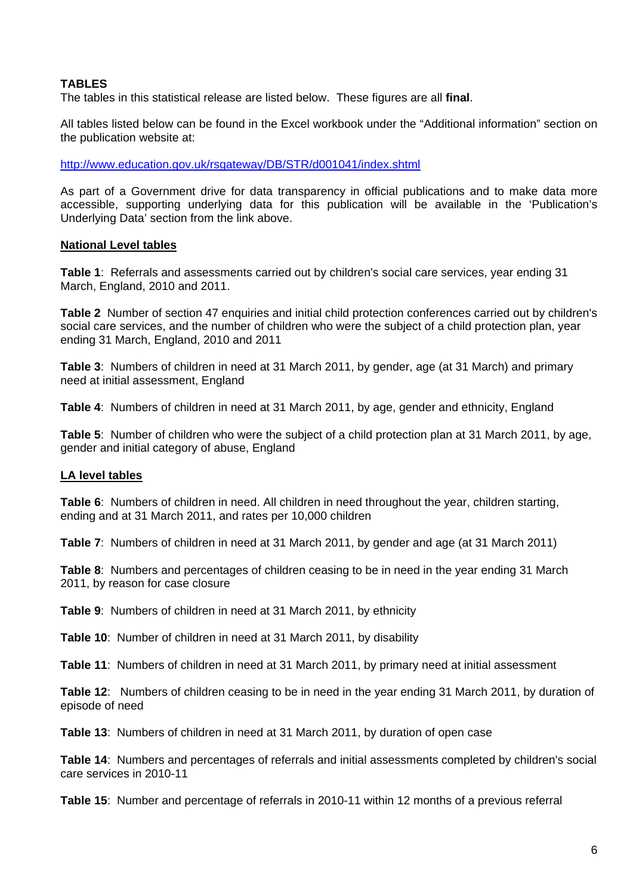#### **TABLES**

The tables in this statistical release are listed below. These figures are all **final**.

All tables listed below can be found in the Excel workbook under the "Additional information" section on the publication website at:

<http://www.education.gov.uk/rsgateway/DB/STR/d001041/index.shtml>

As part of a Government drive for data transparency in official publications and to make data more accessible, supporting underlying data for this publication will be available in the 'Publication's Underlying Data' section from the link above.

#### **National Level tables**

**Table 1**: Referrals and assessments carried out by children's social care services, year ending 31 March, England, 2010 and 2011.

**Table 2** Number of section 47 enquiries and initial child protection conferences carried out by children's social care services, and the number of children who were the subject of a child protection plan, year ending 31 March, England, 2010 and 2011

**Table 3**: Numbers of children in need at 31 March 2011, by gender, age (at 31 March) and primary need at initial assessment, England

**Table 4**: Numbers of children in need at 31 March 2011, by age, gender and ethnicity, England

**Table 5**: Number of children who were the subject of a child protection plan at 31 March 2011, by age, gender and initial category of abuse, England

#### **LA level tables**

**Table 6**: Numbers of children in need. All children in need throughout the year, children starting, ending and at 31 March 2011, and rates per 10,000 children

**Table 7**: Numbers of children in need at 31 March 2011, by gender and age (at 31 March 2011)

**Table 8**: Numbers and percentages of children ceasing to be in need in the year ending 31 March 2011, by reason for case closure

**Table 9**: Numbers of children in need at 31 March 2011, by ethnicity

**Table 10**: Number of children in need at 31 March 2011, by disability

**Table 11**: Numbers of children in need at 31 March 2011, by primary need at initial assessment

**Table 12**: Numbers of children ceasing to be in need in the year ending 31 March 2011, by duration of episode of need

**Table 13**: Numbers of children in need at 31 March 2011, by duration of open case

**Table 14**: Numbers and percentages of referrals and initial assessments completed by children's social care services in 2010-11

**Table 15**: Number and percentage of referrals in 2010-11 within 12 months of a previous referral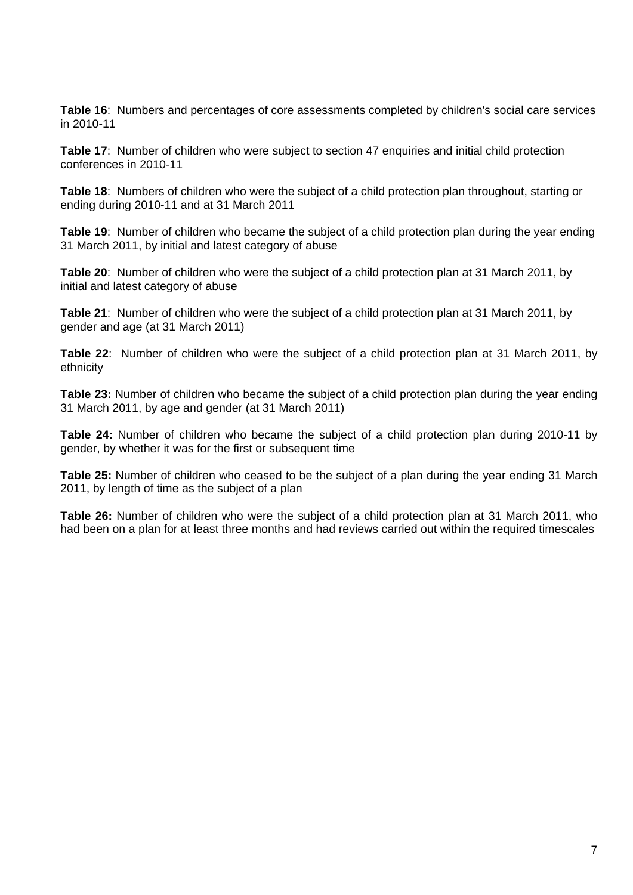**Table 16**: Numbers and percentages of core assessments completed by children's social care services in 2010-11

**Table 17**: Number of children who were subject to section 47 enquiries and initial child protection conferences in 2010-11

**Table 18**: Numbers of children who were the subject of a child protection plan throughout, starting or ending during 2010-11 and at 31 March 2011

**Table 19**: Number of children who became the subject of a child protection plan during the year ending 31 March 2011, by initial and latest category of abuse

**Table 20**: Number of children who were the subject of a child protection plan at 31 March 2011, by initial and latest category of abuse

**Table 21**: Number of children who were the subject of a child protection plan at 31 March 2011, by gender and age (at 31 March 2011)

**Table 22**: Number of children who were the subject of a child protection plan at 31 March 2011, by ethnicity

**Table 23:** Number of children who became the subject of a child protection plan during the year ending 31 March 2011, by age and gender (at 31 March 2011)

**Table 24:** Number of children who became the subject of a child protection plan during 2010-11 by gender, by whether it was for the first or subsequent time

**Table 25:** Number of children who ceased to be the subject of a plan during the year ending 31 March 2011, by length of time as the subject of a plan

**Table 26:** Number of children who were the subject of a child protection plan at 31 March 2011, who had been on a plan for at least three months and had reviews carried out within the required timescales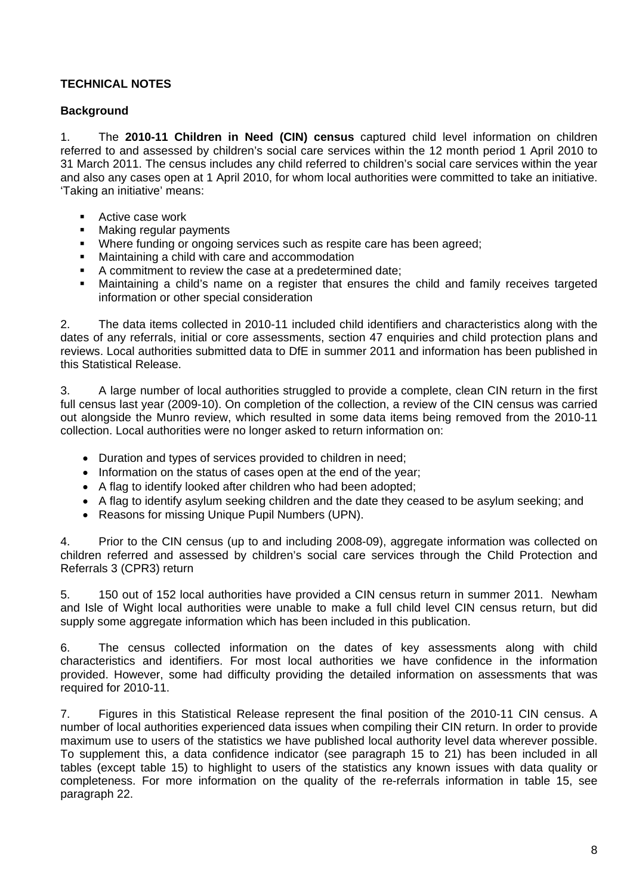#### **TECHNICAL NOTES**

#### **Background**

1. The **2010-11 Children in Need (CIN) census** captured child level information on children referred to and assessed by children's social care services within the 12 month period 1 April 2010 to 31 March 2011. The census includes any child referred to children's social care services within the year and also any cases open at 1 April 2010, for whom local authorities were committed to take an initiative. 'Taking an initiative' means:

- **Active case work**
- **Making regular payments**
- Where funding or ongoing services such as respite care has been agreed;
- Maintaining a child with care and accommodation
- A commitment to review the case at a predetermined date;
- Maintaining a child's name on a register that ensures the child and family receives targeted information or other special consideration

2. The data items collected in 2010-11 included child identifiers and characteristics along with the dates of any referrals, initial or core assessments, section 47 enquiries and child protection plans and reviews. Local authorities submitted data to DfE in summer 2011 and information has been published in this Statistical Release.

3. A large number of local authorities struggled to provide a complete, clean CIN return in the first full census last year (2009-10). On completion of the collection, a review of the CIN census was carried out alongside the Munro review, which resulted in some data items being removed from the 2010-11 collection. Local authorities were no longer asked to return information on:

- Duration and types of services provided to children in need;
- Information on the status of cases open at the end of the year;
- A flag to identify looked after children who had been adopted;
- A flag to identify asylum seeking children and the date they ceased to be asylum seeking; and
- Reasons for missing Unique Pupil Numbers (UPN).

4. Prior to the CIN census (up to and including 2008-09), aggregate information was collected on children referred and assessed by children's social care services through the Child Protection and Referrals 3 (CPR3) return

5. 150 out of 152 local authorities have provided a CIN census return in summer 2011. Newham and Isle of Wight local authorities were unable to make a full child level CIN census return, but did supply some aggregate information which has been included in this publication.

6. The census collected information on the dates of key assessments along with child characteristics and identifiers. For most local authorities we have confidence in the information provided. However, some had difficulty providing the detailed information on assessments that was required for 2010-11.

7. Figures in this Statistical Release represent the final position of the 2010-11 CIN census. A number of local authorities experienced data issues when compiling their CIN return. In order to provide maximum use to users of the statistics we have published local authority level data wherever possible. To supplement this, a data confidence indicator (see paragraph 15 to 21) has been included in all tables (except table 15) to highlight to users of the statistics any known issues with data quality or completeness. For more information on the quality of the re-referrals information in table 15, see paragraph 22.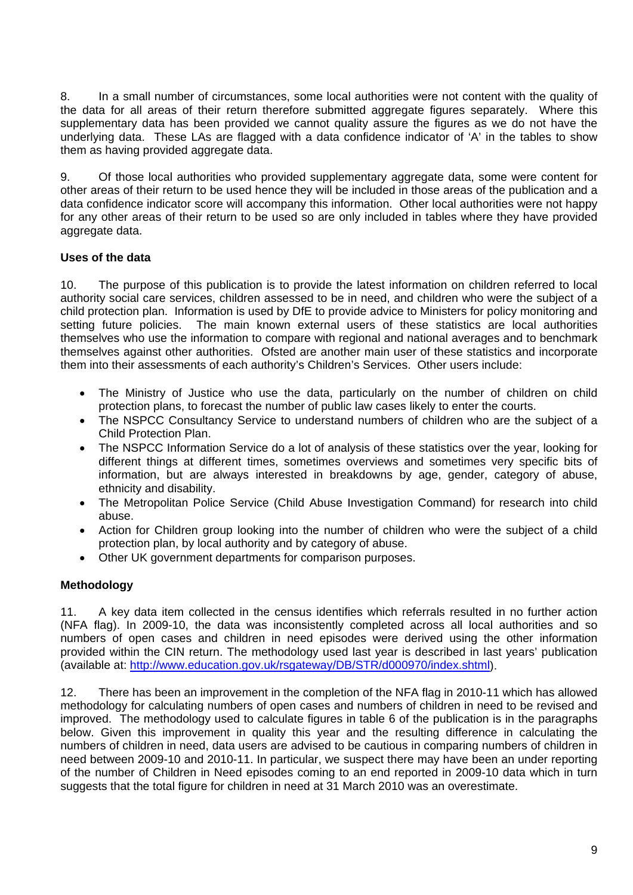8. In a small number of circumstances, some local authorities were not content with the quality of the data for all areas of their return therefore submitted aggregate figures separately. Where this supplementary data has been provided we cannot quality assure the figures as we do not have the underlying data. These LAs are flagged with a data confidence indicator of 'A' in the tables to show them as having provided aggregate data.

9. Of those local authorities who provided supplementary aggregate data, some were content for other areas of their return to be used hence they will be included in those areas of the publication and a data confidence indicator score will accompany this information. Other local authorities were not happy for any other areas of their return to be used so are only included in tables where they have provided aggregate data.

#### **Uses of the data**

10. The purpose of this publication is to provide the latest information on children referred to local authority social care services, children assessed to be in need, and children who were the subject of a child protection plan. Information is used by DfE to provide advice to Ministers for policy monitoring and setting future policies. The main known external users of these statistics are local authorities themselves who use the information to compare with regional and national averages and to benchmark themselves against other authorities. Ofsted are another main user of these statistics and incorporate them into their assessments of each authority's Children's Services. Other users include:

- The Ministry of Justice who use the data, particularly on the number of children on child protection plans, to forecast the number of public law cases likely to enter the courts.
- The NSPCC Consultancy Service to understand numbers of children who are the subject of a Child Protection Plan.
- The NSPCC Information Service do a lot of analysis of these statistics over the year, looking for different things at different times, sometimes overviews and sometimes very specific bits of information, but are always interested in breakdowns by age, gender, category of abuse, ethnicity and disability.
- The Metropolitan Police Service (Child Abuse Investigation Command) for research into child abuse.
- Action for Children group looking into the number of children who were the subject of a child protection plan, by local authority and by category of abuse.
- Other UK government departments for comparison purposes.

#### **Methodology**

11. A key data item collected in the census identifies which referrals resulted in no further action (NFA flag). In 2009-10, the data was inconsistently completed across all local authorities and so numbers of open cases and children in need episodes were derived using the other information provided within the CIN return. The methodology used last year is described in last years' publication (available at: [http://www.education.gov.uk/rsgateway/DB/STR/d000970/index.shtml\)](http://www.education.gov.uk/rsgateway/DB/STR/d000970/index.shtml).

12. There has been an improvement in the completion of the NFA flag in 2010-11 which has allowed methodology for calculating numbers of open cases and numbers of children in need to be revised and improved. The methodology used to calculate figures in table 6 of the publication is in the paragraphs below. Given this improvement in quality this year and the resulting difference in calculating the numbers of children in need, data users are advised to be cautious in comparing numbers of children in need between 2009-10 and 2010-11. In particular, we suspect there may have been an under reporting of the number of Children in Need episodes coming to an end reported in 2009-10 data which in turn suggests that the total figure for children in need at 31 March 2010 was an overestimate.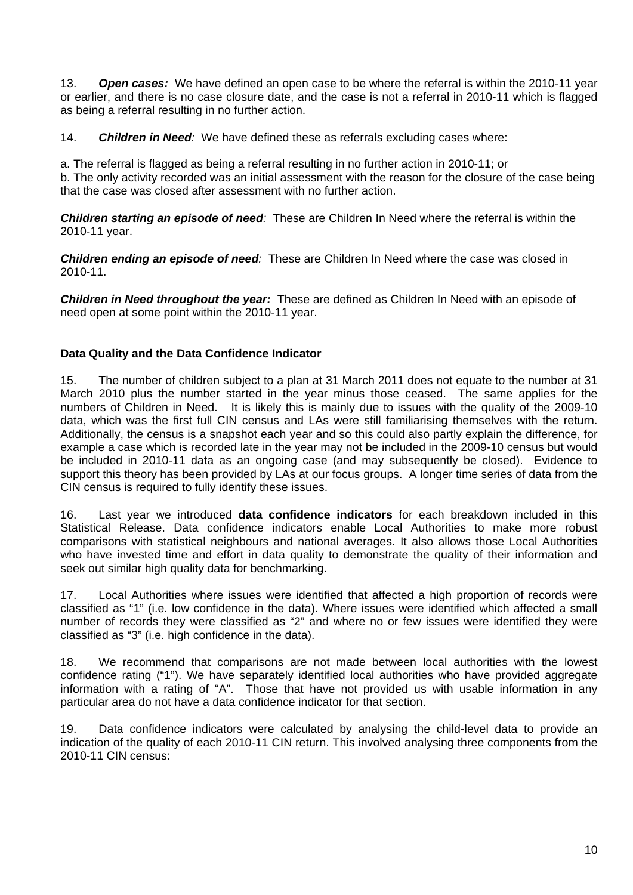13. *Open cases:* We have defined an open case to be where the referral is within the 2010-11 year or earlier, and there is no case closure date, and the case is not a referral in 2010-11 which is flagged as being a referral resulting in no further action.

14. *Children in Need:* We have defined these as referrals excluding cases where:

a. The referral is flagged as being a referral resulting in no further action in 2010-11; or

b. The only activity recorded was an initial assessment with the reason for the closure of the case being that the case was closed after assessment with no further action.

*Children starting an episode of need:* These are Children In Need where the referral is within the 2010-11 year.

*Children ending an episode of need:* These are Children In Need where the case was closed in 2010-11.

*Children in Need throughout the year:* These are defined as Children In Need with an episode of need open at some point within the 2010-11 year.

#### **Data Quality and the Data Confidence Indicator**

15. The number of children subject to a plan at 31 March 2011 does not equate to the number at 31 March 2010 plus the number started in the year minus those ceased. The same applies for the numbers of Children in Need. It is likely this is mainly due to issues with the quality of the 2009-10 data, which was the first full CIN census and LAs were still familiarising themselves with the return. Additionally, the census is a snapshot each year and so this could also partly explain the difference, for example a case which is recorded late in the year may not be included in the 2009-10 census but would be included in 2010-11 data as an ongoing case (and may subsequently be closed). Evidence to support this theory has been provided by LAs at our focus groups. A longer time series of data from the CIN census is required to fully identify these issues.

16. Last year we introduced **data confidence indicators** for each breakdown included in this Statistical Release. Data confidence indicators enable Local Authorities to make more robust comparisons with statistical neighbours and national averages. It also allows those Local Authorities who have invested time and effort in data quality to demonstrate the quality of their information and seek out similar high quality data for benchmarking.

17. Local Authorities where issues were identified that affected a high proportion of records were classified as "1" (i.e. low confidence in the data). Where issues were identified which affected a small number of records they were classified as "2" and where no or few issues were identified they were classified as "3" (i.e. high confidence in the data).

18. We recommend that comparisons are not made between local authorities with the lowest confidence rating ("1"). We have separately identified local authorities who have provided aggregate information with a rating of "A". Those that have not provided us with usable information in any particular area do not have a data confidence indicator for that section.

19. Data confidence indicators were calculated by analysing the child-level data to provide an indication of the quality of each 2010-11 CIN return. This involved analysing three components from the 2010-11 CIN census: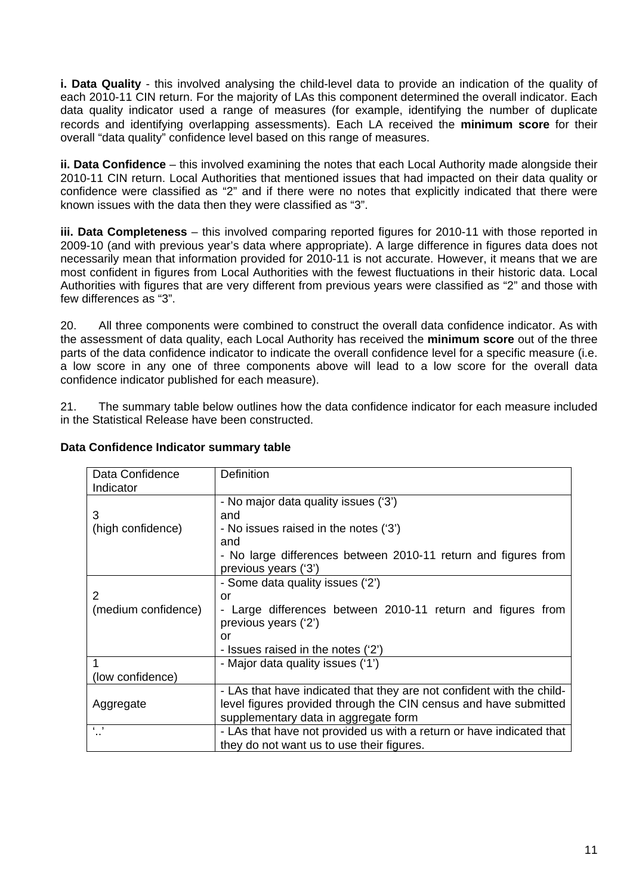**i. Data Quality** - this involved analysing the child-level data to provide an indication of the quality of each 2010-11 CIN return. For the majority of LAs this component determined the overall indicator. Each data quality indicator used a range of measures (for example, identifying the number of duplicate records and identifying overlapping assessments). Each LA received the **minimum score** for their overall "data quality" confidence level based on this range of measures.

**ii. Data Confidence** – this involved examining the notes that each Local Authority made alongside their 2010-11 CIN return. Local Authorities that mentioned issues that had impacted on their data quality or confidence were classified as "2" and if there were no notes that explicitly indicated that there were known issues with the data then they were classified as "3".

**iii. Data Completeness** – this involved comparing reported figures for 2010-11 with those reported in 2009-10 (and with previous year's data where appropriate). A large difference in figures data does not necessarily mean that information provided for 2010-11 is not accurate. However, it means that we are most confident in figures from Local Authorities with the fewest fluctuations in their historic data. Local Authorities with figures that are very different from previous years were classified as "2" and those with few differences as "3".

20. All three components were combined to construct the overall data confidence indicator. As with the assessment of data quality, each Local Authority has received the **minimum score** out of the three parts of the data confidence indicator to indicate the overall confidence level for a specific measure (i.e. a low score in any one of three components above will lead to a low score for the overall data confidence indicator published for each measure).

21. The summary table below outlines how the data confidence indicator for each measure included in the Statistical Release have been constructed.

| Data Confidence Indicator summary table |
|-----------------------------------------|
|-----------------------------------------|

| Data Confidence     | <b>Definition</b>                                                                      |
|---------------------|----------------------------------------------------------------------------------------|
| Indicator           |                                                                                        |
|                     | - No major data quality issues ('3')                                                   |
| 3                   | and                                                                                    |
| (high confidence)   | - No issues raised in the notes ('3')                                                  |
|                     | and                                                                                    |
|                     | - No large differences between 2010-11 return and figures from<br>previous years ('3') |
|                     | - Some data quality issues ('2')                                                       |
| 2                   | or                                                                                     |
| (medium confidence) | - Large differences between 2010-11 return and figures from                            |
|                     | previous years ('2')                                                                   |
|                     | or                                                                                     |
|                     | - Issues raised in the notes ('2')                                                     |
|                     | - Major data quality issues ('1')                                                      |
| (low confidence)    |                                                                                        |
|                     | - LAs that have indicated that they are not confident with the child-                  |
| Aggregate           | level figures provided through the CIN census and have submitted                       |
|                     | supplementary data in aggregate form                                                   |
| $\sqrt{2}$          | - LAs that have not provided us with a return or have indicated that                   |
|                     | they do not want us to use their figures.                                              |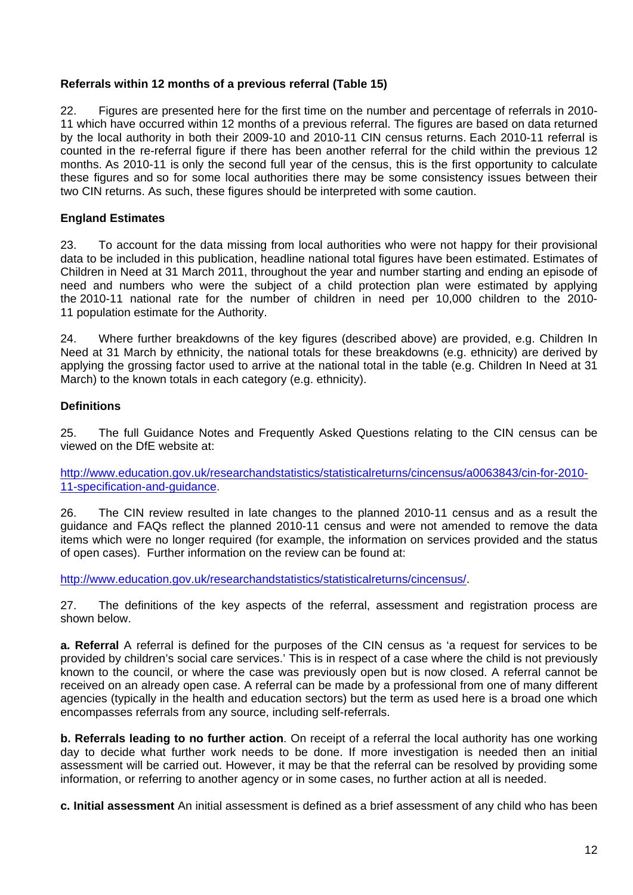#### **Referrals within 12 months of a previous referral (Table 15)**

22. Figures are presented here for the first time on the number and percentage of referrals in 2010- 11 which have occurred within 12 months of a previous referral. The figures are based on data returned by the local authority in both their 2009-10 and 2010-11 CIN census returns. Each 2010-11 referral is counted in the re-referral figure if there has been another referral for the child within the previous 12 months. As 2010-11 is only the second full year of the census, this is the first opportunity to calculate these figures and so for some local authorities there may be some consistency issues between their two CIN returns. As such, these figures should be interpreted with some caution.

#### **England Estimates**

23. To account for the data missing from local authorities who were not happy for their provisional data to be included in this publication, headline national total figures have been estimated. Estimates of Children in Need at 31 March 2011, throughout the year and number starting and ending an episode of need and numbers who were the subject of a child protection plan were estimated by applying the 2010-11 national rate for the number of children in need per 10,000 children to the 2010- 11 population estimate for the Authority.

24. Where further breakdowns of the key figures (described above) are provided, e.g. Children In Need at 31 March by ethnicity, the national totals for these breakdowns (e.g. ethnicity) are derived by applying the grossing factor used to arrive at the national total in the table (e.g. Children In Need at 31 March) to the known totals in each category (e.g. ethnicity).

#### **Definitions**

25. The full Guidance Notes and Frequently Asked Questions relating to the CIN census can be viewed on the DfE website at:

[http://www.education.gov.uk/researchandstatistics/statisticalreturns/cincensus/a0063843/cin-for-2010-](http://www.education.gov.uk/researchandstatistics/statisticalreturns/cincensus/a0063843/cin-for-2010-11-specification-and-guidance) [11-specification-and-guidance.](http://www.education.gov.uk/researchandstatistics/statisticalreturns/cincensus/a0063843/cin-for-2010-11-specification-and-guidance)

26. The CIN review resulted in late changes to the planned 2010-11 census and as a result the guidance and FAQs reflect the planned 2010-11 census and were not amended to remove the data items which were no longer required (for example, the information on services provided and the status of open cases). Further information on the review can be found at:

[http://www.education.gov.uk/researchandstatistics/statisticalreturns/cincensus/.](http://www.education.gov.uk/researchandstatistics/statisticalreturns/cincensus/)

27. The definitions of the key aspects of the referral, assessment and registration process are shown below.

**a. Referral** A referral is defined for the purposes of the CIN census as 'a request for services to be provided by children's social care services.' This is in respect of a case where the child is not previously known to the council, or where the case was previously open but is now closed. A referral cannot be received on an already open case. A referral can be made by a professional from one of many different agencies (typically in the health and education sectors) but the term as used here is a broad one which encompasses referrals from any source, including self-referrals.

**b. Referrals leading to no further action**. On receipt of a referral the local authority has one working day to decide what further work needs to be done. If more investigation is needed then an initial assessment will be carried out. However, it may be that the referral can be resolved by providing some information, or referring to another agency or in some cases, no further action at all is needed.

**c. Initial assessment** An initial assessment is defined as a brief assessment of any child who has been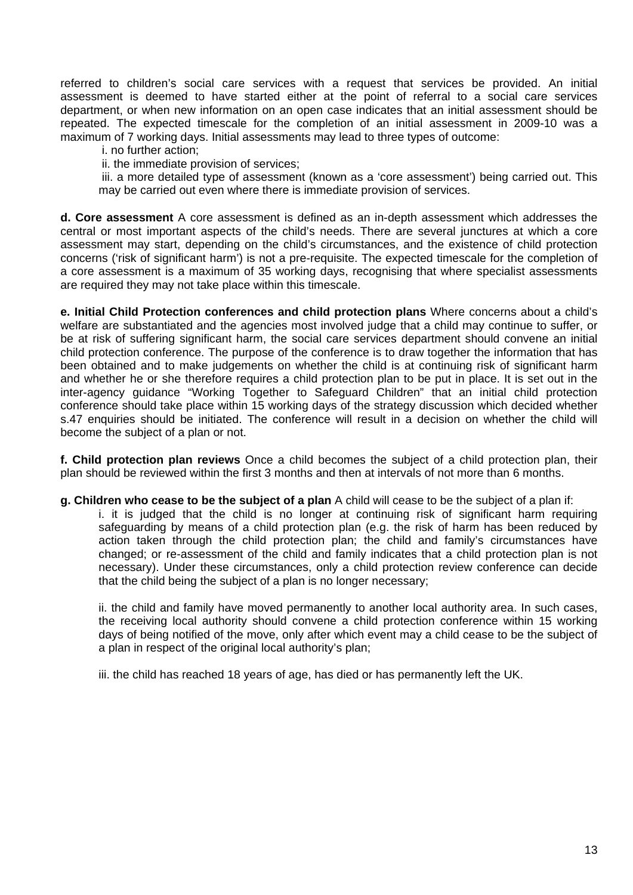referred to children's social care services with a request that services be provided. An initial assessment is deemed to have started either at the point of referral to a social care services department, or when new information on an open case indicates that an initial assessment should be repeated. The expected timescale for the completion of an initial assessment in 2009-10 was a maximum of 7 working days. Initial assessments may lead to three types of outcome:

i. no further action;

ii. the immediate provision of services;

 iii. a more detailed type of assessment (known as a 'core assessment') being carried out. This may be carried out even where there is immediate provision of services.

**d. Core assessment** A core assessment is defined as an in-depth assessment which addresses the central or most important aspects of the child's needs. There are several junctures at which a core assessment may start, depending on the child's circumstances, and the existence of child protection concerns ('risk of significant harm') is not a pre-requisite. The expected timescale for the completion of a core assessment is a maximum of 35 working days, recognising that where specialist assessments are required they may not take place within this timescale.

**e. Initial Child Protection conferences and child protection plans** Where concerns about a child's welfare are substantiated and the agencies most involved judge that a child may continue to suffer, or be at risk of suffering significant harm, the social care services department should convene an initial child protection conference. The purpose of the conference is to draw together the information that has been obtained and to make judgements on whether the child is at continuing risk of significant harm and whether he or she therefore requires a child protection plan to be put in place. It is set out in the inter-agency guidance "Working Together to Safeguard Children" that an initial child protection conference should take place within 15 working days of the strategy discussion which decided whether s.47 enquiries should be initiated. The conference will result in a decision on whether the child will become the subject of a plan or not.

**f. Child protection plan reviews** Once a child becomes the subject of a child protection plan, their plan should be reviewed within the first 3 months and then at intervals of not more than 6 months.

**g. Children who cease to be the subject of a plan** A child will cease to be the subject of a plan if:

i. it is judged that the child is no longer at continuing risk of significant harm requiring safeguarding by means of a child protection plan (e.g. the risk of harm has been reduced by action taken through the child protection plan; the child and family's circumstances have changed; or re-assessment of the child and family indicates that a child protection plan is not necessary). Under these circumstances, only a child protection review conference can decide that the child being the subject of a plan is no longer necessary;

ii. the child and family have moved permanently to another local authority area. In such cases, the receiving local authority should convene a child protection conference within 15 working days of being notified of the move, only after which event may a child cease to be the subject of a plan in respect of the original local authority's plan;

iii. the child has reached 18 years of age, has died or has permanently left the UK.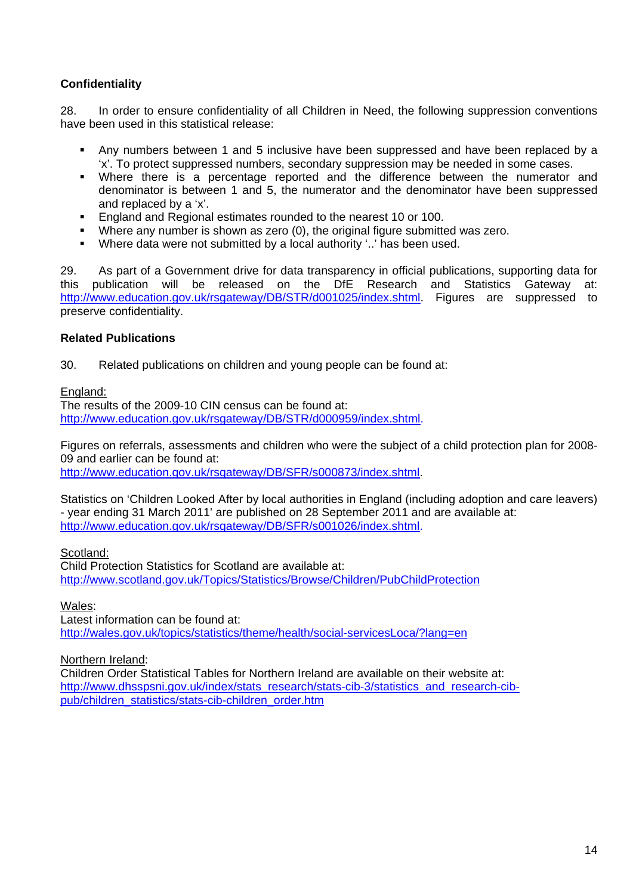#### **Confidentiality**

28. In order to ensure confidentiality of all Children in Need, the following suppression conventions have been used in this statistical release:

- Any numbers between 1 and 5 inclusive have been suppressed and have been replaced by a 'x'. To protect suppressed numbers, secondary suppression may be needed in some cases.
- Where there is a percentage reported and the difference between the numerator and denominator is between 1 and 5, the numerator and the denominator have been suppressed and replaced by a 'x'.
- England and Regional estimates rounded to the nearest 10 or 100.
- Where any number is shown as zero (0), the original figure submitted was zero.
- Where data were not submitted by a local authority '..' has been used.

29. As part of a Government drive for data transparency in official publications, supporting data for this publication will be released on the DfE Research and Statistics Gateway at: <http://www.education.gov.uk/rsgateway/DB/STR/d001025/index.shtml>. Figures are suppressed to preserve confidentiality.

#### **Related Publications**

30. Related publications on children and young people can be found at:

#### England:

The results of the 2009-10 CIN census can be found at: <http://www.education.gov.uk/rsgateway/DB/STR/d000959/index.shtml>.

Figures on referrals, assessments and children who were the subject of a child protection plan for 2008- 09 and earlier can be found at:

[http://www.education.gov.uk/rsgateway/DB/SFR/s000873/index.shtml.](http://www.education.gov.uk/rsgateway/DB/SFR/s000873/index.shtml)

Statistics on 'Children Looked After by local authorities in England (including adoption and care leavers) - year ending 31 March 2011' are published on 28 September 2011 and are available at: [http://www.education.gov.uk/rsgateway/DB/SFR/s001026/index.shtml.](http://www.education.gov.uk/rsgateway/DB/SFR/s001026/index.shtml)

#### Scotland:

Child Protection Statistics for Scotland are available at: <http://www.scotland.gov.uk/Topics/Statistics/Browse/Children/PubChildProtection>

#### Wales:

Latest information can be found at: <http://wales.gov.uk/topics/statistics/theme/health/social-servicesLoca/?lang=en>

#### Northern Ireland:

Children Order Statistical Tables for Northern Ireland are available on their website at: [http://www.dhsspsni.gov.uk/index/stats\\_research/stats-cib-3/statistics\\_and\\_research-cib](http://www.dhsspsni.gov.uk/index/stats_research/stats-cib-3/statistics_and_research-cib-pub/children_statistics/stats-cib-children_order.htm)[pub/children\\_statistics/stats-cib-children\\_order.htm](http://www.dhsspsni.gov.uk/index/stats_research/stats-cib-3/statistics_and_research-cib-pub/children_statistics/stats-cib-children_order.htm)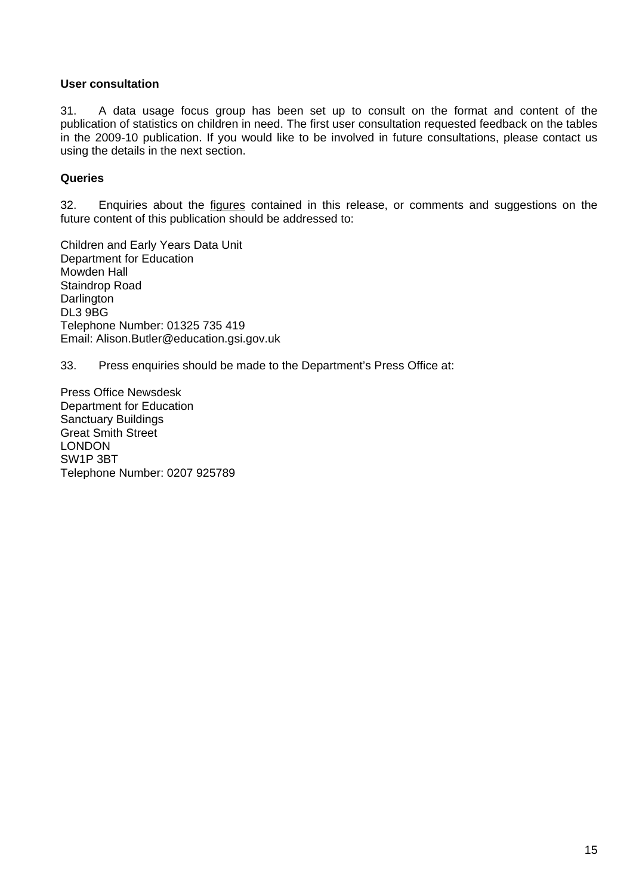#### **User consultation**

31. A data usage focus group has been set up to consult on the format and content of the publication of statistics on children in need. The first user consultation requested feedback on the tables in the 2009-10 publication. If you would like to be involved in future consultations, please contact us using the details in the next section.

#### **Queries**

32. Enquiries about the figures contained in this release, or comments and suggestions on the future content of this publication should be addressed to:

Children and Early Years Data Unit Department for Education Mowden Hall Staindrop Road **Darlington** DL3 9BG Telephone Number: 01325 735 419 Email: Alison.Butler@education.gsi.gov.uk

33. Press enquiries should be made to the Department's Press Office at:

Press Office Newsdesk Department for Education Sanctuary Buildings Great Smith Street LONDON SW1P 3BT Telephone Number: 0207 925789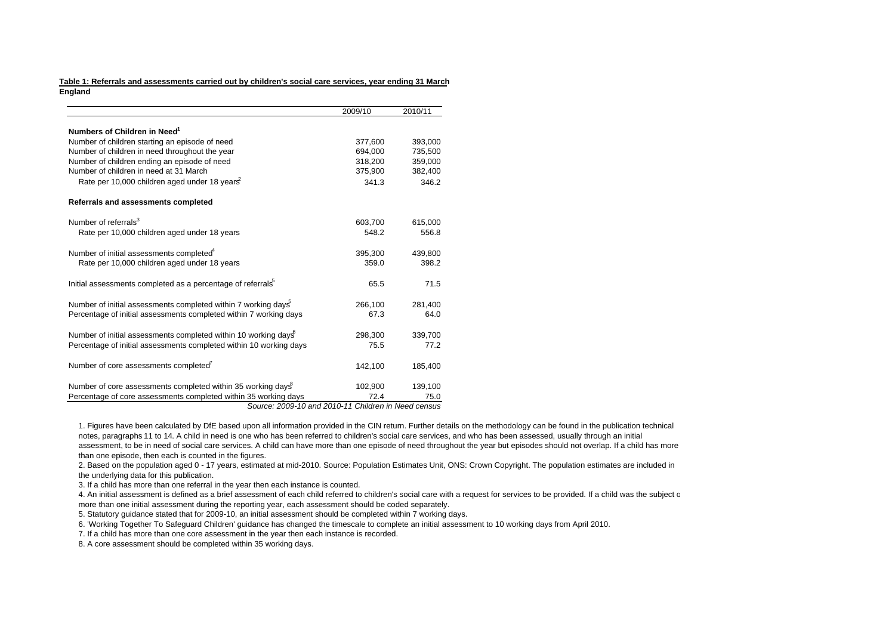#### **Table 1: Referrals and assessments carried out by children's social care services, year ending 31 March England**

|                                                                            | 2009/10 | 2010/11 |
|----------------------------------------------------------------------------|---------|---------|
| Numbers of Children in Need <sup>1</sup>                                   |         |         |
|                                                                            |         |         |
| Number of children starting an episode of need                             | 377,600 | 393,000 |
| Number of children in need throughout the year                             | 694.000 | 735.500 |
| Number of children ending an episode of need                               | 318,200 | 359,000 |
| Number of children in need at 31 March                                     | 375,900 | 382,400 |
| Rate per 10,000 children aged under 18 years                               | 341.3   | 346.2   |
| Referrals and assessments completed                                        |         |         |
| Number of referrals <sup>3</sup>                                           | 603,700 | 615,000 |
| Rate per 10,000 children aged under 18 years                               | 548.2   | 556.8   |
| Number of initial assessments completed <sup>4</sup>                       | 395,300 | 439,800 |
| Rate per 10,000 children aged under 18 years                               | 359.0   | 398.2   |
| Initial assessments completed as a percentage of referrals <sup>5</sup>    | 65.5    | 71.5    |
| Number of initial assessments completed within 7 working days <sup>5</sup> | 266,100 | 281,400 |
| Percentage of initial assessments completed within 7 working days          | 67.3    | 64.0    |
| Number of initial assessments completed within 10 working days             | 298,300 | 339,700 |
| Percentage of initial assessments completed within 10 working days         | 75.5    | 77.2    |
| Number of core assessments completed                                       | 142,100 | 185,400 |
| Number of core assessments completed within 35 working days                | 102,900 | 139,100 |
| Percentage of core assessments completed within 35 working days            | 72.4    | 75.0    |

*Source: 2009-10 and 2010-11 Children in Need census*

1. Figures have been calculated by DfE based upon all information provided in the CIN return. Further details on the methodology can be found in the publication technical notes, paragraphs 11 to 14. A child in need is one who has been referred to children's social care services, and who has been assessed, usually through an initial assessment, to be in need of social care services. A child can have more than one episode of need throughout the year but episodes should not overlap. If a child has more than one episode, then each is counted in the figures.

2. Based on the population aged 0 - 17 years, estimated at mid-2010. Source: Population Estimates Unit, ONS: Crown Copyright. The population estimates are included in the underlying data for this publication.

3. If a child has more than one referral in the year then each instance is counted.

4. An initial assessment is defined as a brief assessment of each child referred to children's social care with a request for services to be provided. If a child was the subject o more than one initial assessment during the reporting year, each assessment should be coded separately.

5. Statutory guidance stated that for 2009-10, an initial assessment should be completed within 7 working days.

6. 'Working Together To Safeguard Children' guidance has changed the timescale to complete an initial assessment to 10 working days from April 2010.

7. If a child has more than one core assessment in the year then each instance is recorded.

8. A core assessment should be completed within 35 working days.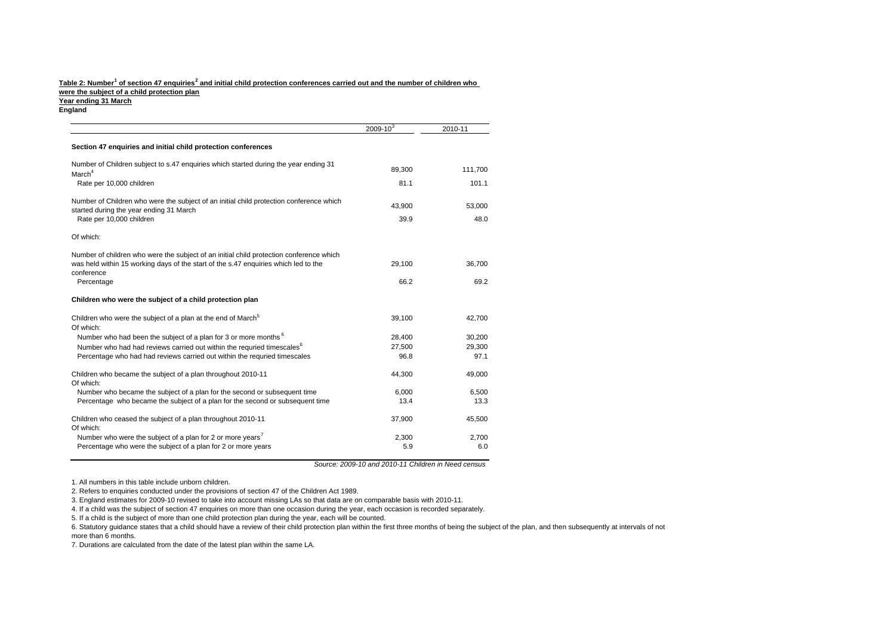#### **Year ending 31 March England** Table 2: Number<sup>1</sup> of section 47 enquiries<sup>2</sup> and initial child protection conferences carried out and the number of children who **were the subject of a child protection plan**

|                                                                                                                                    | $2009 - 10^{3}$ | 2010-11 |
|------------------------------------------------------------------------------------------------------------------------------------|-----------------|---------|
| Section 47 enquiries and initial child protection conferences                                                                      |                 |         |
| Number of Children subject to s.47 enquiries which started during the year ending 31                                               | 89,300          | 111,700 |
| March <sup>4</sup><br>Rate per 10,000 children                                                                                     | 81.1            | 101.1   |
|                                                                                                                                    |                 |         |
| Number of Children who were the subject of an initial child protection conference which<br>started during the year ending 31 March | 43.900          | 53.000  |
| Rate per 10,000 children                                                                                                           | 39.9            | 48.0    |
| Of which:                                                                                                                          |                 |         |
| Number of children who were the subject of an initial child protection conference which                                            |                 |         |
| was held within 15 working days of the start of the s.47 enquiries which led to the<br>conference                                  | 29,100          | 36,700  |
| Percentage                                                                                                                         | 66.2            | 69.2    |
| Children who were the subject of a child protection plan                                                                           |                 |         |
| Children who were the subject of a plan at the end of March <sup>5</sup>                                                           | 39,100          | 42,700  |
| Of which:                                                                                                                          |                 |         |
| Number who had been the subject of a plan for 3 or more months <sup>6</sup>                                                        | 28,400          | 30,200  |
| Number who had had reviews carried out within the requried timescales <sup>6</sup>                                                 | 27,500          | 29,300  |
| Percentage who had had reviews carried out within the requried timescales                                                          | 96.8            | 97.1    |
| Children who became the subject of a plan throughout 2010-11                                                                       | 44,300          | 49,000  |
| Of which:                                                                                                                          |                 |         |
| Number who became the subject of a plan for the second or subsequent time                                                          | 6,000           | 6,500   |
| Percentage who became the subject of a plan for the second or subsequent time                                                      | 13.4            | 13.3    |
| Children who ceased the subject of a plan throughout 2010-11<br>Of which:                                                          | 37.900          | 45,500  |
| Number who were the subject of a plan for 2 or more years <sup>7</sup>                                                             | 2,300           | 2.700   |
| Percentage who were the subject of a plan for 2 or more years                                                                      | 5.9             | 6.0     |

*Source: 2009-10 and 2010-11 Children in Need census*

1. All numbers in this table include unborn children.

2. Refers to enquiries conducted under the provisions of section 47 of the Children Act 1989.

3. England estimates for 2009-10 revised to take into account missing LAs so that data are on comparable basis with 2010-11.

4. If a child was the subject of section 47 enquiries on more than one occasion during the year, each occasion is recorded separately.

5. If a child is the subject of more than one child protection plan during the year, each will be counted.

6. Statutory guidance states that a child should have a review of their child protection plan within the first three months of being the subject of the plan, and then subsequently at intervals of not more than 6 months.

7. Durations are calculated from the date of the latest plan within the same LA.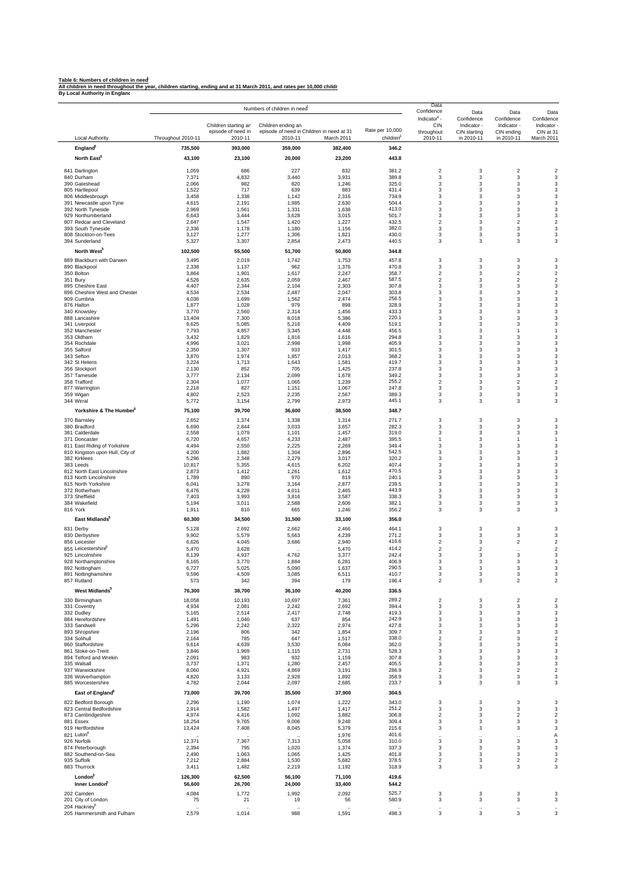<u>Table 6: Numbers of children in need</u><br>All children in need throughout the year, children starting, ending and at 31 March 2011, and rates per 10,000 childr<br>By Local Authority in England

|                                                        |                    |                                            | Numbers of children in need |                                           |                       | Data<br>Confidence                                   | Data                                      | Data                                               | Data                                 |
|--------------------------------------------------------|--------------------|--------------------------------------------|-----------------------------|-------------------------------------------|-----------------------|------------------------------------------------------|-------------------------------------------|----------------------------------------------------|--------------------------------------|
|                                                        |                    | Children starting an<br>episode of need in | Children ending ar          | episode of need in Children in need at 31 | Rate per 10,000       | Indicator <sup>4</sup> -<br><b>CIN</b><br>throughout | Confidence<br>Indicator -<br>CIN starting | Confidence<br>Indicator -<br>CIN ending            | Confidence<br>Indicator<br>CIN at 31 |
| <b>Local Authority</b>                                 | Throughout 2010-11 | 2010-11                                    | 2010-11                     | March 2011                                | children <sup>3</sup> | 2010-11                                              | in 2010-11                                | in 2010-11                                         | March 2011                           |
| England <sup>6</sup>                                   | 735,500            | 393,000                                    | 359,000                     | 382,400                                   | 346.2                 |                                                      |                                           |                                                    |                                      |
| North East <sup>5</sup>                                | 43,100             | 23,100                                     | 20,000                      | 23,200                                    | 443.8                 |                                                      |                                           |                                                    |                                      |
| 841 Darlington                                         | 1,059              | 686                                        | 227                         | 832                                       | 381.2                 | 2                                                    | 3                                         | $\overline{2}$                                     | $\overline{\mathbf{c}}$              |
| 840 Durham<br>390 Gateshead                            | 7,371<br>2,066     | 4,832<br>982                               | 3,440<br>820                | 3,931<br>1,246                            | 389.8<br>325.0        | 3<br>3                                               | 3<br>3                                    | 3<br>3                                             | 3<br>3                               |
| 805 Hartlepool                                         | 1,522              | 717                                        | 639                         | 883                                       | 431.4                 | 3                                                    | 3                                         | 3                                                  | 3                                    |
| 806 Middlesbrough                                      | 3,458              | 1,338                                      | 1,142                       | 2,316                                     | 734.9                 | 3                                                    | 3                                         | 3                                                  | 3                                    |
| 391 Newcastle upon Tyne<br>392 North Tyneside          | 4,615<br>2,969     | 2,191<br>1,561                             | 1,985<br>1,331              | 2,630<br>1,638                            | 504.4<br>413.0        | 3<br>3                                               | 3<br>3                                    | 3<br>3                                             | 3<br>3                               |
| 929 Northumberland                                     | 6,643              | 3,444                                      | 3,628                       | 3,015                                     | 501.7                 | 3                                                    | 3                                         | 3                                                  | 3                                    |
| 807 Redcar and Cleveland                               | 2,647              | 1,547                                      | 1,420                       | 1,227                                     | 432.5                 | $\overline{2}$                                       | 3                                         | $\boldsymbol{2}$                                   | $\overline{2}$                       |
| 393 South Tyneside<br>808 Stockton-on-Tees             | 2,336<br>3,127     | 1,178<br>1,277                             | 1,180<br>1,306              | 1,156<br>1,821                            | 382.0<br>430.0        | 3<br>3                                               | 3<br>3                                    | 3<br>3                                             | 3<br>3                               |
| 394 Sunderland                                         | 5,327              | 3,307                                      | 2,854                       | 2,473                                     | 440.5                 | 3                                                    | 3                                         | 3                                                  | 3                                    |
| North West <sup>5</sup>                                | 102,500            | 55,500                                     | 51,700                      | 50,800                                    | 344.8                 |                                                      |                                           |                                                    |                                      |
| 889 Blackburn with Darwen                              | 3,495              | 2,019                                      | 1,742                       | 1,753                                     | 457.8                 | 3                                                    | 3                                         | 3                                                  | 3                                    |
| 890 Blackpool                                          | 2,338              | 1,137                                      | 962                         | 1,376                                     | 470.8                 | 3                                                    | 3                                         | 3                                                  | 3                                    |
| 350 Bolton<br>351 Bury                                 | 3,864<br>4,526     | 1,901<br>2,635                             | 1,617<br>2,059              | 2,247<br>2,467                            | 358.7<br>587.5        | $\overline{2}$<br>$\overline{2}$                     | 3<br>3                                    | $\overline{\mathbf{c}}$<br>$\overline{\mathbf{c}}$ | $\overline{2}$<br>$\overline{2}$     |
| 895 Cheshire East                                      | 4,407              | 2,344                                      | 2,104                       | 2,303                                     | 307.8                 | 3                                                    | 3                                         | 3                                                  | 3                                    |
| 896 Cheshire West and Chester<br>909 Cumbria           | 4,534<br>4,036     | 2,534<br>1,699                             | 2,487<br>1,562              | 2,047<br>2,474                            | 303.8<br>256.5        | 3<br>3                                               | 3<br>3                                    | 3<br>3                                             | 3<br>3                               |
| 876 Halton                                             | 1,877              | 1,028                                      | 979                         | 898                                       | 328.9                 | 3                                                    | 3                                         | 3                                                  | 3                                    |
| 340 Knowsley                                           | 3,770              | 2,560                                      | 2,314                       | 1,456                                     | 433.3                 | 3                                                    | 3                                         | 3                                                  | 3                                    |
| 888 Lancashire<br>341 Liverpool                        | 13,404<br>9,625    | 7,300<br>5,085                             | 8,018<br>5,216              | 5,386<br>4,409                            | 220.1<br>519.1        | 3<br>3                                               | 3<br>3                                    | 3<br>3                                             | 3<br>3                               |
| 352 Manchester                                         | 7,793              | 4,857                                      | 3,345                       | 4,448                                     | 456.5                 | 1                                                    | 3                                         | $\mathbf{1}$                                       | $\mathbf{1}$                         |
| 353 Oldham                                             | 3,432<br>4,996     | 1,829                                      | 1,816<br>2,998              | 1,616                                     | 294.8<br>405.9        | 3<br>3                                               | 3<br>3                                    | 3<br>3                                             | 3<br>3                               |
| 354 Rochdale<br>355 Salford                            | 2,350              | 3,021<br>1,307                             | 933                         | 1,998<br>1,417                            | 301.5                 | 3                                                    | 3                                         | 3                                                  | 3                                    |
| 343 Sefton                                             | 3,870              | 1,974                                      | 1,857                       | 2,013                                     | 368.2                 | 3                                                    | 3                                         | 3                                                  | 3                                    |
| 342 St Helens<br>356 Stockport                         | 3,224<br>2,130     | 1,713<br>852                               | 1,643<br>705                | 1,581<br>1,425                            | 419.7<br>237.8        | 3<br>3                                               | 3<br>3                                    | 3<br>3                                             | 3<br>3                               |
| 357 Tameside                                           | 3,777              | 2,134                                      | 2,099                       | 1,678                                     | 349.2                 | 3                                                    | 3                                         | 3                                                  | 3                                    |
| 358 Trafford                                           | 2,304              | 1,077                                      | 1,065                       | 1,239                                     | 255.2                 | $\overline{2}$                                       | 3                                         | $\overline{\mathbf{c}}$                            | $\overline{2}$                       |
| 877 Warrington<br>359 Wigan                            | 2,218<br>4,802     | 827<br>2,523                               | 1,151<br>2,235              | 1,067<br>2,567                            | 247.8<br>389.3        | 3<br>3                                               | 3<br>3                                    | 3<br>3                                             | 3<br>3                               |
| 344 Wirral                                             | 5,772              | 3,154                                      | 2,799                       | 2,973                                     | 445.1                 | 3                                                    | 3                                         | 3                                                  | 3                                    |
| Yorkshire & The Humber                                 | 75,100             | 39,700                                     | 36,600                      | 38,500                                    | 348.7                 |                                                      |                                           |                                                    |                                      |
| 370 Barnsley                                           | 2,652              | 1,374                                      | 1,338                       | 1,314                                     | 271.7                 | 3                                                    | 3                                         | 3                                                  | 3                                    |
| 380 Bradford                                           | 6,690              | 2,844                                      | 3,033                       | 3,657                                     | 282.3                 | 3                                                    | 3                                         | 3                                                  | 3                                    |
| 381 Calderdale<br>371 Doncaster                        | 2,558              | 1,079<br>4,657                             | 1,101<br>4,233              | 1,457<br>2,487                            | 319.0<br>395.5        | 3<br>1                                               | 3<br>3                                    | 3<br>-1                                            | 3<br>$\mathbf{1}$                    |
| 811 East Riding of Yorkshire                           | 6,720<br>4,494     | 2,550                                      | 2,225                       | 2,269                                     | 349.4                 | 3                                                    | 3                                         | 3                                                  | 3                                    |
| 810 Kingston upon Hull, City of                        | 4,200              | 1,882                                      | 1,304                       | 2,896                                     | 542.5                 | 3                                                    | 3                                         | 3                                                  | 3                                    |
| 382 Kirklees<br>383 Leeds                              | 5,296<br>10,817    | 2,348<br>5,355                             | 2,279<br>4,615              | 3,017<br>6,202                            | 320.2<br>407.4        | 3<br>3                                               | 3<br>3                                    | 3<br>3                                             | 3<br>3                               |
| 812 North East Lincolnshire                            | 2,873              | 1,412                                      | 1,261                       | 1,612                                     | 470.5                 | 3                                                    | 3                                         | 3                                                  | 3                                    |
| 813 North Lincolnshire                                 | 1,789              | 890                                        | 970                         | 819                                       | 240.1                 | 3                                                    | 3                                         | 3                                                  | 3                                    |
| 815 North Yorkshire<br>372 Rotherham                   | 6,041<br>6,476     | 3,278<br>4,228                             | 3,164<br>4,011              | 2,877<br>2,465                            | 239.5<br>443.9        | 3<br>3                                               | 3<br>3                                    | 3<br>3                                             | 3<br>3                               |
| 373 Sheffield                                          | 7,403              | 3,993                                      | 3,816                       | 3,587                                     | 338.3                 | 3                                                    | 3                                         | 3                                                  | 3                                    |
| 384 Wakefield<br>816 York                              | 5,194<br>1,911     | 3,011<br>810                               | 2,588<br>665                | 2,606                                     | 382.1<br>356.2        | 3<br>3                                               | 3<br>3                                    | 3<br>3                                             | 3<br>3                               |
| East Midlands <sup>5</sup>                             |                    |                                            |                             | 1,246                                     |                       |                                                      |                                           |                                                    |                                      |
|                                                        | 60,300             | 34,500                                     | 31,500                      | 33,100                                    | 356.0                 |                                                      |                                           |                                                    |                                      |
| 831 Derby<br>830 Derbyshire                            | 5,128<br>9,902     | 2,692<br>5,579                             | 2,662<br>5,663              | 2,466<br>4,239                            | 464.1<br>271.2        | 3<br>3                                               | 3<br>3                                    | 3<br>3                                             | 3<br>3                               |
| 856 Leicester                                          | 6,626              | 4,045                                      | 3,686                       | 2,940                                     | 416.6                 | $\boldsymbol{2}$                                     | 3                                         | $\boldsymbol{2}$                                   | $\overline{\mathbf{c}}$              |
| 855 Leicestershire®                                    | 5,470              | 3,628                                      |                             | 5,470                                     | 414.2                 | $\boldsymbol{2}$                                     | 2                                         | $\ddotsc$                                          | $\overline{\mathbf{c}}$              |
| 925 Lincolnshire<br>928 Northamptonshire               | 8,139<br>8,165     | 4,937<br>3,770                             | 4,762<br>1,884              | 3,377<br>6,281                            | 242.4<br>406.9        | 3<br>3                                               | 3<br>3                                    | 3<br>3                                             | 3<br>3                               |
| 892 Nottingham                                         | 6,727              | 5,025                                      | 5,090                       | 1,637                                     | 290.5                 | 3                                                    | 3                                         | 3                                                  | 3                                    |
| 891 Nottinghamshire<br>857 Rutland                     | 9,596<br>573       | 4,509<br>342                               | 3,085<br>394                | 6,511<br>179                              | 410.7<br>196.4        | $\boldsymbol{2}$                                     | 3                                         | $\sqrt{2}$                                         | 3<br>$\overline{\mathbf{c}}$         |
| West Midlands <sup>5</sup>                             |                    |                                            |                             |                                           | 336.5                 |                                                      |                                           |                                                    |                                      |
| 330 Birmingham                                         | 76,300<br>18,058   | 38,700<br>10,193                           | 36,100<br>10,697            | 40,200<br>7,361                           | 289.2                 | $\overline{2}$                                       | 3                                         | $\overline{\mathbf{c}}$                            | $\overline{2}$                       |
| 331 Coventry                                           | 4,934              | 2,081                                      | 2,242                       | 2,692                                     | 394.4                 | 3                                                    | 3                                         | 3                                                  | 3                                    |
| 332 Dudley                                             | 5,165              | 2,514                                      | 2,417                       | 2,748                                     | 419.3                 | 3                                                    | 3                                         | 3                                                  | 3                                    |
| 884 Herefordshire<br>333 Sandwell                      | 1,491<br>5,296     | 1,040<br>2,242                             | 637<br>2,322                | 854<br>2,974                              | 242.9<br>427.8        | 3<br>3                                               | 3<br>3                                    | 3<br>3                                             | 3<br>3                               |
| 893 Shropshire                                         | 2,196              | 806                                        | 342                         | 1,854                                     | 309.7                 | 3                                                    | 3                                         | 3                                                  | 3                                    |
| 334 Solihull                                           | 2,164              | 785                                        | 647                         | 1,517                                     | 338.0                 | $\overline{\mathbf{c}}$                              | $\overline{\mathbf{c}}$                   | 3                                                  | $\overline{2}$                       |
| 860 Staffordshire<br>861 Stoke-on-Trent                | 9,614<br>3,846     | 4,639<br>1,969                             | 3,530<br>1,115              | 6,084<br>2,731                            | 362.0<br>528.3        | 3<br>3                                               | 3<br>3                                    | 3<br>3                                             | 3<br>3                               |
| 894 Telford and Wrekin                                 | 2,091              | 983                                        | 932                         | 1,159                                     | 307.8                 | 3                                                    | 3                                         | 3                                                  | 3                                    |
| 335 Walsall<br>937 Warwickshire                        | 3,737<br>8,060     | 1,371<br>4,921                             | 1,280<br>4,869              | 2,457<br>3,191                            | 405.5<br>286.9        | 3<br>$\overline{\mathbf{c}}$                         | 3<br>3                                    | 3<br>$\overline{2}$                                | 3<br>$\overline{2}$                  |
| 336 Wolverhampton                                      | 4,820              | 3,133                                      | 2,928                       | 1,892                                     | 358.9                 | 3                                                    | 3                                         | 3                                                  | 3                                    |
| 885 Worcestershire                                     | 4,782              | 2,044                                      | 2,097                       | 2,685                                     | 233.7                 | 3                                                    | 3                                         | 3                                                  | 3                                    |
| East of England <sup>5</sup>                           | 73,000             | 39,700                                     | 35,500                      | 37,900                                    | 304.5                 |                                                      |                                           |                                                    |                                      |
| 822 Bedford Borough                                    | 2,296              | 1,190                                      | 1,074                       | 1,222                                     | 343.0                 | 3                                                    | 3                                         | 3                                                  | 3                                    |
| 823 Central Bedfordshire                               | 2,914<br>4,974     | 1,582<br>4,416                             | 1,497<br>1,092              | 1,417<br>3,882                            | 251.2<br>306.8        | 3<br>$\overline{2}$                                  | 3<br>3                                    | $\mathbf{3}$<br>$\overline{2}$                     | 3<br>$\overline{2}$                  |
| 873 Cambridgeshire<br>881 Essex                        | 18,254             | 9,765                                      | 9,006                       | 9,248                                     | 309.4                 | 3                                                    | 3                                         | 3                                                  | 3                                    |
| 919 Hertfordshire                                      | 13,424             | 7,408                                      | 8,045                       | 5,379                                     | 215.6                 | 3                                                    | 3                                         | 3                                                  | 3                                    |
| 821 Luton <sup>6</sup><br>926 Norfolk                  |                    |                                            |                             | 1,976                                     | 401.6<br>310.0        | $\ddotsc$<br>3                                       | $\ddotsc$<br>3                            | $\ddotsc$<br>$\mathsf 3$                           | Α<br>3                               |
| 874 Peterborough                                       | 12,371<br>2,394    | 7,367<br>795                               | 7,313<br>1,020              | 5,058<br>1,374                            | 337.3                 | 3                                                    | 3                                         | 3                                                  | 3                                    |
| 882 Southend-on-Sea                                    | 2,490              | 1,063                                      | 1,065                       | 1,425                                     | 401.8                 | 3                                                    | 3                                         | 3                                                  | 3                                    |
| 935 Suffolk<br>883 Thurrock                            | 7,212<br>3,411     | 2,884<br>1,482                             | 1,530<br>2,219              | 5,682<br>1,192                            | 378.5<br>318.9        | $\boldsymbol{2}$<br>3                                | 3<br>3                                    | $\boldsymbol{2}$<br>3                              | $\overline{\mathbf{c}}$<br>3         |
| London <sup>5</sup>                                    | 126,300            | 62,500                                     | 56,100                      | 71,100                                    | 419.6                 |                                                      |                                           |                                                    |                                      |
| Inner London                                           | 56,600             | 26,700                                     | 24,000                      | 33,400                                    | 544.2                 |                                                      |                                           |                                                    |                                      |
| 202 Camden                                             | 4,084              | 1,772                                      | 1,992                       | 2,092                                     | 525.7                 | 3                                                    | 3                                         | 3                                                  | 3                                    |
| 201 City of London                                     | 75                 | 21                                         | 19                          | 56                                        | 580.9                 | 3                                                    | 3                                         | 3                                                  | 3                                    |
| 204 Hackney <sup>6</sup><br>205 Hammersmith and Fulham | 2,579              | $\ddot{\phantom{a}}$<br>1,014              | $\ddot{\phantom{a}}$<br>988 | 1,591                                     | 498.3                 | 3                                                    | <br>3                                     | $\ddot{\phantom{a}}$<br>3                          | 3                                    |
|                                                        |                    |                                            |                             |                                           |                       |                                                      |                                           |                                                    |                                      |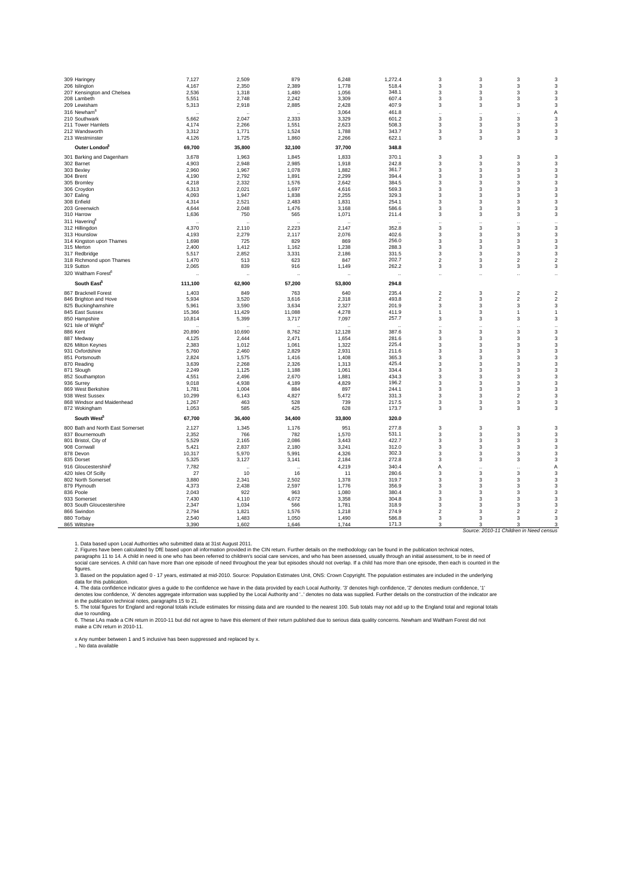| 309 Haringey                                  | 7,127           | 2,509                | 879                  | 6,248          | 1,272.4              | 3                       | 3                    | 3                                       | 3                         |
|-----------------------------------------------|-----------------|----------------------|----------------------|----------------|----------------------|-------------------------|----------------------|-----------------------------------------|---------------------------|
| 206 Islington                                 | 4,167           | 2,350                | 2,389                | 1,778          | 518.4                | 3                       | 3                    | 3                                       | 3                         |
| 207 Kensington and Chelsea                    | 2,536           | 1,318                | 1,480                | 1,056          | 348.1                | 3                       | 3                    | 3                                       | 3                         |
| 208 Lambeth                                   | 5,551           | 2,748                | 2,242                | 3,309          | 607.4                | 3                       | 3                    | 3                                       | 3                         |
| 209 Lewisham                                  | 5,313           | 2,918                | 2,885                | 2,428          | 407.9                | 3                       | 3                    | 3                                       | 3                         |
| 316 Newham <sup>6</sup>                       |                 |                      |                      | 3,064          | 461.8<br>601.2       |                         |                      |                                         | A                         |
| 210 Southwark                                 | 5,662           | 2,047                | 2,333                | 3,329          | 508.3                | 3<br>3                  | 3                    | 3                                       | 3                         |
| 211 Tower Hamlets<br>212 Wandsworth           | 4,174<br>3,312  | 2,266<br>1,771       | 1,551<br>1,524       | 2,623<br>1,788 | 343.7                | 3                       | 3<br>3               | 3<br>3                                  | 3<br>3                    |
| 213 Westminster                               | 4,126           | 1,725                | 1,860                | 2,266          | 622.1                | 3                       | 3                    | 3                                       | 3                         |
| Outer London                                  | 69,700          | 35,800               | 32,100               | 37,700         | 348.8                |                         |                      |                                         |                           |
|                                               | 3,678           |                      |                      | 1,833          | 370.1                | 3                       | 3                    | 3                                       | 3                         |
| 301 Barking and Dagenham<br>302 Barnet        | 4,903           | 1,963<br>2,948       | 1,845<br>2,985       | 1,918          | 242.8                | 3                       | 3                    | 3                                       | 3                         |
| 303 Bexley                                    | 2,960           | 1,967                | 1,078                | 1,882          | 361.7                | 3                       | 3                    | 3                                       | 3                         |
| 304 Brent                                     | 4,190           | 2,792                | 1,891                | 2,299          | 394.4                | 3                       | 3                    | 3                                       | 3                         |
| 305 Bromley                                   | 4.218           | 2.332                | 1,576                | 2.642          | 384.5                | 3                       | 3                    | 3                                       | 3                         |
| 306 Croydon                                   | 6,313           | 2,021                | 1,697                | 4,616          | 569.3                | 3                       | 3                    | 3                                       | 3                         |
| 307 Ealing                                    | 4,093           | 1,947                | 1,838                | 2,255          | 329.3                | 3                       | 3                    | 3                                       | 3                         |
| 308 Enfield                                   | 4,314           | 2,521                | 2,483                | 1,831          | 254.1                | 3                       | 3                    | 3                                       | 3                         |
| 203 Greenwich                                 | 4,644           | 2,048                | 1,476                | 3,168          | 586.6                | 3                       | 3                    | 3                                       | 3                         |
| 310 Harrow                                    | 1,636           | 750                  | 565                  | 1,071          | 211.4                | 3                       | 3                    | 3                                       | 3                         |
| 311 Havering                                  |                 |                      |                      |                |                      | ٠.                      | $\ddot{\phantom{0}}$ |                                         | $\ddot{\phantom{0}}$      |
| 312 Hillingdon                                | 4,370           | 2,110                | 2,223                | 2,147          | 352.8                | 3                       | 3                    | 3                                       | 3                         |
| 313 Hounslow                                  | 4,193           | 2,279                | 2,117                | 2,076          | 402.6                | 3                       | 3                    | 3                                       | 3                         |
| 314 Kingston upon Thames                      | 1,698           | 725                  | 829                  | 869            | 256.0                | 3                       | 3                    | 3                                       | 3                         |
| 315 Merton                                    | 2.400           | 1.412                | 1.162                | 1.238          | 288.3                | 3                       | 3                    | 3                                       | 3                         |
| 317 Redbridge<br>318 Richmond upon Thames     | 5,517<br>1,470  | 2,852<br>513         | 3,331<br>623         | 2,186<br>847   | 331.5<br>202.7       | 3<br>$\overline{2}$     | 3<br>3               | 3<br>$\overline{2}$                     | 3<br>$\mathbf 2$          |
| 319 Sutton                                    | 2,065           | 839                  | 916                  | 1,149          | 262.2                | 3                       | 3                    | 3                                       | 3                         |
| 320 Waltham Forest <sup>6</sup>               |                 | $\ddot{\phantom{0}}$ | à,                   |                | $\ddot{\phantom{0}}$ |                         | $\ddotsc$            |                                         | $\ddot{\phantom{0}}$      |
|                                               |                 |                      |                      |                |                      |                         |                      |                                         |                           |
| South East <sup>5</sup>                       | 111,100         | 62,900               | 57,200               | 53,800         | 294.8                |                         |                      |                                         |                           |
| 867 Bracknell Forest                          | 1,403           | 849                  | 763                  | 640            | 235.4                | $\overline{\mathbf{c}}$ | 3                    | 2                                       | $\overline{2}$            |
| 846 Brighton and Hove                         | 5,934<br>5,961  | 3,520<br>3,590       | 3.616                | 2.318<br>2.327 | 493.8<br>201.9       | $\overline{2}$<br>3     | 3<br>3               | $\overline{c}$<br>3                     | $\overline{2}$<br>3       |
| 825 Buckinghamshire<br>845 East Sussex        | 15,366          | 11,429               | 3,634<br>11,088      | 4,278          | 411.9                | 1                       | 3                    | 1                                       | 1                         |
| 850 Hampshire                                 | 10,814          | 5,399                | 3,717                | 7,097          | 257.7                | 3                       | 3                    | 3                                       | 3                         |
| 921 Isle of Wight <sup>6</sup>                |                 |                      |                      |                |                      |                         |                      |                                         |                           |
| 886 Kent                                      | 20,890          | 10,690               | 8,762                | 12,128         | 387.6                | 3                       | 3                    | 3                                       | $\ddot{\phantom{a}}$<br>3 |
| 887 Medway                                    | 4,125           | 2,444                | 2,471                | 1,654          | 281.6                | 3                       | 3                    | 3                                       | 3                         |
| 826 Milton Keynes                             | 2,383           | 1,012                | 1,061                | 1,322          | 225.4                | 3                       | 3                    | 3                                       | 3                         |
| 931 Oxfordshire                               | 5,760           | 2,460                | 2,829                | 2,931          | 211.6                | 3                       | 3                    | 3                                       | 3                         |
| 851 Portsmouth                                | 2.824           | 1,575                | 1.416                | 1.408          | 365.3                | 3                       | 3                    | 3                                       | 3                         |
| 870 Reading                                   | 3,639           | 2,268                | 2,326                | 1,313          | 425.4                | 3                       | 3                    | 3                                       | 3                         |
| 871 Slough                                    | 2,249           | 1,125                | 1,188                | 1,061          | 334.4                | 3                       | 3                    | 3                                       | 3                         |
| 852 Southampton                               | 4,551           | 2,496                | 2,670                | 1,881          | 434.3                | 3                       | 3                    | 3                                       | 3                         |
| 936 Surrey                                    | 9,018           | 4,938                | 4,189                | 4,829          | 196.2                | 3                       | 3                    | 3                                       | 3                         |
| 869 West Berkshire                            | 1,781           | 1,004                | 884                  | 897            | 244.1                | 3                       | 3                    | 3                                       | 3                         |
| 938 West Sussex<br>868 Windsor and Maidenhead | 10,299<br>1,267 | 6,143<br>463         | 4,827<br>528         | 5,472<br>739   | 331.3<br>217.5       | 3<br>3                  | 3<br>3               | $\overline{\mathbf{c}}$<br>3            | 3<br>3                    |
| 872 Wokingham                                 | 1,053           | 585                  | 425                  | 628            | 173.7                | 3                       | 3                    | 3                                       | 3                         |
| South West <sup>5</sup>                       | 67,700          | 36,400               | 34,400               | 33,800         | 320.0                |                         |                      |                                         |                           |
| 800 Bath and North East Somerset              | 2.127           | 1,345                | 1.176                | 951            | 277.8                | 3                       | 3                    | 3                                       | 3                         |
| 837 Bournemouth                               | 2,352           | 766                  | 782                  | 1,570          | 531.1                | 3                       | 3                    | 3                                       | 3                         |
| 801 Bristol, City of                          | 5,529           | 2,165                | 2,086                | 3,443          | 422.7                | 3                       | 3                    | 3                                       | 3                         |
| 908 Cornwall                                  | 5,421           | 2,837                | 2,180                | 3,241          | 312.0                | 3                       | 3                    | 3                                       | 3                         |
| 878 Devon                                     | 10,317          | 5,970                | 5,991                | 4,326          | 302.3                | 3                       | 3                    | 3                                       | 3                         |
| 835 Dorset                                    | 5,325           | 3,127                | 3,141                | 2,184          | 272.8                | 3                       | 3                    | 3                                       | 3                         |
| 916 Gloucestershire                           | 7,782           |                      | $\ddot{\phantom{0}}$ | 4,219          | 340.4                | Α                       | $\ddot{\phantom{a}}$ |                                         | Α                         |
| 420 Isles Of Scilly                           | 27              | 10                   | 16                   | 11             | 280.6                | 3                       | 3                    | 3                                       | 3                         |
| 802 North Somerset                            | 3,880           | 2,341                | 2,502                | 1,378          | 319.7                | 3                       | 3                    | 3                                       | 3                         |
| 879 Plymouth                                  | 4,373           | 2,438                | 2,597                | 1,776          | 356.9                | 3                       | 3                    | 3                                       | 3                         |
| 836 Poole                                     | 2.043           | 922                  | 963                  | 1,080          | 380.4                | 3                       | 3                    | 3                                       | 3                         |
| 933 Somerset                                  | 7,430           | 4,110                | 4,072                | 3,358          | 304.8<br>318.9       | 3<br>3                  | 3<br>3               | 3<br>3                                  | 3<br>3                    |
| 803 South Gloucestershire<br>866 Swindon      | 2,347<br>2,794  | 1,034<br>1,821       | 566<br>1,576         | 1,781<br>1,218 | 274.9                | $\overline{2}$          | 3                    | $\mathfrak{p}$                          | $\overline{2}$            |
| 880 Torbay                                    | 2,540           | 1,483                | 1,050                | 1,490          | 586.8                | 3                       | 3                    | 3                                       | 3                         |
| 865 Wiltshire                                 | 3,390           | 1,602                | 1,646                | 1,744          | 171.3                | 3                       | 3                    | 3                                       | 3                         |
|                                               |                 |                      |                      |                |                      |                         |                      | Source: 2010-11 Children in Need census |                           |

1. Data based upon Local Authorities who submitted data at 31st August 2011.<br>2. Figures have been calculated by DfE based upon all information provided in the CIN return. Further details on the methodology can be found in

figures.

3. Based on the population aged 0 - 17 years, estimated at mid-2010. Source: Population Estimates Unit, ONS: Crown Copyright. The population estimates are included in the underlying<br>4. The data confidence indicator gives a

6. These LAs made a CIN return in 2010-11 but did not agree to have this element of their return published due to serious data quality concerns. Newham and Waltham Forest did not<br>make a CIN return in 2010-11.

x Any number between 1 and 5 inclusive has been suppressed and replaced by x.<br>.. No data available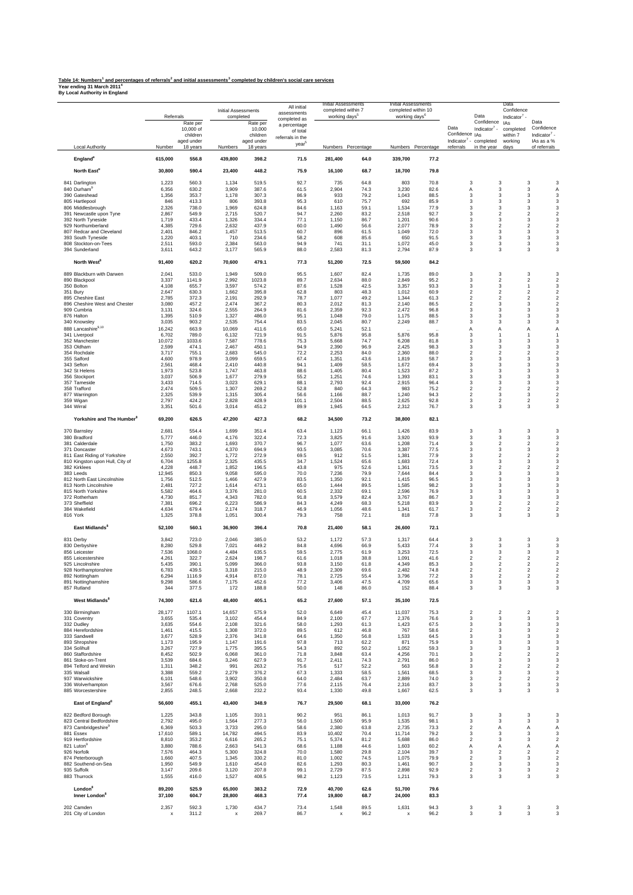## <u>Table 14: Numbers' and percentages of referrals<sup>2</sup> and initial assessments<sup>3</sup> completed by children's social care services<br>Year ending 31 March 2011<sup>4</sup><br>By Local Authority in England</u>

| Local Authority<br>England <sup>8</sup>               | Number                             | aged under      |                 | children               | of total<br>referrals in the |                                    |                    |                 |                    | Data<br>Indicator $7 -$<br>Confidence <sub>IAs</sub><br>Indicator <sup>7</sup> - completed | completed<br>within 7            | Confidence<br>Indicator <sup>7</sup> -                                             |
|-------------------------------------------------------|------------------------------------|-----------------|-----------------|------------------------|------------------------------|------------------------------------|--------------------|-----------------|--------------------|--------------------------------------------------------------------------------------------|----------------------------------|------------------------------------------------------------------------------------|
|                                                       |                                    | 18 years        | Numbers         | aged under<br>18 years | year                         |                                    | Numbers Percentage |                 | Numbers Percentage | in the year<br>referrals                                                                   | working<br>days                  | IAs as a %<br>of referrals                                                         |
|                                                       | 615,000                            | 556.8           | 439,800         | 398.2                  | 71.5                         | 281,400                            | 64.0               | 339,700         | 77.2               |                                                                                            |                                  |                                                                                    |
| North East <sup>8</sup>                               | 30,800                             | 590.4           | 23,400          | 448.2                  | 75.9                         | 16,100                             | 68.7               | 18,700          | 79.8               |                                                                                            |                                  |                                                                                    |
| 841 Darlington                                        | 1,223                              | 560.3           | 1,134           | 519.5                  | 92.7                         | 735                                | 64.8               | 803             | 70.8               | 3                                                                                          | 3                                | 3<br>3                                                                             |
| 840 Durham <sup>9</sup>                               | 6,356                              | 630.2<br>353.7  | 3,909           | 387.6                  | 61.5<br>86.9                 | 2,904<br>933                       | 74.3<br>79.2       | 3,230           | 82.6<br>88.5       | Α<br>3                                                                                     | 3<br>3                           | 3<br>Α<br>3<br>3                                                                   |
| 390 Gateshead<br>805 Hartlepool                       | 1,356<br>846                       | 413.3           | 1,178<br>806    | 307.3<br>393.8         | 95.3                         | 610                                | 75.7               | 1,043<br>692    | 85.9               | 3                                                                                          | 3                                | $\overline{\mathbf{3}}$<br>3                                                       |
| 806 Middlesbrough<br>391 Newcastle upon Tyne          | 2,326<br>2,867                     | 738.0<br>549.9  | 1,969<br>2,715  | 624.8<br>520.7         | 84.6<br>94.7                 | 1,163<br>2,260                     | 59.1<br>83.2       | 1,534<br>2,518  | 77.9<br>92.7       | 3<br>3                                                                                     | 3<br>$\overline{c}$              | 3<br>3<br>$\overline{2}$<br>$\overline{c}$                                         |
| 392 North Tyneside                                    | 1,719                              | 433.4           | 1,326           | 334.4                  | 77.1                         | 1,150                              | 86.7               | 1,201           | 90.6               | 3                                                                                          | 3                                | 3<br>3                                                                             |
| 929 Northumberland<br>807 Redcar and Cleveland        | 4,385<br>2,401                     | 729.6<br>846.2  | 2,632<br>1,457  | 437.9<br>513.5         | 60.0<br>60.7                 | 1,490<br>896                       | 56.6<br>61.5       | 2,077<br>1,049  | 78.9<br>72.0       | 3<br>3                                                                                     | $\overline{c}$<br>$\mathbf{3}$   | $\overline{\mathbf{c}}$<br>$\overline{\mathbf{c}}$<br>3<br>3                       |
| 393 South Tyneside                                    | 1,220                              | 403.1           | 710             | 234.6                  | 58.2                         | 608                                | 85.6               | 650             | 91.5               | 3                                                                                          | 3                                | 3<br>3                                                                             |
| 808 Stockton-on-Tees<br>394 Sunderland                | 2,511<br>3,611                     | 593.0<br>643.2  | 2,384<br>3,177  | 563.0<br>565.9         | 94.9<br>88.0                 | 741<br>2,583                       | 31.1<br>81.3       | 1,072<br>2,794  | 45.0<br>87.9       | 3<br>3                                                                                     | 3<br>3                           | 3<br>3<br>3<br>3                                                                   |
| North West <sup>8</sup>                               | 91,400                             | 620.2           | 70,600          | 479.1                  | 77.3                         | 51,200                             | 72.5               | 59,500          | 84.2               |                                                                                            |                                  |                                                                                    |
| 889 Blackburn with Darwen                             | 2,041                              | 533.0           | 1,949           | 509.0                  | 95.5                         | 1,607                              | 82.4               | 1,735           | 89.0               | 3                                                                                          | 3                                | 3<br>3                                                                             |
| 890 Blackpool<br>350 Bolton                           | 3,337<br>4,108                     | 1141.9<br>655.7 | 2,992<br>3,597  | 1023.8<br>574.2        | 89.7<br>87.6                 | 2,634<br>1,528                     | 88.0<br>42.5       | 2,849<br>3,357  | 95.2<br>93.3       | 3<br>3                                                                                     | $\overline{\mathbf{c}}$<br>3     | $\overline{\mathbf{c}}$<br>$\overline{\mathbf{c}}$<br>3<br>1                       |
| 351 Bury                                              | 2,647                              | 630.3           | 1,662           | 395.8                  | 62.8                         | 803                                | 48.3               | 1,012           | 60.9               | $\overline{\mathbf{c}}$                                                                    | $\overline{2}$                   | $\overline{2}$<br>$\overline{\mathbf{c}}$                                          |
| 895 Cheshire East<br>896 Cheshire West and Chester    | 2,785<br>3,080                     | 372.3<br>457.2  | 2,191<br>2,474  | 292.9<br>367.2         | 78.7<br>80.3                 | 1,077<br>2,012                     | 49.2<br>81.3       | 1,344<br>2,140  | 61.3<br>86.5       | $\overline{\mathbf{c}}$<br>$\overline{\mathbf{c}}$                                         | $\overline{2}$<br>3              | $\overline{\mathbf{c}}$<br>$\overline{2}$<br>$\overline{\mathbf{c}}$<br>3          |
| 909 Cumbria                                           | 3,131                              | 324.6           | 2,555           | 264.9                  | 81.6                         | 2,359                              | 92.3               | 2,472           | 96.8               | 3                                                                                          | 3                                | 3<br>3                                                                             |
| 876 Halton<br>340 Knowsley                            | 1,395<br>3,035                     | 510.9<br>903.2  | 1,327<br>2,535  | 486.0<br>754.4         | 95.1<br>83.5                 | 1,048<br>2,045                     | 79.0<br>80.7       | 1,175<br>2,249  | 88.5<br>88.7       | 3<br>3                                                                                     | 3<br>3                           | 3<br>3<br>3<br>3                                                                   |
| 888 Lancashire9,10                                    | 16,242                             | 663.9           | 10,069          | 411.6                  | 65.0                         | 5,241                              | 52.1               |                 |                    | A                                                                                          | $\overline{A}$                   | $\overline{A}$<br>А                                                                |
| 341 Liverpool<br>352 Manchester                       | 6,702<br>10,072                    | 789.0<br>1033.6 | 6,132<br>7,587  | 721.9<br>778.6         | 91.5<br>75.3                 | 5,876<br>5,668                     | 95.8<br>74.7       | 5,876<br>6,208  | 95.8<br>81.8       | 3<br>3                                                                                     | $\mathbf{1}$<br>3                | $\mathbf{1}$<br>$\mathbf{1}$<br>3<br>3                                             |
| 353 Oldham                                            | 2,599                              | 474.1           | 2,467           | 450.1                  | 94.9                         | 2,390                              | 96.9               | 2,425           | 98.3               | 3                                                                                          | 3                                | 3<br>3                                                                             |
| 354 Rochdale<br>355 Salford                           | 3,717<br>4,600                     | 755.1<br>978.9  | 2,683<br>3,099  | 545.0<br>659.5         | 72.2<br>67.4                 | 2,253<br>1,351                     | 84.0<br>43.6       | 2,360<br>1,819  | 88.0<br>58.7       | $\overline{\mathbf{c}}$<br>3                                                               | $\overline{2}$<br>3              | $\overline{\mathbf{c}}$<br>$\overline{2}$<br>3<br>3                                |
| 343 Sefton                                            | 2,561                              | 468.4           | 2,410           | 440.8                  | 94.1                         | 1,409                              | 58.5               | 1,672           | 69.4               | 3                                                                                          | 3                                | 3<br>3                                                                             |
| 342 St Helens<br>356 Stockport                        | 1,973<br>3,037                     | 523.8<br>506.9  | 1,747<br>1,677  | 463.8<br>279.9         | 88.6<br>55.2                 | 1,405<br>1,251                     | 80.4<br>74.6       | 1,523<br>1,393  | 87.2<br>83.1       | 3<br>3                                                                                     | 3<br>$\mathbf{3}$                | 3<br>3<br>3<br>3                                                                   |
| 357 Tameside                                          | 3,433                              | 714.5           | 3,023           | 629.1                  | 88.1                         | 2,793                              | 92.4               | 2,915           | 96.4               | 3                                                                                          | 3                                | 3<br>3                                                                             |
| 358 Trafford<br>877 Warrington                        | 2,474<br>2,325                     | 509.5<br>539.9  | 1,307<br>1,315  | 269.2<br>305.4         | 52.8<br>56.6                 | 840<br>1,166                       | 64.3<br>88.7       | 983<br>1,240    | 75.2<br>94.3       | $\overline{\mathbf{c}}$<br>$\overline{\mathbf{c}}$                                         | $\overline{2}$<br>3              | $\overline{\mathbf{c}}$<br>$\overline{\mathbf{c}}$<br>$\overline{\mathbf{c}}$<br>3 |
| 359 Wigan<br>344 Wirral                               | 2,797<br>3,351                     | 424.2<br>501.6  | 2,828<br>3,014  | 428.9<br>451.2         | 101.1<br>89.9                | 2,504<br>1,945                     | 88.5<br>64.5       | 2,625<br>2,312  | 92.8<br>76.7       | 3<br>3                                                                                     | $\overline{2}$<br>3              | $\overline{2}$<br>$\overline{\mathbf{c}}$<br>3<br>3                                |
| Yorkshire and The Humber <sup>8</sup>                 | 69,200                             | 626.5           | 47,200          | 427.3                  | 68.2                         | 34,500                             | 73.2               | 38,800          | 82.1               |                                                                                            |                                  |                                                                                    |
| 370 Barnsley                                          | 2,681                              | 554.4           | 1,699           | 351.4                  | 63.4                         | 1,123                              | 66.1               | 1,426           | 83.9               | 3                                                                                          | 3                                | 3<br>3                                                                             |
| 380 Bradford                                          | 5,777                              | 446.0           | 4,176           | 322.4                  | 72.3                         | 3,825                              | 91.6               | 3,920           | 93.9               | 3                                                                                          | $\mathbf{3}$                     | $\overline{\mathbf{3}}$<br>3                                                       |
| 381 Calderdale<br>371 Doncaster                       | 1,750<br>4,673                     | 383.2<br>743.1  | 1,693<br>4,370  | 370.7<br>694.9         | 96.7<br>93.5                 | 1,077<br>3,085                     | 63.6<br>70.6       | 1,208<br>3,387  | 71.4<br>77.5       | 3<br>3                                                                                     | $\overline{2}$<br>3              | $\overline{2}$<br>$\overline{2}$<br>3<br>3                                         |
| 811 East Riding of Yorkshire                          | 2,550                              | 392.7           | 1,772           | 272.9                  | 69.5                         | 912                                | 51.5               | 1,381           | 77.9               | 3                                                                                          | $\overline{c}$                   | $\overline{\mathbf{c}}$<br>$\overline{\mathbf{c}}$                                 |
| 810 Kingston upon Hull, City of<br>382 Kirklees       | 6,704<br>4,228                     | 1255.8<br>448.7 | 2,325<br>1,852  | 435.5<br>196.5         | 34.7<br>43.8                 | 1,524<br>975                       | 65.6<br>52.6       | 1,683<br>1,361  | 72.4<br>73.5       | 3<br>3                                                                                     | 3<br>$\overline{c}$              | 3<br>3<br>$\overline{\mathbf{c}}$<br>$\overline{c}$                                |
| 383 Leeds                                             | 12,945                             | 850.3           | 9,058           | 595.0                  | 70.0                         | 7,236                              | 79.9               | 7,644           | 84.4               | 3                                                                                          | 3                                | 3<br>3                                                                             |
| 812 North East Lincolnshire<br>813 North Lincolnshire | 1,756<br>2,481                     | 512.5<br>727.2  | 1,466<br>1,614  | 427.9<br>473.1         | 83.5<br>65.0                 | 1,350<br>1,444                     | 92.1<br>89.5       | 1,415<br>1,585  | 96.5<br>98.2       | 3<br>3                                                                                     | 3<br>$\mathbf{3}$                | 3<br>3<br>3<br>3                                                                   |
| 815 North Yorkshire                                   | 5,582                              | 464.6           | 3,376           | 281.0                  | 60.5                         | 2,332                              | 69.1               | 2,596           | 76.9               | 3                                                                                          | 3                                | 3<br>3                                                                             |
| 372 Rotherham<br>373 Sheffield                        | 4,730<br>7,381                     | 851.7<br>696.2  | 4,343<br>6,223  | 782.0<br>586.9         | 91.8<br>84.3                 | 3,579<br>4,249                     | 82.4<br>68.3       | 3,767<br>5,218  | 86.7<br>83.9       | 3<br>3                                                                                     | 3<br>$\overline{\mathbf{c}}$     | 3<br>3<br>$\overline{\mathbf{c}}$<br>$\overline{\mathbf{c}}$                       |
| 384 Wakefield<br>816 York                             | 4,634<br>1,325                     | 679.4<br>378.8  | 2,174<br>1,051  | 318.7<br>300.4         | 46.9<br>79.3                 | 1,056<br>758                       | 48.6<br>72.1       | 1,341<br>818    | 61.7<br>77.8       | 3<br>3                                                                                     | 2<br>3                           | $\overline{\mathbf{c}}$<br>$\overline{\mathbf{c}}$<br>3<br>3                       |
| East Midlands <sup>8</sup>                            | 52,100                             | 560.1           | 36,900          | 396.4                  | 70.8                         | 21,400                             | 58.1               | 26,600          | 72.1               |                                                                                            |                                  |                                                                                    |
| 831 Derby                                             | 3,842                              | 723.0           | 2,046           | 385.0                  | 53.2                         | 1,172                              | 57.3               | 1,317           | 64.4               | 3                                                                                          | 3<br>3                           | 3<br>3                                                                             |
| 830 Derbyshire<br>856 Leicester                       | 8,280<br>7,536                     | 529.8<br>1068.0 | 7,021<br>4,484  | 449.2<br>635.5         | 84.8<br>59.5                 | 4,696<br>2,775                     | 66.9<br>61.9       | 5,433<br>3,253  | 77.4<br>72.5       | 3<br>3                                                                                     | 3                                | 3<br>3<br>3<br>3                                                                   |
| 855 Leicestershire                                    | 4,261                              | 322.7           | 2,624           | 198.7                  | 61.6                         | 1,018                              | 38.8               | 1,091           | 41.6               | $\overline{\mathbf{c}}$                                                                    | $\overline{c}$                   | $\overline{2}$<br>$\overline{c}$                                                   |
| 925 Lincolnshire<br>928 Northamptonshire              | 5,435<br>6,783                     | 390.1<br>439.5  | 5,099<br>3,318  | 366.0<br>215.0         | 93.8<br>48.9                 | 3,150<br>2,309                     | 61.8<br>69.6       | 4,349<br>2,482  | 85.3<br>74.8       | 3<br>$\mathfrak{p}$                                                                        | $\overline{2}$<br>$\mathfrak{p}$ | $\overline{\mathbf{2}}$<br>$\overline{\mathbf{c}}$<br>2<br>$\overline{2}$          |
| 892 Nottingham<br>891 Nottinghamshire                 | 6.294<br>9,298                     | 1116.9<br>586.6 | 4,914<br>7,175  | 872.0<br>452.6         | 78.1<br>77.2                 | 2,725<br>3,406                     | 55.4<br>47.5       | 3,796<br>4,709  | 77.2<br>65.6       | $\mathsf 3$<br>3                                                                           | $\overline{c}$<br>3              | $\overline{\mathbf{c}}$<br>$\overline{\mathbf{c}}$<br>3<br>3                       |
| 857 Rutland                                           | 344                                | 377.5           | 172             | 188.8                  | 50.0                         | 148                                | 86.0               | 152             | 88.4               | 3                                                                                          | 3                                | 3<br>3                                                                             |
| West Midlands <sup>8</sup>                            | 74,300                             | 621.6           | 48,400          | 405.1                  | 65.2                         | 27,600                             | 57.1               | 35,100          | 72.5               |                                                                                            |                                  |                                                                                    |
| 330 Birmingham<br>331 Coventry                        | 28,177<br>3,655                    | 1107.1<br>535.4 | 14,657<br>3,102 | 575.9<br>454.4         | 52.0<br>84.9                 | 6,649<br>2,100                     | 45.4<br>67.7       | 11,037<br>2,376 | 75.3<br>76.6       | $\overline{\mathbf{c}}$<br>3                                                               | $\overline{2}$<br>3              | $\overline{2}$<br>$\overline{\mathbf{2}}$<br>3<br>3                                |
| 332 Dudley                                            | 3,635                              | 554.6           | 2,108           | 321.6                  | 58.0                         | 1,293                              | 61.3               | 1,423           | 67.5               | 3                                                                                          | 3                                | 3<br>3                                                                             |
| 884 Herefordshire<br>333 Sandwell                     | 1,461<br>3,677                     | 415.5<br>528.9  | 1,308<br>2,376  | 372.0<br>341.8         | 89.5<br>64.6                 | 612<br>1,350                       | 46.8<br>56.8       | 767<br>1,533    | 58.6<br>64.5       | 2<br>3                                                                                     | 3<br>3                           | 3<br>$\overline{\mathbf{c}}$<br>3<br>3                                             |
| 893 Shropshire                                        | 1,173                              | 195.9           | 1,147           | 191.6                  | 97.8                         | 713                                | 62.2               | 871             | 75.9               | 3                                                                                          | 3                                | 3<br>3                                                                             |
| 334 Solihull<br>860 Staffordshire                     | 3,267<br>8,452                     | 727.9<br>502.9  | 1,775<br>6,068  | 395.5<br>361.0         | 54.3<br>71.8                 | 892<br>3,848                       | 50.2<br>63.4       | 1,052<br>4,256  | 59.3<br>70.1       | 3<br>3                                                                                     | 3<br>$\overline{2}$              | 3<br>3<br>$\overline{\mathbf{c}}$<br>$\overline{c}$                                |
| 861 Stoke-on-Trent                                    | 3,539                              | 684.6           | 3,246           | 627.9                  | 91.7                         | 2,411                              | 74.3               | 2,791           | 86.0               | 3                                                                                          | $\mathbf{3}$                     | 3<br>3                                                                             |
| 894 Telford and Wrekin<br>335 Walsall                 | 1,311<br>3,388                     | 348.2<br>559.2  | 991<br>2,279    | 263.2<br>376.2         | 75.6<br>67.3                 | 517<br>1,333                       | 52.2<br>58.5       | 563<br>1,561    | 56.8<br>68.5       | 3<br>3                                                                                     | $\overline{c}$<br>3              | $\overline{2}$<br>$\overline{c}$<br>3<br>3                                         |
| 937 Warwickshire<br>336 Wolverhampton                 | 6,101<br>3,567                     | 548.6<br>676.6  | 3,902<br>2,768  | 350.8<br>525.0         | 64.0<br>77.6                 | 2,484<br>2,115                     | 63.7<br>76.4       | 2,889<br>2,316  | 74.0<br>83.7       | 3<br>3                                                                                     | 2<br>3                           | 2<br>$\overline{\mathbf{c}}$<br>3<br>3                                             |
| 885 Worcestershire                                    | 2,855                              | 248.5           | 2,668           | 232.2                  | 93.4                         | 1,330                              | 49.8               | 1,667           | 62.5               | 3                                                                                          | 3                                | 3<br>3                                                                             |
| East of England <sup>8</sup>                          | 56,600                             | 455.1           | 43,400          | 348.9                  | 76.7                         | 29,500                             | 68.1               | 33,000          | 76.2               |                                                                                            |                                  |                                                                                    |
| 822 Bedford Borough<br>823 Central Bedfordshire       | 1,225<br>2,792                     | 343.8<br>495.0  | 1,105<br>1,564  | 310.1<br>277.3         | 90.2<br>56.0                 | 951<br>1,500                       | 86.1<br>95.9       | 1,013<br>1,535  | 91.7<br>98.1       | 3<br>3                                                                                     | 3<br>$\mathbf{3}$                | 3<br>3<br>3<br>3                                                                   |
| 873 Cambridgeshire <sup>9</sup>                       | 6,369                              | 503.3           | 3,733           | 295.0                  | 58.6                         | 2,380                              | 63.8               | 2,735           | 73.3               | $\overline{\mathbf{c}}$                                                                    | Α                                | Α<br>A                                                                             |
| 881 Essex<br>919 Hertfordshire                        | 17,610<br>8,810                    | 589.1<br>353.2  | 14,782<br>6,616 | 494.5<br>265.2         | 83.9<br>75.1                 | 10,402<br>5,374                    | 70.4<br>81.2       | 11,714<br>5,688 | 79.2<br>86.0       | 3<br>$\overline{\mathbf{c}}$                                                               | $\mathbf{3}$<br>3                | 3<br>3<br>3<br>$\overline{\mathbf{2}}$                                             |
| 821 Luton                                             | 3,880                              | 788.6           | 2,663           | 541.3                  | 68.6                         | 1,188                              | 44.6               | 1,603           | 60.2               | Α                                                                                          | Α                                | Α<br>Α                                                                             |
| 926 Norfolk<br>874 Peterborough                       | 7,576<br>1,660                     | 464.3<br>407.5  | 5,300<br>1,345  | 324.8<br>330.2         | 70.0<br>81.0                 | 1,580<br>1,002                     | 29.8<br>74.5       | 2,104<br>1,075  | 39.7<br>79.9       | 3<br>2                                                                                     | $\overline{2}$<br>3              | $\overline{c}$<br>$\overline{\mathbf{c}}$<br>3<br>$\overline{\mathbf{c}}$          |
| 882 Southend-on-Sea                                   | 1,950                              | 549.9           | 1,610           | 454.0                  | 82.6                         | 1,293                              | 80.3               | 1,461           | 90.7               | 3                                                                                          | 3                                | 3<br>3                                                                             |
| 935 Suffolk<br>883 Thurrock                           | 3,147<br>1,555                     | 209.6<br>416.0  | 3,120<br>1,527  | 207.8<br>408.5         | 99.1<br>98.2                 | 2,729<br>1,123                     | 87.5<br>73.5       | 2,898<br>1,211  | 92.9<br>79.3       | $\overline{2}$<br>3                                                                        | 3<br>3                           | 3<br>$\overline{\mathbf{c}}$<br>3<br>3                                             |
| London <sup>8</sup>                                   | 89,200                             | 525.9           | 65,000          | 383.2                  | 72.9                         | 40,700                             | 62.6               | 51,700          | 79.6               |                                                                                            |                                  |                                                                                    |
| Inner London <sup>®</sup>                             | 37,100                             | 604.7           | 28,800          | 468.3                  | 77.4                         | 19,800                             | 68.7               | 24,000          | 83.3               |                                                                                            |                                  |                                                                                    |
| 202 Camden<br>201 City of London                      | 2,357<br>$\boldsymbol{\mathsf{x}}$ | 592.3<br>311.2  | 1,730<br>x      | 434.7<br>269.7         | 73.4<br>86.7                 | 1,548<br>$\boldsymbol{\mathsf{x}}$ | 89.5<br>96.2       | 1,631<br>x      | 94.3<br>96.2       | 3<br>3                                                                                     | 3<br>3                           | 3<br>3<br>3<br>$\ensuremath{\mathsf{3}}$                                           |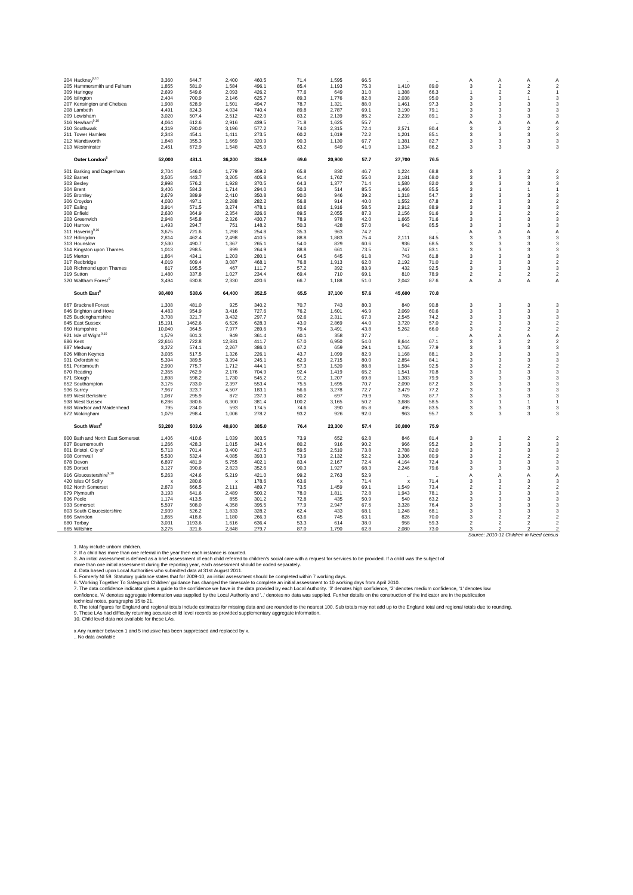| 204 Hackney $^{9,10}$                     | 3,360                     | 644.7           | 2.400                     | 460.5          | 71.4         | 1.595        | 66.5         |              |              | A                       | A                               | Α                                | $\overline{A}$                            |
|-------------------------------------------|---------------------------|-----------------|---------------------------|----------------|--------------|--------------|--------------|--------------|--------------|-------------------------|---------------------------------|----------------------------------|-------------------------------------------|
| 205 Hammersmith and Fulham                | 1.855                     | 581.0           | 1.584                     | 496.1          | 85.4         | 1.193        | 75.3         | 1.410        | 89.0         | 3                       | $\overline{2}$                  | $\overline{2}$                   | $\overline{2}$                            |
| 309 Haringey                              | 2,699                     | 549.6           | 2,093                     | 426.2          | 77.6         | 649          | 31.0         | 1,388        | 66.3         | $\mathbf{1}$            | $\overline{\mathbf{2}}$         | $\boldsymbol{2}$                 | $\overline{1}$                            |
| 206 Islington                             | 2.404                     | 700.9           | 2,146                     | 625.7          | 89.3         | 1,776        | 82.8         | 2,038        | 95.0         | 3                       | 3                               | $\mathbf{1}$                     | 3                                         |
|                                           | 1,908                     | 628.9           | 1,501                     | 494.7          | 78.7         | 1,321        | 88.0         | 1,461        | 97.3         | 3                       | 3                               | 3                                | 3                                         |
| 207 Kensington and Chelsea<br>208 Lambeth | 4,491                     | 824.3           | 4,034                     | 740.4          | 89.8         | 2,787        | 69.1         | 3,190        | 79.1         | 3                       | 3                               | 3                                | 3                                         |
| 209 Lewisham                              | 3,020                     | 507.4           | 2,512                     | 422.0          | 83.2         |              | 85.2         | 2,239        | 89.1         | 3                       | 3                               | 3                                | $\mathbf{3}$                              |
|                                           |                           |                 |                           |                |              | 2,139        |              |              |              |                         |                                 |                                  |                                           |
| 316 Newham <sup>9,10</sup>                | 4,064                     | 612.6           | 2,916                     | 439.5          | 71.8         | 1,625        | 55.7         |              |              | А                       | Α                               | Α                                | Α                                         |
| 210 Southwark                             | 4,319                     | 780.0           | 3,196                     | 577.2          | 74.0         | 2,315        | 72.4         | 2,571        | 80.4         | 3                       | $\overline{2}$                  | $\overline{2}$                   | $\overline{2}$                            |
| 211 Tower Hamlets                         | 2,343                     | 454.1           | 1,411                     | 273.5          | 60.2         | 1,019        | 72.2         | 1,201        | 85.1         | 3                       | 3                               | 3                                | 3                                         |
| 212 Wandsworth                            | 1,848                     | 355.3           | 1,669                     | 320.9          | 90.3         | 1,130        | 67.7         | 1,381        | 82.7         | 3                       | 3                               | 3                                | $\mathbf{3}$                              |
| 213 Westminster                           | 2,451                     | 672.9           | 1,548                     | 425.0          | 63.2         | 649          | 41.9         | 1,334        | 86.2         | 3                       | 3                               | 3                                | 3                                         |
| Outer London <sup>®</sup>                 | 52,000                    | 481.1           | 36,200                    | 334.9          | 69.6         | 20,900       | 57.7         | 27,700       | 76.5         |                         |                                 |                                  |                                           |
| 301 Barking and Dagenham                  | 2,704                     | 546.0           | 1,779                     | 359.2          | 65.8         | 830          | 46.7         | 1,224        | 68.8         | 3                       | $\overline{2}$                  | $\boldsymbol{2}$                 | $\overline{2}$                            |
| 302 Barnet                                | 3,505                     | 443.7           | 3.205                     | 405.8          | 91.4         | 1,762        | 55.0         | 2,181        | 68.0         | 3                       | 3                               | 3                                | 3                                         |
| 303 Bexley                                | 2,998                     | 576.2           | 1,928                     | 370.5          | 64.3         | 1,377        | 71.4         | 1,580        | 82.0         | 3                       | 3                               | 3                                | $\mathsf 3$                               |
| 304 Brent                                 | 3,406                     | 584.3           | 1,714                     | 294.0          | 50.3         | 514          | 85.5         | 1,466        | 85.5         | 3                       | 1                               | $\mathbf{1}$                     | $\mathbf{1}$                              |
| 305 Bromley                               | 2,679                     | 389.9           | 2,410                     | 350.8          | 90.0         | 946          | 39.2         | 1,318        | 54.7         | 3                       | 3                               | 3                                | 3                                         |
| 306 Croydon                               | 4,030                     | 497.1           | 2,288                     | 282.2          | 56.8         | 914          | 40.0         | 1,552        | 67.8         | $\overline{2}$          | 3                               | 3                                | $\overline{2}$                            |
| 307 Ealing                                | 3,914                     | 571.5           | 3,274                     | 478.1          | 83.6         | 1,916        | 58.5         | 2,912        | 88.9         | $\mathsf 3$             | 3                               | $\mathsf 3$                      | $\mathbf 3$                               |
| 308 Enfield                               | 2,630                     | 364.9           | 2.354                     | 326.6          | 89.5         | 2.055        | 87.3         | 2,156        | 91.6         | 3                       | $\mathfrak{p}$                  | $\overline{2}$                   | $\overline{2}$                            |
| 203 Greenwich                             | 2.948                     | 545.8           | 2.326                     | 430.7          | 78.9         | 978          | 42.0         | 1,665        | 71.6         | 3                       | 3                               | 3                                | 3                                         |
| 310 Harrow                                | 1,493                     | 294.7           | 751                       | 148.2          | 50.3         | 428          | 57.0         | 642          | 85.5         | 3                       | 3                               | 3                                | 3                                         |
| 311 Havering <sup>9,10</sup>              | 3,675                     | 721.6           | 1,298                     | 254.8          | 35.3         | 963          | 74.2         |              |              | A                       | $\overline{A}$                  | Α                                | Α                                         |
|                                           | 2,814                     | 462.4           | 2,498                     | 410.5          | 88.8         | 1,883        | 75.4         | 2,111        | 84.5         | 3                       | 3                               | 3                                | 3                                         |
| 312 Hillingdon<br>313 Hounslow            | 2.530                     | 490.7           | 1.367                     | 265.1          | 54.0         | 829          | 60.6         | 936          | 68.5         | 3                       | 3                               | 3                                | 3                                         |
|                                           |                           |                 |                           |                |              |              |              |              |              |                         |                                 |                                  |                                           |
| 314 Kingston upon Thames                  | 1,013                     | 298.5           | 899                       | 264.9          | 88.8         | 661          | 73.5         | 747          | 83.1         | 3                       | 3                               | 3                                | 3                                         |
| 315 Merton                                | 1,864                     | 434.1           | 1,203                     | 280.1          | 64.5         | 645          | 61.8         | 743          | 61.8         | 3                       | 3                               | 3                                | 3                                         |
| 317 Redbridge                             | 4,019                     | 609.4           | 3,087                     | 468.1          | 76.8         | 1,913        | 62.0         | 2,192        | 71.0         | $\overline{\mathbf{c}}$ | 3                               | 3                                | $\boldsymbol{2}$                          |
| 318 Richmond upon Thames                  | 817                       | 195.5           | 467                       | 111.7          | 57.2         | 392          | 83.9         | 432          | 92.5         | 3                       | 3                               | 3                                | 3                                         |
| 319 Sutton                                | 1,480                     | 337.8           | 1,027                     | 234.4          | 69.4         | 710          | 69.1         | 810          | 78.9         | $\boldsymbol{2}$        | $\overline{2}$                  | $\boldsymbol{2}$                 | $\overline{c}$                            |
| 320 Waltham Forest <sup>9</sup>           | 3,494                     | 630.8           | 2,330                     | 420.6          | 66.7         | 1,188        | 51.0         | 2,042        | 87.6         | A                       | A                               | Α                                | Α                                         |
| South East <sup>8</sup>                   | 98,400                    | 538.6           | 64,400                    | 352.5          | 65.5         | 37,100       | 57.6         | 45,600       | 70.8         |                         |                                 |                                  |                                           |
| 867 Bracknell Forest                      | 1,308                     | 481.0           | 925                       | 340.2          | 70.7         | 743          | 80.3         | 840          | 90.8         | 3                       | 3                               | 3                                | 3                                         |
|                                           | 4,483                     | 954.9           | 3,416                     | 727.6          | 76.2         | 1,601        | 46.9         | 2,069        | 60.6         | 3                       | 3                               | 3                                | 3                                         |
| 846 Brighton and Hove                     |                           |                 |                           |                |              |              |              |              |              |                         |                                 |                                  |                                           |
| 825 Buckinghamshire                       | 3,708                     | 321.7           | 3,432                     | 297.7          | 92.6         | 2,311        | 67.3         | 2,545        | 74.2         | 3                       | 3                               | 3                                | 3                                         |
| 845 East Sussex                           | 15,191                    | 1462.6          | 6,526                     | 628.3          | 43.0         | 2,869        | 44.0         | 3,720        | 57.0         | $\mathbf 2$             | 3                               | 3                                | $\overline{c}$                            |
| 850 Hampshire                             | 10,040                    | 364.5           | 7,977                     | 289.6          | 79.4         | 3,491        | 43.8         | 5,262        | 66.0         | 3                       | $\overline{2}$                  | $\overline{c}$                   | $\sqrt{2}$                                |
| 921 Isle of Wight <sup>9,10</sup>         | 1,579                     | 601.3           | 949                       | 361.4          | 60.1         | 358          | 37.7         |              |              | A                       | Α                               | Α                                | Α                                         |
| 886 Kent                                  | 22,616                    | 722.8           | 12,881                    | 411.7          | 57.0         | 6,950        | 54.0         | 8,644        | 67.1         | 3                       | $\mathfrak{p}$                  | $\boldsymbol{2}$                 | $\overline{\mathbf{c}}$                   |
| 887 Medway                                | 3,372                     | 574.1           | 2,267                     | 386.0          | 67.2         | 659          | 29.1         | 1,765        | 77.9         | 3                       | 3                               | $\mathsf 3$                      | $\mathbf 3$                               |
| 826 Milton Keynes                         | 3,035                     | 517.5           | 1,326                     | 226.1          | 43.7         | 1,099        | 82.9         | 1,168        | 88.1         | 3                       | 3                               | 3                                | 3                                         |
| 931 Oxfordshire                           | 5,394                     | 389.5           | 3,394                     | 245.1          | 62.9         | 2,715        | 80.0         | 2,854        | 84.1         | 3                       | 3                               | $\mathsf 3$                      | $\mathsf 3$                               |
| 851 Portsmouth                            | 2,990                     | 775.7           | 1,712                     | 444.1          | 57.3         | 1,520        | 88.8         | 1,584        | 92.5         | 3                       | $\overline{\mathbf{2}}$         | $\boldsymbol{2}$                 | $\boldsymbol{2}$                          |
| 870 Reading                               | 2,355                     | 762.9           | 2,176                     | 704.9          | 92.4         | 1,419        | 65.2         | 1,541        | 70.8         | 3                       | 3                               | 3                                | 3                                         |
| 871 Slough                                | 1,898                     | 598.2           | 1,730                     | 545.2          | 91.2         | 1,207        | 69.8         | 1,383        | 79.9         | 3                       | 3                               | 3                                | 3                                         |
| 852 Southampton                           | 3,175                     | 733.0           | 2,397                     | 553.4          | 75.5         | 1,695        | 70.7         | 2,090        | 87.2         | 3                       | 3                               | 3                                | 3                                         |
| 936 Surrey                                | 7,967                     | 323.7           | 4,507                     | 183.1          | 56.6         | 3,278        | 72.7         | 3,479        | 77.2         | 3                       | 3                               | 3                                | 3                                         |
| 869 West Berkshire                        | 1,087                     | 295.9           | 872                       | 237.3          | 80.2         | 697          | 79.9         | 765          | 87.7         | 3                       | 3                               | 3                                | 3                                         |
| 938 West Sussex                           | 6,286                     | 380.6           | 6,300                     | 381.4          | 100.2        | 3,165        | 50.2         | 3,688        | 58.5         | 3                       | 1                               | $\mathbf{1}$                     | $\overline{1}$                            |
| 868 Windsor and Maidenhead                | 795                       | 234.0           | 593                       | 174.5          | 74.6         | 390          | 65.8         | 495          | 83.5         | 3                       | 3                               | 3                                | 3                                         |
| 872 Wokingham                             | 1,079                     | 298.4           | 1,006                     | 278.2          | 93.2         | 926          | 92.0         | 963          | 95.7         | 3                       | 3                               | 3                                | 3                                         |
| South West <sup>8</sup>                   | 53,200                    | 503.6           | 40,600                    | 385.0          | 76.4         | 23,300       | 57.4         | 30,800       | 75.9         |                         |                                 |                                  |                                           |
|                                           |                           |                 |                           |                |              |              |              |              |              |                         |                                 |                                  |                                           |
| 800 Bath and North East Somerset          | 1,406                     | 410.6           | 1,039                     | 303.5          | 73.9         | 652          | 62.8         | 846          | 81.4         | 3                       | $\overline{\mathbf{c}}$         | $\boldsymbol{2}$                 | $\overline{2}$                            |
| 837 Bournemouth                           | 1,266                     | 428.3           | 1,015                     | 343.4          | 80.2         | 916          | 90.2         | 966          | 95.2         | 3                       | 3                               | 3                                | 3                                         |
| 801 Bristol, City of                      | 5,713                     | 701.4           | 3,400                     | 417.5          | 59.5         | 2,510        | 73.8         | 2,788        | 82.0         | 3                       | 3                               | 3                                | 3                                         |
| 908 Cornwall                              | 5,530                     | 532.4           | 4,085                     | 393.3          | 73.9         | 2,132        | 52.2         | 3,306        | 80.9         | 3                       | 2                               | $\boldsymbol{2}$                 | $\overline{\mathbf{c}}$                   |
| 878 Devon                                 | 6,897                     | 481.9           | 5,755                     | 402.1          | 83.4         | 2,167        | 72.4         | 4,164        | 72.4         | 3                       | 3                               | 3                                | $\mathbf{3}$                              |
| 835 Dorset                                | 3,127                     | 390.6           | 2,823                     | 352.6          | 90.3         | 1,927        | 68.3         | 2,246        | 79.6         | 3                       | 3                               | 3                                | $\mathbf{3}$                              |
| 916 Gloucestershire $^{9,10}$             | 5,263                     | 424.6           | 5,219                     | 421.0          | 99.2         | 2,763        | 52.9         |              |              | А                       | Α                               | Α                                | Α                                         |
| 420 Isles Of Scilly                       | $\boldsymbol{\mathsf{x}}$ | 280.6           | $\boldsymbol{\mathsf{x}}$ | 178.6          | 63.6         | x            | 71.4         | X            | 71.4         | 3                       | 3                               | 3                                | 3                                         |
| 802 North Somerset                        | 2,873                     | 666.5           | 2,111                     | 489.7          | 73.5         | 1,459        | 69.1         | 1,549        | 73.4         | $\overline{2}$          | 2                               | $\boldsymbol{2}$                 | $\overline{\mathbf{c}}$                   |
| 879 Plymouth                              | 3,193                     | 641.6           | 2,489                     | 500.2          | 78.0         | 1,811        | 72.8         | 1,943        | 78.1         | 3                       | 3                               | 3                                | 3                                         |
| 836 Poole                                 | 1.174                     | 413.5           | 855                       | 301.2          | 72.8         | 435          | 50.9         | 540          | 63.2         | 3                       | 3                               | 3                                | 3                                         |
| 933 Somerset                              | 5,597                     | 508.0           | 4,358                     | 395.5          | 77.9         | 2,947        | 67.6         | 3,328        | 76.4         | 3                       | 3                               | 3                                | 3                                         |
| 803 South Gloucestershire                 | 2,939                     | 526.2           | 1,833                     | 328.2          | 62.4         | 433          | 68.1         | 1,248        | 68.1         | 3                       | 3                               | 3                                | 3                                         |
| 866 Swindon                               | 1,855                     | 418.6           | 1,180                     | 266.3          | 63.6         | 745          | 63.1         | 826          | 70.0         | 3                       | $\overline{\mathbf{2}}$         | $\boldsymbol{2}$                 | $\overline{c}$                            |
| 880 Torbay                                |                           |                 |                           |                |              |              |              |              |              |                         |                                 |                                  |                                           |
|                                           |                           |                 |                           |                |              |              |              |              |              |                         |                                 |                                  |                                           |
| 865 Wiltshire                             | 3,031<br>3,275            | 1193.6<br>321.6 | 1,616<br>2,848            | 636.4<br>279.7 | 53.3<br>87.0 | 614<br>1,790 | 38.0<br>62.8 | 958<br>2,080 | 59.3<br>73.0 | $\overline{2}$<br>3     | $\mathcal{P}$<br>$\mathfrak{p}$ | $\overline{2}$<br>$\mathfrak{p}$ | $\overline{c}$<br>$\overline{\mathbf{c}}$ |

1. May include unborn children.

2. If a child has more than one referral in the year then each instance is counted.

3. An initial assessment is defined as a brief assessment of each child referred to children's social care with a request for services to be provided. If a child was the subject of<br>more than one initial assessment during t

5. Formerly NI 59. Statutory guidance states that for 2009-10, an initial assessment should be completed within 7 working days.

6. 'Working Together To Safeguard Children' guidance has changed the timescale to complete an initial assessment to 10 working days from April 2010.

9. These LAs had difficulty returning accurate child level records so provided supplementary aggregate information.<br>10. Child level data not available for these LAs. 7. The data confidence indicator gives a guide to the confidence we have in the data provided by each Local Authority. '3' denotes high confidence, '2' denotes medium confidence, '1' denotes low<br>technical notes, paragraphs

x Any number between 1 and 5 inclusive has been suppressed and replaced by x.<br>.. No data available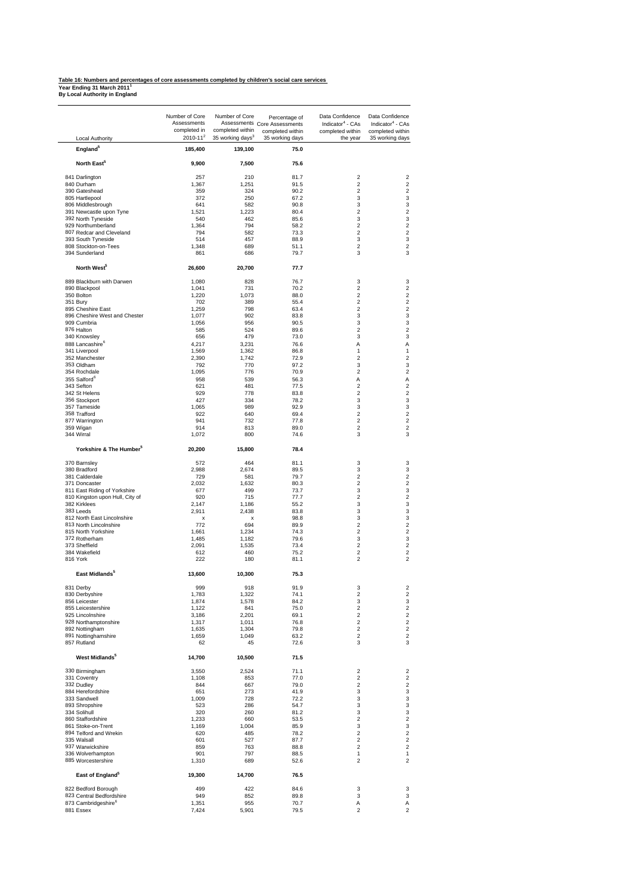# **Table 16: Numbers and percentages of core assessments completed by children's social care services Year Ending 31 March 2011<sup>1</sup> By Local Authority in England**

|                                              | Number of Core<br>Assessments<br>completed in | Number of Core<br>completed within | Percentage of<br>Assessments Core Assessments<br>completed within | Data Confidence<br>Indicator <sup>4</sup> - CAs<br>completed within | Data Confidence<br>Indicator <sup>4</sup> - CAs<br>completed within |
|----------------------------------------------|-----------------------------------------------|------------------------------------|-------------------------------------------------------------------|---------------------------------------------------------------------|---------------------------------------------------------------------|
| Local Authority                              | $2010 - 11^2$                                 | 35 working days <sup>3</sup>       | 35 working days                                                   | the year                                                            | 35 working days                                                     |
| England <sup>5</sup>                         | 185,400                                       | 139,100                            | 75.0                                                              |                                                                     |                                                                     |
| North East <sup>5</sup>                      | 9,900                                         | 7,500                              | 75.6                                                              |                                                                     |                                                                     |
| 841 Darlington                               | 257                                           | 210                                | 81.7                                                              | $\overline{c}$                                                      | $\overline{2}$                                                      |
| 840 Durham                                   | 1,367                                         | 1,251                              | 91.5                                                              | $\overline{c}$                                                      | $\overline{2}$<br>$\overline{c}$                                    |
| 390 Gateshead<br>805 Hartlepool              | 359<br>372                                    | 324<br>250                         | 90.2<br>67.2                                                      | $\overline{c}$<br>3                                                 | 3                                                                   |
|                                              | 641                                           | 582                                | 90.8                                                              | 3                                                                   |                                                                     |
| 806 Middlesbrough<br>391 Newcastle upon Tyne | 1,521                                         | 1,223                              | 80.4                                                              | $\overline{c}$                                                      | $\overline{2}$                                                      |
| 392 North Tyneside                           | 540                                           | 462                                | 85.6                                                              | 3                                                                   |                                                                     |
| 929 Northumberland                           | 1,364                                         | 794                                | 58.2                                                              | $\overline{\mathbf{c}}$                                             |                                                                     |
| 807 Redcar and Cleveland                     | 794                                           | 582                                | 73.3                                                              | $\overline{c}$                                                      |                                                                     |
| 393 South Tyneside                           | 514                                           | 457                                | 88.9                                                              | 3                                                                   |                                                                     |
| 808 Stockton-on-Tees                         | 1,348                                         | 689                                | 51.1                                                              | $\overline{c}$                                                      |                                                                     |
| 394 Sunderland                               | 861                                           | 686                                | 79.7                                                              | 3                                                                   |                                                                     |
| North West <sup>5</sup>                      | 26,600                                        | 20,700                             | 77.7                                                              |                                                                     |                                                                     |
| 889 Blackburn with Darwen                    | 1,080                                         | 828                                | 76.7                                                              | 3                                                                   |                                                                     |
| 890 Blackpool                                | 1,041                                         | 731                                | 70.2                                                              | $\overline{c}$                                                      |                                                                     |
| 350 Bolton                                   | 1,220                                         | 1,073                              | 88.0                                                              | $\overline{2}$                                                      |                                                                     |
| 351 Bury                                     | 702                                           | 389                                | 55.4                                                              | $\overline{\mathbf{c}}$                                             |                                                                     |
| 895 Cheshire East                            | 1,259                                         | 798                                | 63.4                                                              | $\overline{c}$                                                      |                                                                     |
| 896 Cheshire West and Chester                | 1,077                                         | 902                                | 83.8                                                              | 3                                                                   |                                                                     |
| 909 Cumbria                                  | 1,056                                         | 956                                | 90.5                                                              | 3                                                                   |                                                                     |
| 876 Halton                                   | 585                                           | 524                                | 89.6                                                              | $\overline{c}$                                                      |                                                                     |
| 340 Knowsley                                 | 656                                           | 479                                | 73.0                                                              | 3                                                                   |                                                                     |
| 888 Lancashire <sup>6</sup>                  | 4.217                                         | 3,231                              | 76.6                                                              | Α                                                                   |                                                                     |
| 341 Liverpool                                | 1,569                                         | 1,362                              | 86.8                                                              | 1                                                                   |                                                                     |
| 352 Manchester                               | 2,390                                         | 1,742                              | 72.9                                                              | $\overline{c}$                                                      |                                                                     |
| 353 Oldham                                   | 792                                           | 770                                | 97.2                                                              | 3                                                                   |                                                                     |
| 354 Rochdale                                 | 1,095                                         | 776                                | 70.9                                                              | $\overline{2}$                                                      |                                                                     |
| 355 Salford <sup>6</sup>                     | 958                                           | 539                                | 56.3                                                              | Α                                                                   |                                                                     |
| 343 Sefton                                   | 621                                           | 481                                | 77.5                                                              | $\overline{2}$                                                      |                                                                     |
| 342 St Helens                                | 929                                           | 778                                | 83.8                                                              | $\overline{2}$                                                      |                                                                     |
| 356 Stockport                                | 427                                           | 334                                | 78.2                                                              | 3                                                                   |                                                                     |
| 357 Tameside                                 | 1,065                                         | 989                                | 92.9                                                              | 3                                                                   |                                                                     |
| 358 Trafford                                 | 922                                           | 640                                | 69.4                                                              | $\overline{2}$                                                      |                                                                     |
| 877 Warrington                               | 941                                           | 732                                | 77.8                                                              | $\overline{2}$                                                      |                                                                     |
| 359 Wigan<br>344 Wirral                      | 914<br>1,072                                  | 813<br>800                         | 89.0<br>74.6                                                      | $\overline{2}$<br>3                                                 |                                                                     |
| Yorkshire & The Humber <sup>5</sup>          | 20,200                                        | 15,800                             | 78.4                                                              |                                                                     |                                                                     |
|                                              |                                               |                                    |                                                                   |                                                                     |                                                                     |
| 370 Barnsley                                 | 572                                           | 464                                | 81.1                                                              | 3                                                                   |                                                                     |
| 380 Bradford                                 | 2,988                                         | 2,674                              | 89.5                                                              | 3                                                                   |                                                                     |
| 381 Calderdale                               | 729                                           | 581                                | 79.7                                                              | $\overline{2}$                                                      |                                                                     |
| 371 Doncaster                                | 2,032                                         | 1,632                              | 80.3                                                              | $\overline{2}$                                                      |                                                                     |
| 811 East Riding of Yorkshire                 | 677                                           | 499                                | 73.7                                                              | 3                                                                   |                                                                     |
| 810 Kingston upon Hull, City of              | 920                                           | 715                                | 77.7                                                              | $\overline{2}$<br>3                                                 |                                                                     |
| 382 Kirklees                                 | 2,147                                         | 1,186                              | 55.2                                                              |                                                                     |                                                                     |
| 383 Leeds                                    | 2.911                                         | 2,438                              | 83.8                                                              | 3                                                                   |                                                                     |
| 812 North East Lincolnshire                  | $\boldsymbol{\mathsf{x}}$<br>772              | $\boldsymbol{\mathsf{x}}$          | 98.8                                                              | 3<br>$\overline{c}$                                                 |                                                                     |
| 813 North Lincolnshire                       |                                               | 694                                | 89.9                                                              |                                                                     |                                                                     |
| 815 North Yorkshire                          | 1,661<br>1.485                                | 1,234                              | 74.3                                                              | $\overline{\mathbf{c}}$                                             |                                                                     |
| 372 Rotherham<br>373 Sheffield               | 2,091                                         | 1,182                              | 79.6<br>73.4                                                      | 3<br>$\overline{2}$                                                 |                                                                     |
| 384 Wakefield                                | 612                                           | 1,535<br>460                       | 75.2                                                              | $\overline{\mathbf{c}}$                                             |                                                                     |
| 816 York                                     | 222                                           | 180                                | 81.1                                                              | $\overline{c}$                                                      |                                                                     |
| East Midlands <sup>5</sup>                   | 13.600                                        | 10,300                             | 75.3                                                              |                                                                     |                                                                     |
| 831 Derby                                    | 999                                           | 918                                | 91.9                                                              | 3                                                                   |                                                                     |
| 830 Derbyshire                               | 1,783                                         | 1,322                              | 74.1                                                              | $\overline{\mathbf{c}}$                                             |                                                                     |
| 856 Leicester                                | 1,874                                         | 1,578                              | 84.2                                                              | 3                                                                   |                                                                     |
| 855 Leicestershire                           | 1,122                                         | 841                                | 75.0                                                              | $\overline{c}$                                                      |                                                                     |
| 925 Lincolnshire                             | 3.186                                         | 2,201                              | 69.1                                                              | $\overline{c}$                                                      |                                                                     |
| 928 Northamptonshire                         | 1,317                                         | 1,011                              | 76.8                                                              | $\overline{2}$                                                      |                                                                     |
| 892 Nottingham                               | 1,635                                         | 1,304                              | 79.8                                                              | $\overline{\mathbf{c}}$                                             |                                                                     |
| 891 Nottinghamshire<br>857 Rutland           | 1.659<br>62                                   | 1,049<br>45                        | 63.2<br>72.6                                                      | $\overline{2}$<br>3                                                 |                                                                     |
| West Midlands <sup>5</sup>                   | 14,700                                        | 10,500                             | 71.5                                                              |                                                                     |                                                                     |
|                                              |                                               |                                    |                                                                   |                                                                     |                                                                     |
| 330 Birmingham<br>331 Coventry               | 3,550<br>1,108                                | 2,524<br>853                       | 71.1<br>77.0                                                      | $\overline{\mathbf{c}}$<br>$\overline{\mathbf{c}}$                  |                                                                     |
| 332 Dudley                                   | 844                                           | 667                                | 79.0                                                              | $\overline{c}$                                                      |                                                                     |
| 884 Herefordshire                            | 651                                           | 273                                | 41.9                                                              | 3                                                                   |                                                                     |
| 333 Sandwell                                 | 1,009                                         | 728                                | 72.2                                                              | 3                                                                   |                                                                     |
| 893 Shropshire                               | 523                                           | 286                                | 54.7                                                              | 3                                                                   |                                                                     |
| 334 Solihull                                 | 320                                           | 260                                | 81.2                                                              | 3                                                                   |                                                                     |
| 860 Staffordshire                            | 1,233                                         | 660                                | 53.5                                                              | $\overline{2}$                                                      |                                                                     |
| 861 Stoke-on-Trent                           | 1,169                                         | 1,004                              | 85.9                                                              | 3                                                                   |                                                                     |
| 894 Telford and Wrekin                       | 620                                           | 485                                | 78.2                                                              | $\overline{c}$                                                      |                                                                     |
| 335 Walsall                                  | 601                                           | 527                                | 87.7                                                              | $\overline{2}$                                                      |                                                                     |
| 937 Warwickshire                             | 859                                           | 763                                | 88.8                                                              | $\overline{2}$                                                      |                                                                     |
| 336 Wolverhampton                            | 901                                           | 797                                | 88.5                                                              | $\mathbf{1}$                                                        |                                                                     |
| 885 Worcestershire                           | 1,310                                         | 689                                | 52.6                                                              | $\overline{2}$                                                      |                                                                     |
| East of England <sup>5</sup>                 | 19,300                                        | 14,700                             | 76.5                                                              |                                                                     |                                                                     |
| 822 Bedford Borough                          | 499                                           | 422                                | 84.6                                                              | 3                                                                   |                                                                     |
| 823 Central Bedfordshire                     | 949                                           | 852                                | 89.8                                                              | 3                                                                   |                                                                     |
| 873 Cambridgeshire <sup>6</sup>              | 1,351                                         | 955                                | 70.7                                                              | Α                                                                   |                                                                     |
| 881 Essex                                    | 7,424                                         | 5,901                              | 79.5                                                              | $\overline{c}$                                                      |                                                                     |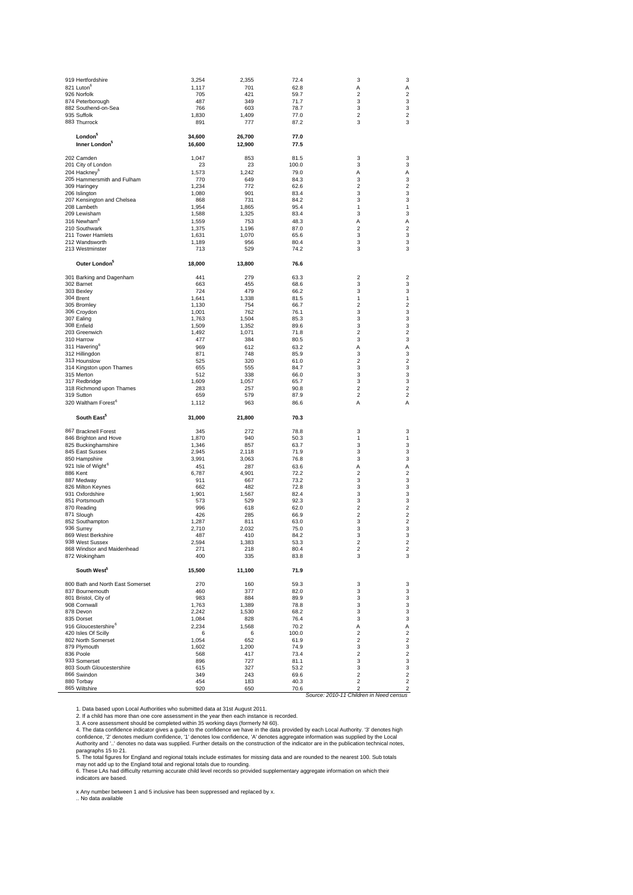| 919 Hertfordshire                             | 3,254        | 2,355        | 72.4         | 3                            | 3                                |
|-----------------------------------------------|--------------|--------------|--------------|------------------------------|----------------------------------|
| 821 Luton <sup>6</sup>                        | 1,117        | 701          | 62.8         | Α                            | Α                                |
| 926 Norfolk                                   | 705<br>487   | 421<br>349   | 59.7         | $\overline{\mathbf{c}}$      | $\overline{\mathbf{c}}$<br>3     |
| 874 Peterborough<br>882 Southend-on-Sea       | 766          | 603          | 71.7<br>78.7 | 3<br>3                       | 3                                |
| 935 Suffolk                                   | 1,830        | 1,409        | 77.0         | $\overline{\mathbf{c}}$      | $\overline{c}$                   |
| 883 Thurrock                                  | 891          | 777          | 87.2         | 3                            | 3                                |
|                                               |              |              |              |                              |                                  |
| London <sup>5</sup>                           | 34,600       | 26,700       | 77.0         |                              |                                  |
| Inner London <sup>5</sup>                     | 16,600       | 12,900       | 77.5         |                              |                                  |
|                                               |              |              |              |                              |                                  |
| 202 Camden                                    | 1,047        | 853          | 81.5         | 3                            | 3                                |
| 201 City of London                            | 23           | 23           | 100.0        | 3                            | 3                                |
| 204 Hackney <sup>6</sup>                      | 1,573        | 1,242        | 79.0         | Α                            | Α                                |
| 205 Hammersmith and Fulham                    | 770          | 649          | 84.3         | 3                            | 3                                |
| 309 Haringey                                  | 1,234        | 772          | 62.6         | $\overline{\mathbf{c}}$      | $\overline{\mathbf{c}}$          |
| 206 Islington                                 | 1,080        | 901          | 83.4         | 3                            | 3                                |
| 207 Kensington and Chelsea                    | 868          | 731          | 84.2         | 3                            | 3                                |
| 208 Lambeth                                   | 1,954        | 1,865        | 95.4         | 1                            | 1                                |
| 209 Lewisham                                  | 1,588        | 1,325        | 83.4         | 3                            | 3                                |
| 316 Newham <sup>6</sup>                       | 1,559        | 753          | 48.3         | Α                            | Α                                |
| 210 Southwark                                 | 1,375        | 1,196        | 87.0         | $\overline{\mathbf{c}}$      | $\overline{\mathbf{c}}$          |
| 211 Tower Hamlets                             | 1,631        | 1,070        | 65.6         | 3                            | 3                                |
| 212 Wandsworth<br>213 Westminster             | 1,189        | 956          | 80.4         | 3<br>3                       | 3<br>3                           |
|                                               | 713          | 529          | 74.2         |                              |                                  |
| Outer London <sup>5</sup>                     | 18,000       | 13,800       | 76.6         |                              |                                  |
|                                               |              |              |              |                              |                                  |
| 301 Barking and Dagenham                      | 441          | 279          | 63.3         | $\overline{2}$               | $\overline{\mathbf{c}}$          |
| 302 Barnet                                    | 663          | 455          | 68.6         | 3                            | 3                                |
| 303 Bexley                                    | 724          | 479          | 66.2         | 3                            | 3                                |
| 304 Brent                                     | 1,641        | 1,338        | 81.5         | 1                            | 1                                |
| 305 Bromley                                   | 1,130        | 754          | 66.7         | $\overline{\mathbf{c}}$      | 2                                |
| 306 Croydon                                   | 1,001        | 762          | 76.1         | 3                            | 3                                |
| 307 Ealing                                    | 1,763        | 1,504        | 85.3         | 3                            | 3                                |
| 308 Enfield                                   | 1,509        | 1,352        | 89.6         | 3                            | 3                                |
| 203 Greenwich                                 | 1,492        | 1,071        | 71.8         | $\overline{2}$               | $\overline{\mathbf{c}}$          |
| 310 Harrow                                    | 477          | 384          | 80.5         | 3                            | 3                                |
| 311 Havering <sup>b</sup>                     | 969          | 612          | 63.2         | A                            | A                                |
| 312 Hillingdon<br>313 Hounslow                | 871          | 748          | 85.9         | 3                            | 3                                |
|                                               | 525<br>655   | 320<br>555   | 61.0<br>84.7 | $\overline{c}$<br>3          | $\overline{\mathbf{c}}$<br>3     |
| 314 Kingston upon Thames<br>315 Merton        | 512          | 338          | 66.0         | 3                            | 3                                |
|                                               | 1,609        | 1,057        | 65.7         | 3                            | 3                                |
|                                               |              |              |              |                              |                                  |
| 317 Redbridge                                 |              |              |              |                              |                                  |
| 318 Richmond upon Thames                      | 283          | 257          | 90.8         | $\overline{c}$               | $\overline{2}$<br>$\overline{2}$ |
| 319 Sutton<br>320 Waltham Forest <sup>6</sup> | 659          | 579<br>963   | 87.9<br>86.6 | $\overline{c}$<br>Α          | A                                |
|                                               | 1,112        |              |              |                              |                                  |
| South East <sup>5</sup>                       | 31,000       | 21,800       | 70.3         |                              |                                  |
|                                               |              |              |              |                              |                                  |
| 867 Bracknell Forest                          | 345          | 272          | 78.8         | 3                            | 3                                |
| 846 Brighton and Hove                         | 1,870        | 940          | 50.3         | 1                            | 1                                |
| 825 Buckinghamshire                           | 1,346        | 857          | 63.7         | 3                            | 3                                |
| 845 East Sussex                               | 2,945        | 2,118        | 71.9         | 3                            | 3                                |
| 850 Hampshire                                 | 3,991        | 3,063        | 76.8         | 3                            | 3                                |
| 921 Isle of Wight <sup>6</sup>                | 451          | 287          | 63.6         | Α                            | A                                |
| 886 Kent                                      | 6,787        | 4,901        | 72.2         | $\overline{\mathbf{c}}$      | $\overline{\mathbf{c}}$          |
| 887 Medway                                    | 911          | 667          | 73.2         | 3                            | 3                                |
| 826 Milton Keynes                             | 662          | 482          | 72.8<br>82.4 | 3                            | 3<br>3                           |
| 931 Oxfordshire<br>851 Portsmouth             | 1,901<br>573 | 1,567<br>529 | 92.3         | 3<br>3                       | 3                                |
| 870 Reading                                   | 996          | 618          | 62.0         | $\overline{c}$               | $\overline{\mathbf{c}}$          |
| 871 Slough                                    | 426          | 285          | 66.9         | $\overline{\mathbf{c}}$      | $\overline{\mathbf{c}}$          |
| 852 Southampton                               | 1,287        | 811          | 63.0         | 3                            | $\overline{\mathbf{c}}$          |
| 936 Surrey                                    | 2,710        | 2,032        | 75.0         | 3                            | 3                                |
| 869 West Berkshire                            | 487          | 410          | 84.2         | 3                            | 3                                |
| 938 West Sussex                               | 2,594        | 1,383        | 53.3         | $\overline{\mathbf{c}}$      | $\overline{c}$                   |
| 868 Windsor and Maidenhead                    | 271          | 218          | 80.4         | $\overline{2}$               | $\overline{2}$                   |
| 872 Wokingham                                 | 400          | 335          | 83.8         | 3                            | 3                                |
| South West <sup>5</sup>                       |              |              |              |                              |                                  |
|                                               | 15,500       | 11,100       | 71.9         |                              |                                  |
| 800 Bath and North East Somerset              | 270          | 160          | 59.3         | 3                            | 3                                |
| 837 Bournemouth                               | 460          | 377          | 82.0         | 3                            | 3                                |
| 801 Bristol, City of                          | 983          | 884          | 89.9         | 3                            | 3                                |
| 908 Cornwall                                  | 1,763        | 1,389        | 78.8         | 3                            | 3                                |
| 878 Devon                                     | 2,242        | 1,530        | 68.2         | 3                            | 3                                |
| 835 Dorset                                    | 1,084        | 828          | 76.4         | 3                            | 3                                |
| 916 Gloucestershire <sup>6</sup>              | 2,234        | 1,568        | 70.2         | А                            | Α                                |
| 420 Isles Of Scilly                           | 6            | 6            | 100.0        | $\overline{\mathbf{c}}$      | $\overline{\mathbf{c}}$          |
| 802 North Somerset                            | 1,054        | 652          | 61.9         | $\overline{\mathbf{c}}$      | $\overline{c}$                   |
| 879 Plymouth                                  | 1,602        | 1,200        | 74.9         | 3                            | 3                                |
| 836 Poole                                     | 568          | 417          | 73.4         | $\overline{\mathbf{c}}$      | $\overline{\mathbf{c}}$          |
| 933 Somerset                                  | 896          | 727          | 81.1         | 3                            | 3                                |
| 803 South Gloucestershire<br>866 Swindon      | 615<br>349   | 327<br>243   | 53.2<br>69.6 | 3<br>$\overline{\mathbf{c}}$ | 3<br>$\overline{\mathbf{c}}$     |
| 880 Torbay                                    | 454          | 183          | 40.3         | 2                            | 2                                |
| 865 Wiltshire                                 | 920          | 650          | 70.6         | 2                            | $\overline{\mathbf{c}}$          |

1. Data based upon Local Authorities who submitted data at 31st August 2011.<br>2. If a child has more than one core assessment in the year then each instance is recorded.<br>3. A core assessment should be completed within 35 wo

x Any number between 1 and 5 inclusive has been suppressed and replaced by x.

.. No data available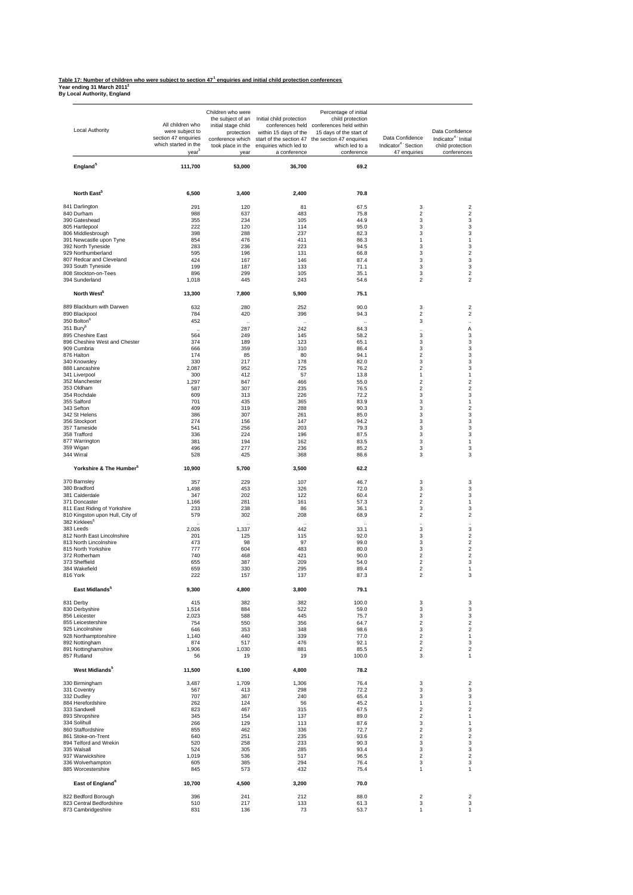#### **Table 17: Number of children who were subject to section 47<sup>1</sup> enquiries and initial child protection conferences**

**Year ending 31 March 20112 By Local Authority, England**

| Local Authority                                                 | All children who<br>were subject to<br>section 47 enquiries<br>which started in the<br>year | Children who were<br>the subject of an<br>initial stage child<br>protection<br>conference which<br>took place in the<br>year | Initial child protection<br>within 15 days of the<br>start of the section 47<br>enquiries which led to<br>a conference | Percentage of initial<br>child protection<br>conferences held conferences held within<br>15 days of the start of<br>the section 47 enquiries<br>which led to a<br>conference | Data Confidence<br>Indicator <sup>4</sup> Section<br>47 enquiries | Data Confidence<br>Indicator <sup>4</sup> Initial<br>child protection<br>conferences |
|-----------------------------------------------------------------|---------------------------------------------------------------------------------------------|------------------------------------------------------------------------------------------------------------------------------|------------------------------------------------------------------------------------------------------------------------|------------------------------------------------------------------------------------------------------------------------------------------------------------------------------|-------------------------------------------------------------------|--------------------------------------------------------------------------------------|
| England <sup>5</sup>                                            | 111,700                                                                                     | 53,000                                                                                                                       | 36,700                                                                                                                 | 69.2                                                                                                                                                                         |                                                                   |                                                                                      |
| North East <sup>5</sup>                                         | 6,500                                                                                       | 3,400                                                                                                                        | 2,400                                                                                                                  | 70.8                                                                                                                                                                         |                                                                   |                                                                                      |
| 841 Darlington                                                  | 291                                                                                         | 120                                                                                                                          | 81                                                                                                                     | 67.5                                                                                                                                                                         | 3                                                                 | $\overline{\mathbf{c}}$                                                              |
| 840 Durham                                                      | 988                                                                                         | 637                                                                                                                          | 483                                                                                                                    | 75.8                                                                                                                                                                         | $\overline{\mathbf{c}}$                                           | $\overline{\mathbf{c}}$                                                              |
| 390 Gateshead<br>805 Hartlepool                                 | 355<br>222                                                                                  | 234<br>120                                                                                                                   | 105<br>114                                                                                                             | 44.9<br>95.0                                                                                                                                                                 | 3<br>3                                                            | 3<br>3                                                                               |
| 806 Middlesbrough                                               | 398                                                                                         | 288                                                                                                                          | 237                                                                                                                    | 82.3                                                                                                                                                                         | 3                                                                 | 3                                                                                    |
| 391 Newcastle upon Tyne                                         | 854                                                                                         | 476                                                                                                                          | 411                                                                                                                    | 86.3                                                                                                                                                                         | 1                                                                 | 1                                                                                    |
| 392 North Tyneside<br>929 Northumberland                        | 283<br>595                                                                                  | 236<br>196                                                                                                                   | 223<br>131                                                                                                             | 94.5<br>66.8                                                                                                                                                                 | 3<br>3                                                            | 3<br>$\overline{\mathbf{c}}$                                                         |
| 807 Redcar and Cleveland                                        | 424                                                                                         | 167                                                                                                                          | 146                                                                                                                    | 87.4                                                                                                                                                                         | 3                                                                 | 3                                                                                    |
| 393 South Tyneside                                              | 199                                                                                         | 187                                                                                                                          | 133                                                                                                                    | 71.1                                                                                                                                                                         | 3                                                                 | 3                                                                                    |
| 808 Stockton-on-Tees<br>394 Sunderland                          | 896<br>1,018                                                                                | 299<br>445                                                                                                                   | 105<br>243                                                                                                             | 35.1<br>54.6                                                                                                                                                                 | 3<br>$\overline{\mathbf{c}}$                                      | $\overline{2}$<br>$\overline{2}$                                                     |
| North West <sup>5</sup>                                         | 13,300                                                                                      | 7,800                                                                                                                        | 5,900                                                                                                                  | 75.1                                                                                                                                                                         |                                                                   |                                                                                      |
| 889 Blackburn with Darwen<br>890 Blackpool                      | 632<br>784                                                                                  | 280<br>420                                                                                                                   | 252<br>396                                                                                                             | 90.0<br>94.3                                                                                                                                                                 | 3<br>$\overline{\mathbf{c}}$                                      | $\overline{\mathbf{c}}$<br>$\overline{\mathbf{c}}$                                   |
| 350 Bolton <sup>6</sup>                                         | 452                                                                                         |                                                                                                                              |                                                                                                                        |                                                                                                                                                                              | 3                                                                 |                                                                                      |
| 351 Bury <sup>6</sup>                                           |                                                                                             | 287                                                                                                                          | 242                                                                                                                    | 84.3                                                                                                                                                                         | $\ddot{\phantom{a}}$                                              | Α                                                                                    |
| 895 Cheshire East                                               | 564                                                                                         | 249                                                                                                                          | 145                                                                                                                    | 58.2                                                                                                                                                                         | 3                                                                 | 3                                                                                    |
| 896 Cheshire West and Chester<br>909 Cumbria                    | 374<br>666                                                                                  | 189<br>359                                                                                                                   | 123<br>310                                                                                                             | 65.1<br>86.4                                                                                                                                                                 | 3<br>3                                                            | 3<br>3                                                                               |
| 876 Halton                                                      | 174                                                                                         | 85                                                                                                                           | 80                                                                                                                     | 94.1                                                                                                                                                                         | 2                                                                 | 3                                                                                    |
| 340 Knowsley<br>888 Lancashire                                  | 330<br>2,087                                                                                | 217                                                                                                                          | 178                                                                                                                    | 82.0<br>76.2                                                                                                                                                                 | 3<br>$\overline{\mathbf{c}}$                                      | 3<br>3                                                                               |
| 341 Liverpool                                                   | 300                                                                                         | 952<br>412                                                                                                                   | 725<br>57                                                                                                              | 13.8                                                                                                                                                                         | 1                                                                 | 1                                                                                    |
| 352 Manchester                                                  | 1,297                                                                                       | 847                                                                                                                          | 466                                                                                                                    | 55.0                                                                                                                                                                         | $\overline{\mathbf{c}}$                                           | $\overline{2}$                                                                       |
| 353 Oldham<br>354 Rochdale                                      | 587<br>609                                                                                  | 307<br>313                                                                                                                   | 235<br>226                                                                                                             | 76.5<br>72.2                                                                                                                                                                 | $\overline{\mathbf{c}}$<br>3                                      | $\overline{\mathbf{c}}$<br>3                                                         |
| 355 Salford                                                     | 701                                                                                         | 435                                                                                                                          | 365                                                                                                                    | 83.9                                                                                                                                                                         | 3                                                                 | 1                                                                                    |
| 343 Sefton                                                      | 409                                                                                         | 319                                                                                                                          | 288                                                                                                                    | 90.3                                                                                                                                                                         | 3                                                                 | $\overline{\mathbf{c}}$                                                              |
| 342 St Helens<br>356 Stockport                                  | 386<br>274                                                                                  | 307<br>156                                                                                                                   | 261<br>147                                                                                                             | 85.0<br>94.2                                                                                                                                                                 | 3<br>3                                                            | 3<br>3                                                                               |
| 357 Tameside                                                    | 541                                                                                         | 256                                                                                                                          | 203                                                                                                                    | 79.3                                                                                                                                                                         | 3                                                                 | 3                                                                                    |
| 358 Trafford                                                    | 336                                                                                         | 224                                                                                                                          | 196                                                                                                                    | 87.5                                                                                                                                                                         | 3                                                                 | 3                                                                                    |
| 877 Warrington<br>359 Wigan                                     | 381<br>496                                                                                  | 194<br>277                                                                                                                   | 162<br>236                                                                                                             | 83.5<br>85.2                                                                                                                                                                 | 3<br>3                                                            | 1<br>3                                                                               |
| 344 Wirral                                                      | 528                                                                                         | 425                                                                                                                          | 368                                                                                                                    | 86.6                                                                                                                                                                         | 3                                                                 | 3                                                                                    |
| Yorkshire & The Humber <sup>5</sup>                             | 10,900                                                                                      | 5,700                                                                                                                        | 3,500                                                                                                                  | 62.2                                                                                                                                                                         |                                                                   |                                                                                      |
| 370 Barnsley<br>380 Bradford                                    | 357<br>1,498                                                                                | 229<br>453                                                                                                                   | 107<br>326                                                                                                             | 46.7<br>72.0                                                                                                                                                                 | 3<br>3                                                            | 3<br>3                                                                               |
| 381 Calderdale                                                  | 347                                                                                         | 202                                                                                                                          | 122                                                                                                                    | 60.4                                                                                                                                                                         | $\overline{\mathbf{c}}$                                           | 3                                                                                    |
| 371 Doncaster                                                   | 1,166                                                                                       | 281                                                                                                                          | 161                                                                                                                    | 57.3                                                                                                                                                                         | 2                                                                 | 1                                                                                    |
| 811 East Riding of Yorkshire<br>810 Kingston upon Hull, City of | 233<br>579                                                                                  | 238<br>302                                                                                                                   | 86<br>208                                                                                                              | 36.1<br>68.9                                                                                                                                                                 | 3<br>$\overline{\mathbf{c}}$                                      | 3<br>$\overline{2}$                                                                  |
| 382 Kirklees <sup>6</sup>                                       |                                                                                             |                                                                                                                              |                                                                                                                        |                                                                                                                                                                              | $\ddot{\phantom{a}}$                                              | $\ddotsc$                                                                            |
| 383 Leeds<br>812 North East Lincolnshire                        | 2,026<br>201                                                                                | 1,337<br>125                                                                                                                 | 442<br>115                                                                                                             | 33.1<br>92.0                                                                                                                                                                 | 3<br>3                                                            | 3<br>$\overline{2}$                                                                  |
| 813 North Lincolnshire                                          | 473                                                                                         | 98                                                                                                                           | 97                                                                                                                     | 99.0                                                                                                                                                                         | 3                                                                 | $\overline{2}$                                                                       |
| 815 North Yorkshire                                             | 777                                                                                         | 604                                                                                                                          | 483                                                                                                                    | 80.0                                                                                                                                                                         | 3                                                                 | $\overline{\mathbf{c}}$                                                              |
| 372 Rotherham<br>373 Sheffield                                  | 740<br>655                                                                                  | 468<br>387                                                                                                                   | 421<br>209                                                                                                             | 90.0<br>54.0                                                                                                                                                                 | $\overline{\mathbf{c}}$<br>$\overline{\mathbf{c}}$                | $\overline{\mathbf{c}}$<br>3                                                         |
| 384 Wakefield                                                   | 659                                                                                         | 330                                                                                                                          | 295                                                                                                                    | 89.4                                                                                                                                                                         | $\overline{\mathbf{c}}$                                           | 1                                                                                    |
| 816 York                                                        | 222                                                                                         | 157                                                                                                                          | 137                                                                                                                    | 87.3                                                                                                                                                                         | 2                                                                 | 3                                                                                    |
| East Midlands <sup>5</sup><br>831 Derby                         | 9,300<br>415                                                                                | 4,800<br>382                                                                                                                 | 3,800<br>382                                                                                                           | 79.1<br>100.0                                                                                                                                                                | 3                                                                 | 3                                                                                    |
| 830 Derbyshire                                                  | 1,514                                                                                       | 884                                                                                                                          | 522                                                                                                                    | 59.0                                                                                                                                                                         | 3                                                                 | 3                                                                                    |
| 856 Leicester                                                   | 2,023                                                                                       | 588                                                                                                                          | 445                                                                                                                    | 75.7                                                                                                                                                                         | 3                                                                 | 3                                                                                    |
| 855 Leicestershire<br>925 Lincolnshire                          | 754<br>646                                                                                  | 550<br>353                                                                                                                   | 356<br>348                                                                                                             | 64.7<br>98.6                                                                                                                                                                 | $\overline{\mathbf{c}}$<br>3                                      | $\overline{\mathbf{c}}$<br>$\overline{\mathbf{c}}$                                   |
| 928 Northamptonshire                                            | 1,140                                                                                       | 440                                                                                                                          | 339                                                                                                                    | 77.0                                                                                                                                                                         | 2                                                                 | 1                                                                                    |
| 892 Nottingham<br>891 Nottinghamshire                           | 874<br>1,906                                                                                | 517<br>1,030                                                                                                                 | 476<br>881                                                                                                             | 92.1<br>85.5                                                                                                                                                                 | $\overline{\mathbf{c}}$<br>$\overline{\mathbf{c}}$                | 3<br>$\overline{2}$                                                                  |
| 857 Rutland                                                     | 56                                                                                          | 19                                                                                                                           | 19                                                                                                                     | 100.0                                                                                                                                                                        | 3                                                                 | 1                                                                                    |
| West Midlands <sup>5</sup>                                      | 11,500                                                                                      | 6,100                                                                                                                        | 4,800                                                                                                                  | 78.2                                                                                                                                                                         |                                                                   |                                                                                      |
| 330 Birmingham                                                  | 3,487                                                                                       | 1,709                                                                                                                        | 1,306                                                                                                                  | 76.4                                                                                                                                                                         | 3                                                                 | $\overline{\mathbf{c}}$                                                              |
| 331 Coventry<br>332 Dudley                                      | 567<br>707                                                                                  | 413<br>367                                                                                                                   | 298<br>240                                                                                                             | 72.2<br>65.4                                                                                                                                                                 | 3<br>3                                                            | 3<br>3                                                                               |
| 884 Herefordshire                                               | 262                                                                                         | 124                                                                                                                          | 56                                                                                                                     | 45.2                                                                                                                                                                         | 1                                                                 | 1                                                                                    |
| 333 Sandwell                                                    | 823                                                                                         | 467                                                                                                                          | 315                                                                                                                    | 67.5                                                                                                                                                                         | $\overline{\mathbf{c}}$                                           | $\overline{2}$<br>$\mathbf{1}$                                                       |
| 893 Shropshire<br>334 Solihull                                  | 345<br>266                                                                                  | 154<br>129                                                                                                                   | 137<br>113                                                                                                             | 89.0<br>87.6                                                                                                                                                                 | $\overline{2}$<br>3                                               | 1                                                                                    |
| 860 Staffordshire                                               | 855                                                                                         | 462                                                                                                                          | 336                                                                                                                    | 72.7                                                                                                                                                                         | $\overline{\mathbf{c}}$                                           | 3                                                                                    |
| 861 Stoke-on-Trent<br>894 Telford and Wrekin                    | 640<br>520                                                                                  | 251<br>258                                                                                                                   | 235<br>233                                                                                                             | 93.6<br>90.3                                                                                                                                                                 | $\overline{\mathbf{c}}$<br>3                                      | $\overline{\mathbf{c}}$<br>3                                                         |
| 335 Walsall                                                     | 524                                                                                         | 305                                                                                                                          | 285                                                                                                                    | 93.4                                                                                                                                                                         | 3                                                                 | 3                                                                                    |
| 937 Warwickshire<br>336 Wolverhampton                           | 1,019                                                                                       | 536                                                                                                                          | 517                                                                                                                    | 96.5                                                                                                                                                                         | $\overline{\mathbf{c}}$                                           | $\overline{2}$<br>3                                                                  |
| 885 Worcestershire                                              | 605<br>845                                                                                  | 385<br>573                                                                                                                   | 294<br>432                                                                                                             | 76.4<br>75.4                                                                                                                                                                 | 3<br>1                                                            | 1                                                                                    |
| East of England <sup>6</sup>                                    | 10,700                                                                                      | 4,500                                                                                                                        | 3,200                                                                                                                  | 70.0                                                                                                                                                                         |                                                                   |                                                                                      |
| 822 Bedford Borough                                             | 396                                                                                         | 241                                                                                                                          | 212                                                                                                                    | 88.0                                                                                                                                                                         | 2                                                                 | $\overline{\mathbf{c}}$                                                              |
| 823 Central Bedfordshire                                        | 510                                                                                         | 217                                                                                                                          | 133                                                                                                                    | 61.3                                                                                                                                                                         | 3                                                                 | 3                                                                                    |
| 873 Cambridgeshire                                              | 831                                                                                         | 136                                                                                                                          | 73                                                                                                                     | 53.7                                                                                                                                                                         | 1                                                                 | 1                                                                                    |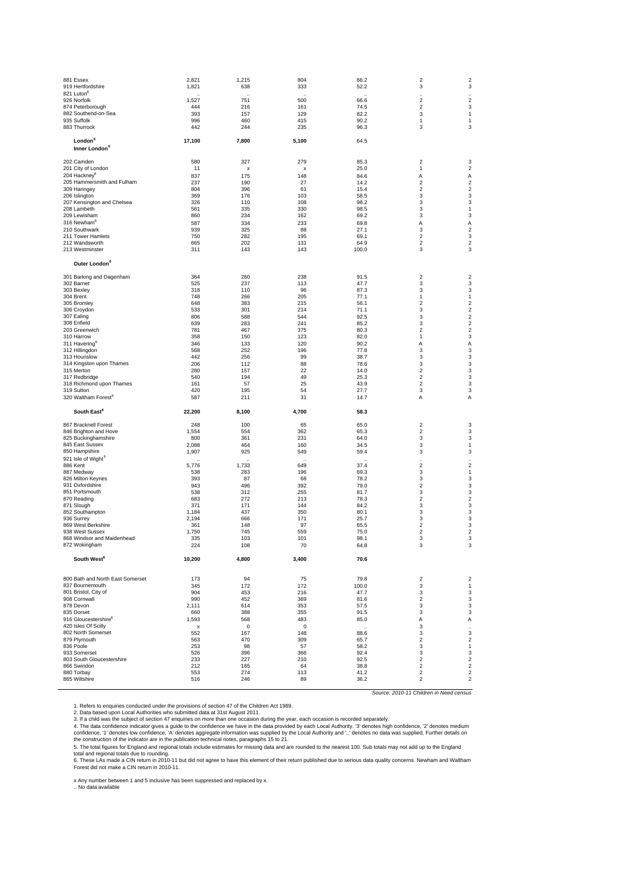|           | 881 Essex                                     | 2,821          | 1,215      | 804                       | 66.2         | $\overline{2}$               | 2                                |
|-----------|-----------------------------------------------|----------------|------------|---------------------------|--------------|------------------------------|----------------------------------|
|           | 919 Hertfordshire                             | 1,821          | 638        | 333                       | 52.2         | 3                            | 3                                |
|           | 821 Luton <sup>6</sup>                        |                |            |                           |              |                              |                                  |
|           | 926 Norfolk                                   | 1,527          | 751        | 500                       | 66.6         | $\overline{\mathbf{c}}$      | $\ddot{\phantom{a}}$<br>2        |
|           | 874 Peterborough                              | 444            | 216        | 161                       | 74.5         | 2                            | 3                                |
|           | 882 Southend-on-Sea                           | 393            | 157        | 129                       | 82.2         | 3                            | 1                                |
|           | 935 Suffolk                                   | 996            | 460        | 415                       | 90.2         | 1                            | 1                                |
|           | 883 Thurrock                                  | 442            | 244        | 235                       | 96.3         | 3                            | 3                                |
|           |                                               |                |            |                           |              |                              |                                  |
|           | London <sup>6</sup>                           | 17,100         | 7,800      | 5,100                     | 64.5         |                              |                                  |
|           | Inner London <sup>6</sup>                     |                |            |                           |              |                              |                                  |
|           | 202 Camden                                    | 580            | 327        | 279                       | 85.3         | $\overline{2}$               | 3                                |
|           | 201 City of London                            | 11             | X          | $\boldsymbol{\mathsf{x}}$ | 25.0         | 1                            | $\overline{\mathbf{c}}$          |
|           | 204 Hackney <sup>6</sup>                      | 837            | 175        | 148                       | 84.6         | Α                            | Α                                |
|           | 205 Hammersmith and Fulham                    | 237            | 190        | 27                        | 14.2         | 2                            | 2                                |
|           | 309 Haringey                                  | 804            | 396        | 61                        | 15.4         | 2                            | $\overline{\mathbf{c}}$          |
|           | 206 Islington                                 | 369            | 176        | 103                       | 58.5         | 3                            | 3                                |
|           | 207 Kensington and Chelsea                    | 326            | 110        | 108                       | 98.2         | 3                            | 3                                |
|           | 208 Lambeth                                   | 561            | 335        | 330                       | 98.5         | 3                            | 1                                |
|           | 209 Lewisham                                  | 860            | 234        | 162                       | 69.2         | 3                            | 3                                |
|           | 316 Newham <sup>6</sup>                       | 587            | 334        | 233                       | 69.8         | A                            | Α                                |
|           | 210 Southwark                                 | 939            | 325        | 88                        | 27.1         | 3                            | $\boldsymbol{2}$                 |
|           | 211 Tower Hamlets                             | 750            | 282        | 195                       | 69.1         | 2                            | 3                                |
|           | 212 Wandsworth                                | 665            | 202        | 131                       | 64.9         | 2                            | $\overline{\mathbf{c}}$          |
|           | 213 Westminster                               | 311            | 143        | 143                       | 100.0        | 3                            | 3                                |
|           | Outer London <sup>6</sup>                     |                |            |                           |              |                              |                                  |
|           | 301 Barking and Dagenham                      | 364            | 260        | 238                       | 91.5         | $\overline{\mathbf{c}}$      | 2                                |
|           | 302 Barnet                                    | 525            | 237        | 113                       | 47.7         | 3                            | 3                                |
|           | 303 Bexley                                    | 318            | 110        | 96                        | 87.3         | 3                            | 3                                |
| 304 Brent |                                               | 748            | 266        | 205                       | 77.1         | 1                            | 1                                |
|           | 305 Bromley                                   | 648            | 383        | 215                       | 56.1         | $\overline{2}$               | $\overline{\mathbf{c}}$          |
|           | 306 Croydon                                   | 533            | 301        | 214                       | 71.1         | 3                            | $\overline{\mathbf{c}}$          |
|           | 307 Ealing                                    | 806            | 588        | 544                       | 92.5         | 3                            | 2                                |
|           | 308 Enfield                                   | 639            | 283        | 241                       | 85.2         | 3                            | $\overline{\mathbf{c}}$          |
|           | 203 Greenwich                                 | 781            | 467        | 375                       | 80.3         | $\mathfrak{p}$               | $\overline{\mathbf{c}}$          |
|           | 310 Harrow                                    | 358            | 150        | 123                       | 82.0         | 1                            | 3                                |
|           | 311 Havering <sup>t</sup>                     | 346            | 133        | 120                       | 90.2         | Α                            | Α                                |
|           | 312 Hillingdon                                | 568            | 252        | 196                       | 77.8         | 3                            | 3                                |
|           | 313 Hounslow                                  | 442            | 256        | 99                        | 38.7         | 3                            | 3                                |
|           | 314 Kingston upon Thames                      | 206            | 112        | 88                        | 78.6         | 3                            | 3                                |
|           | 315 Merton<br>317 Redbridge                   | 280<br>540     | 157<br>194 | 22<br>49                  | 14.0<br>25.3 | 2<br>2                       | 3<br>3                           |
|           |                                               |                |            | 25                        | 43.9         | $\overline{\mathbf{c}}$      | 3                                |
|           |                                               |                |            |                           |              |                              |                                  |
|           | 318 Richmond upon Thames                      | 161            | 57         |                           |              |                              |                                  |
|           | 319 Sutton<br>320 Waltham Forest <sup>6</sup> | 420<br>587     | 195<br>211 | 54<br>31                  | 27.7<br>14.7 | 3<br>Α                       | 3<br>Α                           |
|           | South East <sup>6</sup>                       | 22,200         | 8,100      | 4,700                     | 58.3         |                              |                                  |
|           |                                               |                |            |                           |              |                              |                                  |
|           | 867 Bracknell Forest                          | 248            | 100        | 65                        | 65.0         | $\overline{\mathbf{c}}$      | 3                                |
|           | 846 Brighton and Hove                         | 1,554          | 554        | 362                       | 65.3         | 2                            | 3                                |
|           | 825 Buckinghamshire                           | 800            | 361        | 231                       | 64.0         | 3                            | 3                                |
|           | 845 East Sussex<br>850 Hampshire              | 2,088<br>1,907 | 464<br>925 | 160<br>549                | 34.5<br>59.4 | 3<br>3                       | 1<br>3                           |
|           | 921 Isle of Wight <sup>6</sup>                |                |            |                           |              |                              |                                  |
| 886 Kent  |                                               | 5,776          | 1,733      | 649                       | 37.4         | 2                            | $\boldsymbol{2}$                 |
|           | 887 Medway                                    | 538            | 283        | 196                       | 69.3         | 3                            | 1                                |
|           | 826 Milton Keynes                             | 393            | 87         | 68                        | 78.2         | 3                            | 3                                |
|           | 931 Oxfordshire                               | 943            | 496        | 392                       | 79.0         | 2                            | 3                                |
|           | 851 Portsmouth                                | 538            | 312        | 255                       | 81.7         | 3                            | 3                                |
|           | 870 Reading                                   | 683            | 272        | 213                       | 78.3         | 2                            | 2                                |
|           | 871 Slough                                    | 371            | 171        | 144                       | 84.2         | 3                            | 3                                |
|           | 852 Southampton                               | 1,184          | 437        | 350                       | 80.1         | 3                            | 3                                |
|           | 936 Surrey                                    | 2,194          | 666        | 171                       | 25.7         | 3                            | 3                                |
|           | 869 West Berkshire                            | 361            | 148        | 97                        | 65.5         | 2                            | 3                                |
|           | 938 West Sussex<br>868 Windsor and Maidenhead | 1,750<br>335   | 745<br>103 | 559<br>101                | 75.0<br>98.1 | $\overline{\mathbf{c}}$<br>3 | $\overline{\mathbf{c}}$<br>3     |
|           | 872 Wokingham                                 | 224            | 108        | 70                        | 64.8         | 3                            | 3                                |
|           | South West <sup>6</sup>                       | 10,200         | 4,800      | 3,400                     | 70.6         |                              |                                  |
|           |                                               |                |            |                           |              |                              |                                  |
|           | 800 Bath and North East Somerset              | 173            | 94         | 75                        | 79.8         | $\overline{\mathbf{c}}$      | 2                                |
|           | 837 Bournemouth                               | 345            | 172        | 172                       | 100.0        | 3                            | 1                                |
|           | 801 Bristol, City of                          | 904            | 453        | 216                       | 47.7         | 3                            | 3                                |
|           | 908 Cornwall                                  | 990            | 452        | 369                       | 81.6         | 2<br>3                       | 3                                |
|           | 878 Devon<br>835 Dorset                       | 2,111          | 614        | 353                       | 57.5         |                              | 3                                |
|           | 916 Gloucestershire <sup>6</sup>              | 660            | 388<br>568 | 355<br>483                | 91.5<br>85.0 | 3<br>Α                       | 3                                |
|           | 420 Isles Of Scillv                           | 1,593<br>х     | $\Omega$   | 0                         |              | 3                            | Α                                |
|           | 802 North Somerset                            | 552            | 167        | 148                       | 88.6         | 3                            | 3                                |
|           | 879 Plymouth                                  | 563            | 470        | 309                       | 65.7         | 2                            | 2                                |
|           |                                               | 253            | 98         | 57                        | 58.2         | 3                            | 1                                |
| 836 Poole | 933 Somerset                                  | 526            | 396        | 366                       | 92.4         | 3                            | 3                                |
|           | 803 South Gloucestershire                     | 233            | 227        | 210                       | 92.5         | $\overline{\mathbf{c}}$      | $\overline{\mathbf{c}}$          |
|           | 866 Swindon                                   | 212            | 165        | 64                        | 38.8         | $\overline{2}$               | $\overline{2}$                   |
|           | 880 Torbay<br>865 Wiltshire                   | 553<br>516     | 274<br>246 | 113<br>89                 | 41.2<br>36.2 | $\overline{\mathbf{c}}$<br>2 | $\overline{2}$<br>$\overline{2}$ |

1. Refers to enquiries conducted under the provisions of section 47 of the Children Act 1989.

2. Data based upon Local Authorities who submitted data at 31st August 2011.<br>3. If a child was the subject of section 47 enquiries on more than one occasion during the year, each occasion is recorded separately.

4. The data confidence indicator gives a guide to the confidence we have in the data provided by each Local Authority. '3' denotes high confidence, '2' denotes medium<br>confidence, '1' denotes low confidence, 'A' denotes agg

*Source: 2010-11 Children in Need census*

x Any number between 1 and 5 inclusive has been suppressed and replaced by x.<br>.. No data available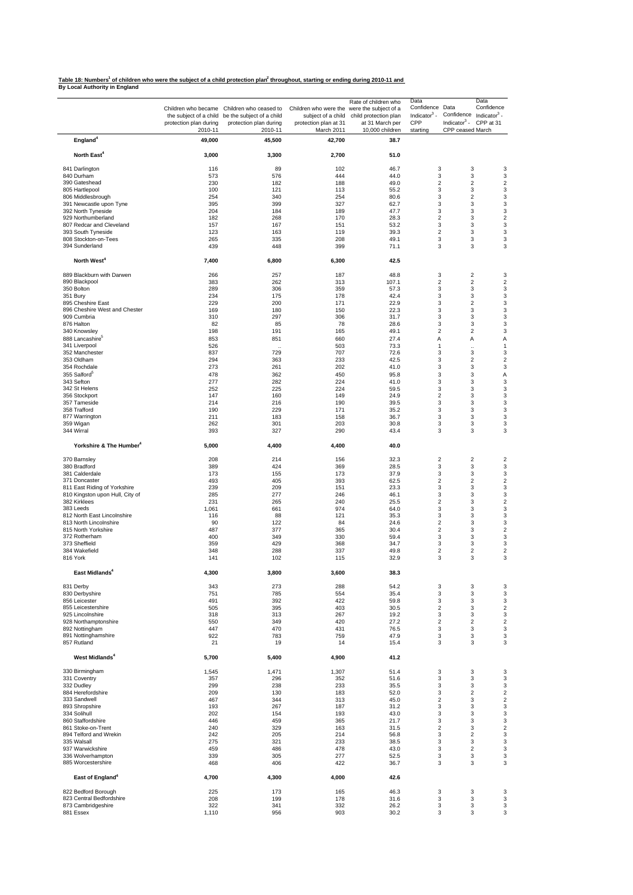<u>Table 18: Numbers<sup>1</sup> of children who were the subject of a child protection plan<sup>2</sup> throughout, starting or ending during 2010-11 and<br>By Local Authority in England</u>

|                                               | protection plan during | Children who became Children who ceased to<br>the subject of a child be the subject of a child<br>protection plan during | Children who were the were the subject of a<br>subject of a child<br>protection plan at 31 | Rate of children who<br>child protection plan<br>at 31 March per | Data<br>Confidence Data<br>Indicator $3 -$<br>CPP | Data<br>Confidence<br>Confidence Indicator <sup>3</sup> -<br>Indicator $3$ -<br>CPP at 31 |
|-----------------------------------------------|------------------------|--------------------------------------------------------------------------------------------------------------------------|--------------------------------------------------------------------------------------------|------------------------------------------------------------------|---------------------------------------------------|-------------------------------------------------------------------------------------------|
| England <sup>4</sup>                          | 2010-11<br>49,000      | 2010-11<br>45,500                                                                                                        | March 2011<br>42,700                                                                       | 10,000 children<br>38.7                                          | starting                                          | CPP ceased March                                                                          |
| North East <sup>4</sup>                       | 3,000                  | 3,300                                                                                                                    | 2,700                                                                                      | 51.0                                                             |                                                   |                                                                                           |
| 841 Darlington                                | 116                    | 89                                                                                                                       | 102                                                                                        | 46.7                                                             | 3                                                 | 3                                                                                         |
| 840 Durham                                    | 573                    | 576                                                                                                                      | 444                                                                                        | 44.0                                                             | 3                                                 | 3                                                                                         |
| 390 Gateshead                                 | 230                    | 182                                                                                                                      | 188                                                                                        | 49.0                                                             | $\overline{2}$                                    | $\overline{2}$                                                                            |
| 805 Hartlepool                                | 100                    | 121                                                                                                                      | 113                                                                                        | 55.2                                                             | 3                                                 | 3                                                                                         |
| 806 Middlesbrough                             | 254                    | 340                                                                                                                      | 254                                                                                        | 80.6                                                             | 3                                                 | $\overline{2}$                                                                            |
| 391 Newcastle upon Tyne<br>392 North Tyneside | 395<br>204             | 399                                                                                                                      | 327                                                                                        | 62.7<br>47.7                                                     | 3<br>3                                            | 3<br>3                                                                                    |
| 929 Northumberland                            | 182                    | 184<br>268                                                                                                               | 189<br>170                                                                                 | 28.3                                                             | $\boldsymbol{2}$                                  | 3                                                                                         |
| 807 Redcar and Cleveland                      | 157                    | 167                                                                                                                      | 151                                                                                        | 53.2                                                             | 3                                                 | 3                                                                                         |
| 393 South Tyneside                            | 123                    | 163                                                                                                                      | 119                                                                                        | 39.3                                                             | $\overline{2}$                                    | 3                                                                                         |
| 808 Stockton-on-Tees                          | 265                    | 335                                                                                                                      | 208                                                                                        | 49.1                                                             | 3                                                 | 3                                                                                         |
| 394 Sunderland                                | 439                    | 448                                                                                                                      | 399                                                                                        | 71.1                                                             | 3                                                 | 3                                                                                         |
| North West <sup>4</sup>                       | 7,400                  | 6,800                                                                                                                    | 6,300                                                                                      | 42.5                                                             |                                                   |                                                                                           |
| 889 Blackburn with Darwen                     | 266                    | 257                                                                                                                      | 187                                                                                        | 48.8                                                             | 3                                                 | $\overline{\mathbf{c}}$                                                                   |
| 890 Blackpool<br>350 Bolton                   | 383<br>289             | 262<br>306                                                                                                               | 313<br>359                                                                                 | 107.1<br>57.3                                                    | $\overline{c}$<br>3                               | $\overline{2}$<br>3                                                                       |
| 351 Bury                                      | 234                    | 175                                                                                                                      | 178                                                                                        | 42.4                                                             | 3                                                 | 3                                                                                         |
| 895 Cheshire East                             | 229                    | 200                                                                                                                      | 171                                                                                        | 22.9                                                             | 3                                                 | $\overline{2}$                                                                            |
| 896 Cheshire West and Chester                 | 169                    | 180                                                                                                                      | 150                                                                                        | 22.3                                                             | 3                                                 | 3                                                                                         |
| 909 Cumbria                                   | 310                    | 297                                                                                                                      | 306                                                                                        | 31.7                                                             | 3                                                 | 3                                                                                         |
| 876 Halton                                    | 82                     | 85                                                                                                                       | 78                                                                                         | 28.6                                                             | 3                                                 | 3                                                                                         |
| 340 Knowsley                                  | 198                    | 191                                                                                                                      | 165                                                                                        | 49.1                                                             | $\overline{2}$                                    | $\overline{2}$                                                                            |
| 888 Lancashire <sup>5</sup>                   | 853                    | 851                                                                                                                      | 660                                                                                        | 27.4                                                             | А                                                 | Α                                                                                         |
| 341 Liverpool                                 | 526                    | $\ddot{\phantom{a}}$                                                                                                     | 503                                                                                        | 73.3                                                             | 1                                                 | $\ddot{\phantom{a}}$                                                                      |
| 352 Manchester<br>353 Oldham                  | 837<br>294             | 729<br>363                                                                                                               | 707<br>233                                                                                 | 72.6<br>42.5                                                     | 3<br>3                                            | 3<br>$\overline{2}$                                                                       |
| 354 Rochdale                                  | 273                    | 261                                                                                                                      | 202                                                                                        | 41.0                                                             | 3                                                 | 3                                                                                         |
| 355 Salford <sup>5</sup>                      | 478                    | 362                                                                                                                      | 450                                                                                        | 95.8                                                             | 3                                                 | 3                                                                                         |
| 343 Sefton                                    | 277                    | 282                                                                                                                      | 224                                                                                        | 41.0                                                             | 3                                                 | 3                                                                                         |
| 342 St Helens                                 | 252                    | 225                                                                                                                      | 224                                                                                        | 59.5                                                             | 3                                                 | 3                                                                                         |
| 356 Stockport                                 | 147                    | 160                                                                                                                      | 149                                                                                        | 24.9                                                             | $\overline{c}$                                    | 3                                                                                         |
| 357 Tameside                                  | 214                    | 216                                                                                                                      | 190                                                                                        | 39.5                                                             | 3                                                 | 3                                                                                         |
| 358 Trafford                                  | 190                    | 229                                                                                                                      | 171                                                                                        | 35.2                                                             | 3                                                 | 3                                                                                         |
| 877 Warrington                                | 211                    | 183                                                                                                                      | 158                                                                                        | 36.7                                                             | 3                                                 | 3                                                                                         |
| 359 Wigan<br>344 Wirral                       | 262<br>393             | 301<br>327                                                                                                               | 203<br>290                                                                                 | 30.8<br>43.4                                                     | 3<br>3                                            | 3<br>3                                                                                    |
| Yorkshire & The Humber <sup>4</sup>           | 5,000                  | 4,400                                                                                                                    | 4,400                                                                                      | 40.0                                                             |                                                   |                                                                                           |
| 370 Barnsley                                  | 208                    | 214                                                                                                                      | 156                                                                                        | 32.3                                                             | $\mathbf 2$                                       | $\boldsymbol{2}$                                                                          |
| 380 Bradford<br>381 Calderdale                | 389<br>173             | 424                                                                                                                      | 369                                                                                        | 28.5<br>37.9                                                     | 3<br>3                                            | 3<br>3                                                                                    |
| 371 Doncaster                                 | 493                    | 155<br>405                                                                                                               | 173<br>393                                                                                 | 62.5                                                             | $\overline{c}$                                    | $\overline{\mathbf{c}}$                                                                   |
| 811 East Riding of Yorkshire                  | 239                    | 209                                                                                                                      | 151                                                                                        | 23.3                                                             | 3                                                 | 3                                                                                         |
| 810 Kingston upon Hull, City of               | 285                    | 277                                                                                                                      | 246                                                                                        | 46.1                                                             | 3                                                 | 3                                                                                         |
| 382 Kirklees                                  | 231                    | 265                                                                                                                      | 240                                                                                        | 25.5                                                             | $\overline{c}$                                    | 3                                                                                         |
| 383 Leeds                                     | 1,061                  | 661                                                                                                                      | 974                                                                                        | 64.0                                                             | 3                                                 | 3                                                                                         |
| 812 North East Lincolnshire                   | 116                    | 88                                                                                                                       | 121                                                                                        | 35.3                                                             | 3                                                 | 3                                                                                         |
| 813 North Lincolnshire<br>815 North Yorkshire | 90                     | 122                                                                                                                      | 84                                                                                         | 24.6                                                             | $\overline{2}$                                    | 3                                                                                         |
| 372 Rotherham                                 | 487<br>400             | 377<br>349                                                                                                               | 365<br>330                                                                                 | 30.4<br>59.4                                                     | $\boldsymbol{2}$<br>3                             | 3<br>3                                                                                    |
| 373 Sheffield                                 | 359                    | 429                                                                                                                      | 368                                                                                        | 34.7                                                             | 3                                                 | 3                                                                                         |
| 384 Wakefield                                 | 348                    | 288                                                                                                                      | 337                                                                                        | 49.8                                                             | $\overline{c}$                                    | $\overline{\mathbf{c}}$                                                                   |
| 816 York                                      | 141                    | 102                                                                                                                      | 115                                                                                        | 32.9                                                             | 3                                                 | 3                                                                                         |
| East Midlands <sup>4</sup>                    | 4,300                  | 3,800                                                                                                                    | 3,600                                                                                      | 38.3                                                             |                                                   |                                                                                           |
| 831 Derby<br>830 Derbyshire                   | 343<br>751             | 273<br>785                                                                                                               | 288<br>554                                                                                 | 54.2<br>35.4                                                     | 3<br>3                                            | 3<br>3                                                                                    |
| 856 Leicester                                 | 491                    | 392                                                                                                                      | 422                                                                                        | 59.8                                                             | 3                                                 | 3                                                                                         |
| 855 Leicestershire                            | 505                    | 395                                                                                                                      | 403                                                                                        | 30.5                                                             | $\overline{2}$                                    | 3                                                                                         |
| 925 Lincolnshire                              | 318                    | 313                                                                                                                      | 267                                                                                        | 19.2                                                             | 3                                                 | 3                                                                                         |
| 928 Northamptonshire                          | 550                    | 349                                                                                                                      | 420                                                                                        | 27.2                                                             | $\overline{\mathbf{c}}$                           | $\overline{2}$                                                                            |
| 892 Nottingham                                | 447                    | 470                                                                                                                      | 431                                                                                        | 76.5                                                             | 3                                                 | 3                                                                                         |
| 891 Nottinghamshire<br>857 Rutland            | 922<br>21              | 783<br>19                                                                                                                | 759<br>14                                                                                  | 47.9<br>15.4                                                     | 3<br>3                                            | 3<br>3                                                                                    |
| West Midlands <sup>4</sup>                    | 5,700                  | 5,400                                                                                                                    | 4,900                                                                                      | 41.2                                                             |                                                   |                                                                                           |
| 330 Birmingham                                | 1,545                  | 1,471                                                                                                                    | 1,307                                                                                      | 51.4                                                             | 3                                                 | 3                                                                                         |
| 331 Coventry                                  | 357                    | 296                                                                                                                      | 352                                                                                        | 51.6                                                             | 3                                                 | 3                                                                                         |
| 332 Dudley                                    | 299                    | 238                                                                                                                      | 233                                                                                        | 35.5                                                             | 3                                                 | 3                                                                                         |
| 884 Herefordshire<br>333 Sandwell             | 209<br>467             | 130<br>344                                                                                                               | 183<br>313                                                                                 | 52.0<br>45.0                                                     | 3<br>$\overline{2}$                               | $\overline{2}$<br>3                                                                       |
| 893 Shropshire                                | 193                    | 267                                                                                                                      | 187                                                                                        | 31.2                                                             | 3                                                 | 3                                                                                         |
| 334 Solihull                                  | 202                    | 154                                                                                                                      | 193                                                                                        | 43.0                                                             | 3                                                 | 3                                                                                         |
| 860 Staffordshire                             | 446                    | 459                                                                                                                      | 365                                                                                        | 21.7                                                             | 3                                                 | 3                                                                                         |
| 861 Stoke-on-Trent                            | 240                    | 329                                                                                                                      | 163                                                                                        | 31.5                                                             | $\overline{2}$                                    | 3                                                                                         |
| 894 Telford and Wrekin                        | 242                    | 205                                                                                                                      | 214                                                                                        | 56.8                                                             | 3                                                 | 2                                                                                         |
| 335 Walsall                                   | 275                    | 321                                                                                                                      | 233                                                                                        | 38.5                                                             | 3                                                 | 3                                                                                         |
| 937 Warwickshire                              | 459                    | 486                                                                                                                      | 478                                                                                        | 43.0                                                             | 3                                                 | $\overline{2}$                                                                            |
| 336 Wolverhampton<br>885 Worcestershire       | 339<br>468             | 305<br>406                                                                                                               | 277<br>422                                                                                 | 52.5<br>36.7                                                     | 3<br>3                                            | 3<br>3                                                                                    |
| East of England <sup>4</sup>                  | 4,700                  | 4,300                                                                                                                    | 4,000                                                                                      | 42.6                                                             |                                                   |                                                                                           |
| 822 Bedford Borough                           | 225                    | 173                                                                                                                      | 165                                                                                        | 46.3                                                             | 3                                                 | 3                                                                                         |
| 823 Central Bedfordshire                      | 208                    | 199                                                                                                                      | 178                                                                                        | 31.6                                                             | 3                                                 | 3                                                                                         |
| 873 Cambridgeshire                            | 322                    | 341                                                                                                                      | 332                                                                                        | 26.2                                                             | 3                                                 | 3                                                                                         |
| 881 Essex                                     | 1,110                  | 956                                                                                                                      | 903                                                                                        | 30.2                                                             | 3                                                 | 3                                                                                         |